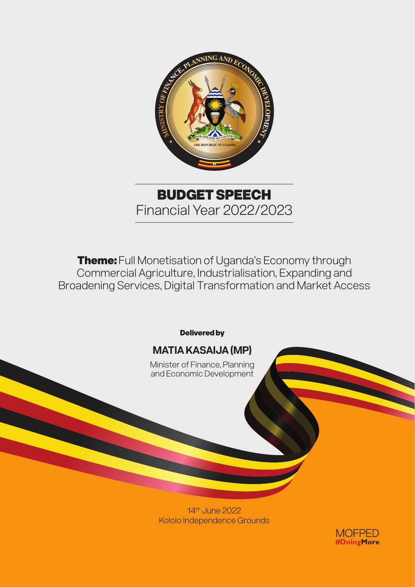

BUDGET SPEECH Financial Year 2022/2023

Theme: Full Monetisation of Uganda's Economy through Commercial Agriculture, Industrialisation, Expanding and Broadening Services, Digital Transformation and Market Access



14th June 2022 Kololo Independence Grounds

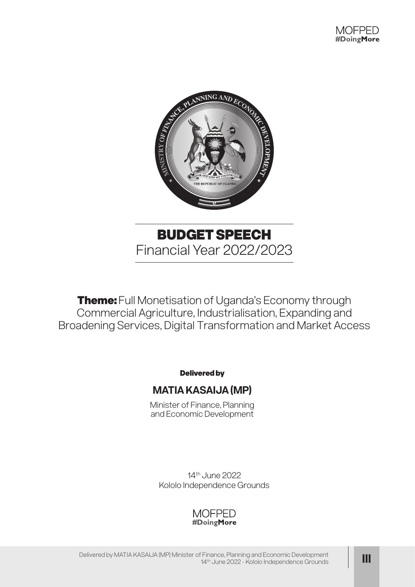

**Theme:** Full Monetisation of Uganda's Economy through Commercial Agriculture, Industrialisation, Expanding and Broadening Services, Digital Transformation and Market Access

Delivered by

## **MATIA KASAIJA (MP)**

Minister of Finance, Planning and Economic Development

14th June 2022 Kololo Independence Grounds

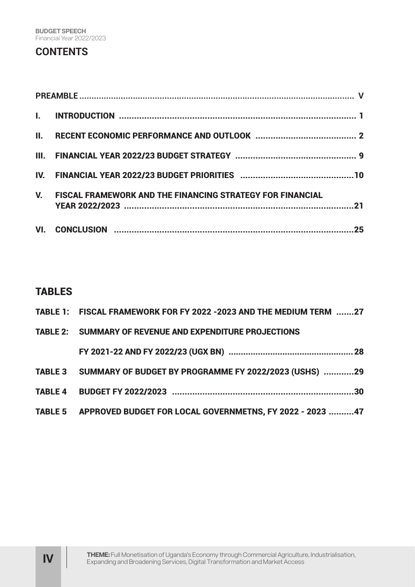# **CONTENTS**

| Ш.          |                                                                  |
|-------------|------------------------------------------------------------------|
|             |                                                                  |
|             |                                                                  |
| $V_{\cdot}$ | <b>FISCAL FRAMEWORK AND THE FINANCING STRATEGY FOR FINANCIAL</b> |
|             |                                                                  |

## TABLES

| TABLE 1: FISCAL FRAMEWORK FOR FY 2022 -2023 AND THE MEDIUM TERM 27 |  |
|--------------------------------------------------------------------|--|
| <b>TABLE 2: SUMMARY OF REVENUE AND EXPENDITURE PROJECTIONS</b>     |  |
|                                                                    |  |
| TABLE 3 SUMMARY OF BUDGET BY PROGRAMME FY 2022/2023 (USHS) 29      |  |
|                                                                    |  |
| TABLE 5 APPROVED BUDGET FOR LOCAL GOVERNMETNS, FY 2022 - 2023 47   |  |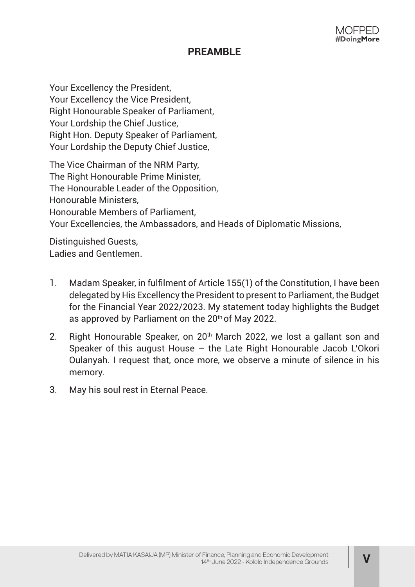MOFPFD #DoingMore

# **PREAMBLE**

Your Excellency the President, Your Excellency the Vice President, Right Honourable Speaker of Parliament, Your Lordship the Chief Justice, Right Hon. Deputy Speaker of Parliament, Your Lordship the Deputy Chief Justice,

The Vice Chairman of the NRM Party, The Right Honourable Prime Minister, The Honourable Leader of the Opposition, Honourable Ministers, Honourable Members of Parliament, Your Excellencies, the Ambassadors, and Heads of Diplomatic Missions,

Distinguished Guests, Ladies and Gentlemen.

- 1. Madam Speaker, in fulfilment of Article 155(1) of the Constitution, I have been delegated by His Excellency the President to present to Parliament, the Budget for the Financial Year 2022/2023. My statement today highlights the Budget as approved by Parliament on the 20<sup>th</sup> of May 2022.
- 2. Right Honourable Speaker, on 20<sup>th</sup> March 2022, we lost a gallant son and Speaker of this august House – the Late Right Honourable Jacob L'Okori Oulanyah. I request that, once more, we observe a minute of silence in his memory.
- 3. May his soul rest in Eternal Peace.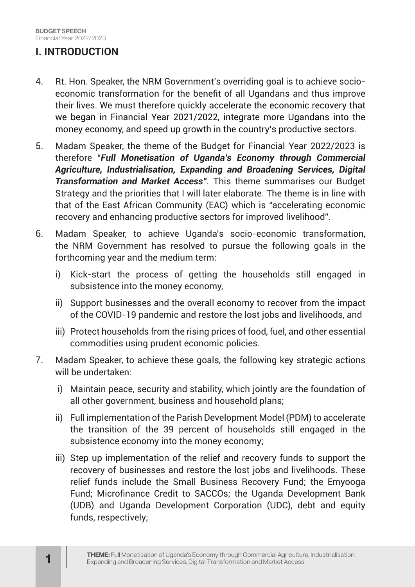# **I. INTRODUCTION**

- 4. Rt. Hon. Speaker, the NRM Government's overriding goal is to achieve socioeconomic transformation for the benefit of all Ugandans and thus improve their lives. We must therefore quickly accelerate the economic recovery that we began in Financial Year 2021/2022, integrate more Ugandans into the money economy, and speed up growth in the country's productive sectors.
- 5. Madam Speaker, the theme of the Budget for Financial Year 2022/2023 is therefore "*Full Monetisation of Uganda's Economy through Commercial Agriculture, Industrialisation, Expanding and Broadening Services, Digital Transformation and Market Access".* This theme summarises our Budget Strategy and the priorities that I will later elaborate. The theme is in line with that of the East African Community (EAC) which is "accelerating economic recovery and enhancing productive sectors for improved livelihood".
- 6. Madam Speaker, to achieve Uganda's socio-economic transformation, the NRM Government has resolved to pursue the following goals in the forthcoming year and the medium term:
	- i) Kick-start the process of getting the households still engaged in subsistence into the money economy,
	- ii) Support businesses and the overall economy to recover from the impact of the COVID-19 pandemic and restore the lost jobs and livelihoods, and
	- iii) Protect households from the rising prices of food, fuel, and other essential commodities using prudent economic policies.
- 7. Madam Speaker, to achieve these goals, the following key strategic actions will be undertaken:
	- i) Maintain peace, security and stability, which jointly are the foundation of all other government, business and household plans;
	- ii) Full implementation of the Parish Development Model (PDM) to accelerate the transition of the 39 percent of households still engaged in the subsistence economy into the money economy;
	- iii) Step up implementation of the relief and recovery funds to support the recovery of businesses and restore the lost jobs and livelihoods. These relief funds include the Small Business Recovery Fund; the Emyooga Fund; Microfinance Credit to SACCOs; the Uganda Development Bank (UDB) and Uganda Development Corporation (UDC), debt and equity funds, respectively;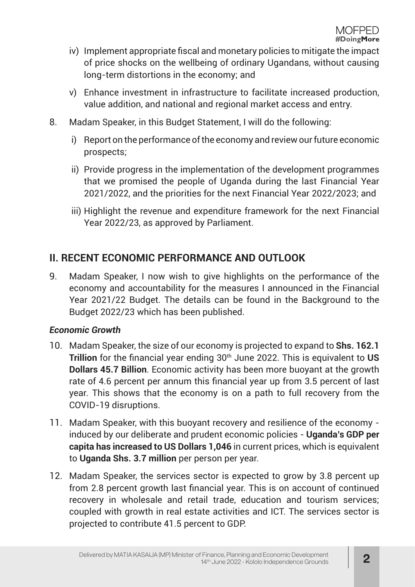- iv) Implement appropriate fiscal and monetary policies to mitigate the impact of price shocks on the wellbeing of ordinary Ugandans, without causing long-term distortions in the economy; and
- v) Enhance investment in infrastructure to facilitate increased production, value addition, and national and regional market access and entry.
- 8. Madam Speaker, in this Budget Statement, I will do the following:
	- i) Report on the performance of the economy and review our future economic prospects;
	- ii) Provide progress in the implementation of the development programmes that we promised the people of Uganda during the last Financial Year 2021/2022, and the priorities for the next Financial Year 2022/2023; and
	- iii) Highlight the revenue and expenditure framework for the next Financial Year 2022/23, as approved by Parliament.

# **II. RECENT ECONOMIC PERFORMANCE AND OUTLOOK**

9. Madam Speaker, I now wish to give highlights on the performance of the economy and accountability for the measures I announced in the Financial Year 2021/22 Budget. The details can be found in the Background to the Budget 2022/23 which has been published.

#### *Economic Growth*

- 10. Madam Speaker, the size of our economy is projected to expand to **Shs. 162.1 Trillion** for the financial year ending 30<sup>th</sup> June 2022. This is equivalent to US **Dollars 45.7 Billion**. Economic activity has been more buoyant at the growth rate of 4.6 percent per annum this financial year up from 3.5 percent of last year. This shows that the economy is on a path to full recovery from the COVID-19 disruptions.
- 11. Madam Speaker, with this buoyant recovery and resilience of the economy induced by our deliberate and prudent economic policies - **Uganda's GDP per capita has increased to US Dollars 1,046** in current prices, which is equivalent to **Uganda Shs. 3.7 million** per person per year.
- 12. Madam Speaker, the services sector is expected to grow by 3.8 percent up from 2.8 percent growth last financial year. This is on account of continued recovery in wholesale and retail trade, education and tourism services; coupled with growth in real estate activities and ICT. The services sector is projected to contribute 41.5 percent to GDP.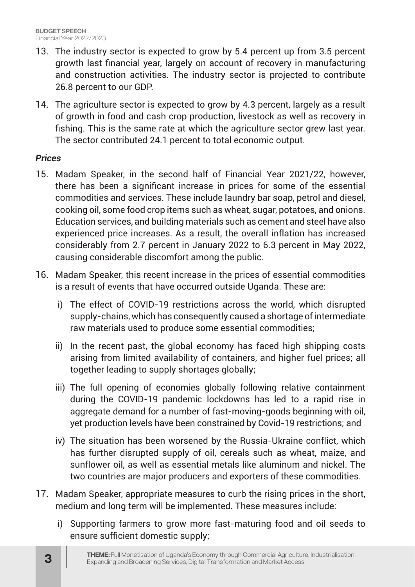- 13. The industry sector is expected to grow by 5.4 percent up from 3.5 percent growth last financial year, largely on account of recovery in manufacturing and construction activities. The industry sector is projected to contribute 26.8 percent to our GDP.
- 14. The agriculture sector is expected to grow by 4.3 percent, largely as a result of growth in food and cash crop production, livestock as well as recovery in fishing. This is the same rate at which the agriculture sector grew last year. The sector contributed 24.1 percent to total economic output.

#### *Prices*

- 15. Madam Speaker, in the second half of Financial Year 2021/22, however, there has been a significant increase in prices for some of the essential commodities and services. These include laundry bar soap, petrol and diesel, cooking oil, some food crop items such as wheat, sugar, potatoes, and onions. Education services, and building materials such as cement and steel have also experienced price increases. As a result, the overall inflation has increased considerably from 2.7 percent in January 2022 to 6.3 percent in May 2022, causing considerable discomfort among the public.
- 16. Madam Speaker, this recent increase in the prices of essential commodities is a result of events that have occurred outside Uganda. These are:
	- i) The effect of COVID-19 restrictions across the world, which disrupted supply-chains, which has consequently caused a shortage of intermediate raw materials used to produce some essential commodities;
	- ii) In the recent past, the global economy has faced high shipping costs arising from limited availability of containers, and higher fuel prices; all together leading to supply shortages globally;
	- iii) The full opening of economies globally following relative containment during the COVID-19 pandemic lockdowns has led to a rapid rise in aggregate demand for a number of fast-moving-goods beginning with oil, yet production levels have been constrained by Covid-19 restrictions; and
	- iv) The situation has been worsened by the Russia-Ukraine conflict, which has further disrupted supply of oil, cereals such as wheat, maize, and sunflower oil, as well as essential metals like aluminum and nickel. The two countries are major producers and exporters of these commodities.
- 17. Madam Speaker, appropriate measures to curb the rising prices in the short, medium and long term will be implemented. These measures include:
	- i) Supporting farmers to grow more fast-maturing food and oil seeds to ensure sufficient domestic supply;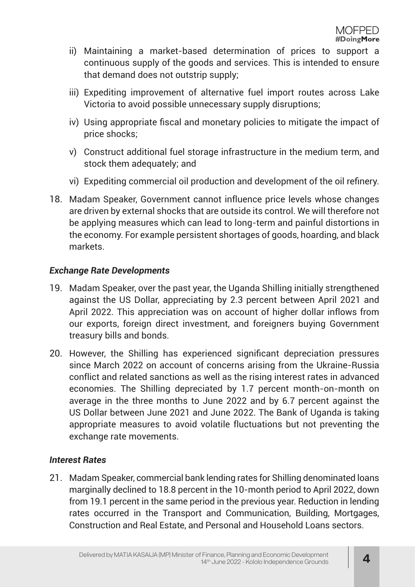- ii) Maintaining a market-based determination of prices to support a continuous supply of the goods and services. This is intended to ensure that demand does not outstrip supply;
- iii) Expediting improvement of alternative fuel import routes across Lake Victoria to avoid possible unnecessary supply disruptions;
- iv) Using appropriate fiscal and monetary policies to mitigate the impact of price shocks;
- v) Construct additional fuel storage infrastructure in the medium term, and stock them adequately; and
- vi) Expediting commercial oil production and development of the oil refinery.
- 18. Madam Speaker, Government cannot influence price levels whose changes are driven by external shocks that are outside its control. We will therefore not be applying measures which can lead to long-term and painful distortions in the economy. For example persistent shortages of goods, hoarding, and black markets.

#### *Exchange Rate Developments*

- 19. Madam Speaker, over the past year, the Uganda Shilling initially strengthened against the US Dollar, appreciating by 2.3 percent between April 2021 and April 2022. This appreciation was on account of higher dollar inflows from our exports, foreign direct investment, and foreigners buying Government treasury bills and bonds.
- 20. However, the Shilling has experienced significant depreciation pressures since March 2022 on account of concerns arising from the Ukraine-Russia conflict and related sanctions as well as the rising interest rates in advanced economies. The Shilling depreciated by 1.7 percent month-on-month on average in the three months to June 2022 and by 6.7 percent against the US Dollar between June 2021 and June 2022. The Bank of Uganda is taking appropriate measures to avoid volatile fluctuations but not preventing the exchange rate movements.

#### *Interest Rates*

21. Madam Speaker, commercial bank lending rates for Shilling denominated loans marginally declined to 18.8 percent in the 10-month period to April 2022, down from 19.1 percent in the same period in the previous year. Reduction in lending rates occurred in the Transport and Communication, Building, Mortgages, Construction and Real Estate, and Personal and Household Loans sectors.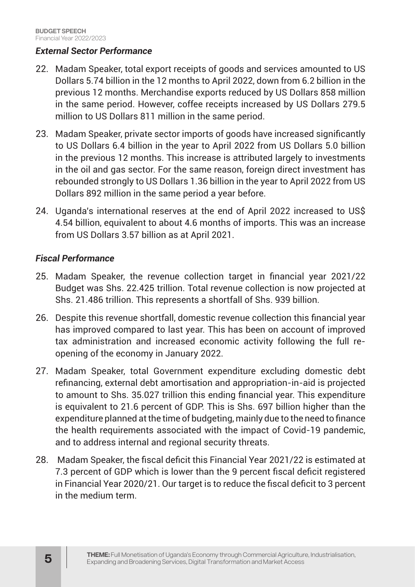#### *External Sector Performance*

- 22. Madam Speaker, total export receipts of goods and services amounted to US Dollars 5.74 billion in the 12 months to April 2022, down from 6.2 billion in the previous 12 months. Merchandise exports reduced by US Dollars 858 million in the same period. However, coffee receipts increased by US Dollars 279.5 million to US Dollars 811 million in the same period.
- 23. Madam Speaker, private sector imports of goods have increased significantly to US Dollars 6.4 billion in the year to April 2022 from US Dollars 5.0 billion in the previous 12 months. This increase is attributed largely to investments in the oil and gas sector. For the same reason, foreign direct investment has rebounded strongly to US Dollars 1.36 billion in the year to April 2022 from US Dollars 892 million in the same period a year before.
- 24. Uganda's international reserves at the end of April 2022 increased to US\$ 4.54 billion, equivalent to about 4.6 months of imports. This was an increase from US Dollars 3.57 billion as at April 2021.

#### *Fiscal Performance*

- 25. Madam Speaker, the revenue collection target in financial year 2021/22 Budget was Shs. 22.425 trillion. Total revenue collection is now projected at Shs. 21.486 trillion. This represents a shortfall of Shs. 939 billion.
- 26. Despite this revenue shortfall, domestic revenue collection this financial year has improved compared to last year. This has been on account of improved tax administration and increased economic activity following the full reopening of the economy in January 2022.
- 27. Madam Speaker, total Government expenditure excluding domestic debt refinancing, external debt amortisation and appropriation-in-aid is projected to amount to Shs. 35.027 trillion this ending financial year. This expenditure is equivalent to 21.6 percent of GDP. This is Shs. 697 billion higher than the expenditure planned at the time of budgeting, mainly due to the need to finance the health requirements associated with the impact of Covid-19 pandemic, and to address internal and regional security threats.
- 28. Madam Speaker, the fiscal deficit this Financial Year 2021/22 is estimated at 7.3 percent of GDP which is lower than the 9 percent fiscal deficit registered in Financial Year 2020/21. Our target is to reduce the fiscal deficit to 3 percent in the medium term.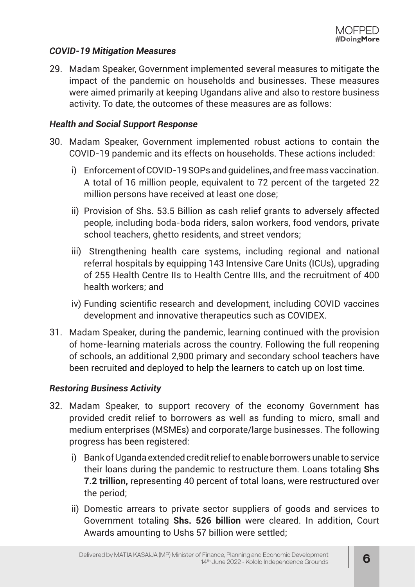#### *COVID-19 Mitigation Measures*

29. Madam Speaker, Government implemented several measures to mitigate the impact of the pandemic on households and businesses. These measures were aimed primarily at keeping Ugandans alive and also to restore business activity. To date, the outcomes of these measures are as follows:

#### *Health and Social Support Response*

- 30. Madam Speaker, Government implemented robust actions to contain the COVID-19 pandemic and its effects on households. These actions included:
	- i) Enforcement of COVID-19 SOPs and guidelines, and free mass vaccination. A total of 16 million people, equivalent to 72 percent of the targeted 22 million persons have received at least one dose;
	- ii) Provision of Shs. 53.5 Billion as cash relief grants to adversely affected people, including boda-boda riders, salon workers, food vendors, private school teachers, ghetto residents, and street vendors;
	- iii) Strengthening health care systems, including regional and national referral hospitals by equipping 143 Intensive Care Units (ICUs), upgrading of 255 Health Centre IIs to Health Centre IIIs, and the recruitment of 400 health workers; and
	- iv) Funding scientific research and development, including COVID vaccines development and innovative therapeutics such as COVIDEX.
- 31. Madam Speaker, during the pandemic, learning continued with the provision of home-learning materials across the country. Following the full reopening of schools, an additional 2,900 primary and secondary school teachers have been recruited and deployed to help the learners to catch up on lost time.

#### *Restoring Business Activity*

- 32. Madam Speaker, to support recovery of the economy Government has provided credit relief to borrowers as well as funding to micro, small and medium enterprises (MSMEs) and corporate/large businesses. The following progress has been registered:
	- i) Bank of Uganda extended credit relief to enable borrowers unable to service their loans during the pandemic to restructure them. Loans totaling **Shs 7.2 trillion,** representing 40 percent of total loans, were restructured over the period;
	- ii) Domestic arrears to private sector suppliers of goods and services to Government totaling **Shs. 526 billion** were cleared. In addition, Court Awards amounting to Ushs 57 billion were settled;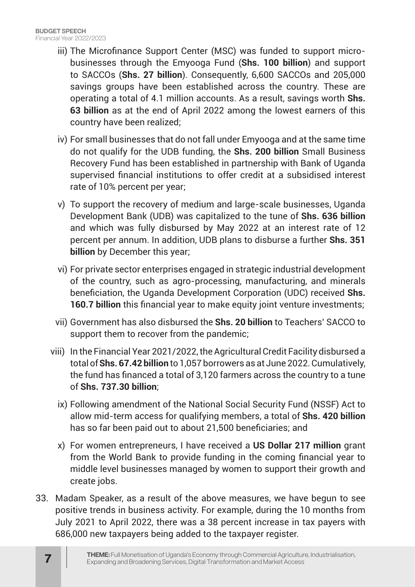- iii) The Microfinance Support Center (MSC) was funded to support microbusinesses through the Emyooga Fund (**Shs. 100 billion**) and support to SACCOs (**Shs. 27 billion**). Consequently, 6,600 SACCOs and 205,000 savings groups have been established across the country. These are operating a total of 4.1 million accounts. As a result, savings worth **Shs. 63 billion** as at the end of April 2022 among the lowest earners of this country have been realized;
- iv) For small businesses that do not fall under Emyooga and at the same time do not qualify for the UDB funding, the **Shs. 200 billion** Small Business Recovery Fund has been established in partnership with Bank of Uganda supervised financial institutions to offer credit at a subsidised interest rate of 10% percent per year;
- v) To support the recovery of medium and large-scale businesses, Uganda Development Bank (UDB) was capitalized to the tune of **Shs. 636 billion** and which was fully disbursed by May 2022 at an interest rate of 12 percent per annum. In addition, UDB plans to disburse a further **Shs. 351 billion** by December this year;
- vi) For private sector enterprises engaged in strategic industrial development of the country, such as agro-processing, manufacturing, and minerals beneficiation, the Uganda Development Corporation (UDC) received **Shs. 160.7 billion** this financial year to make equity joint venture investments;
- vii) Government has also disbursed the **Shs. 20 billion** to Teachers' SACCO to support them to recover from the pandemic;
- viii) In the Financial Year 2021/2022, the Agricultural Credit Facility disbursed a total of **Shs. 67.42 billion** to 1,057 borrowers as at June 2022. Cumulatively, the fund has financed a total of 3,120 farmers across the country to a tune of **Shs. 737.30 billion**;
	- ix) Following amendment of the National Social Security Fund (NSSF) Act to allow mid-term access for qualifying members, a total of **Shs. 420 billion** has so far been paid out to about 21,500 beneficiaries; and
	- x) For women entrepreneurs, I have received a **US Dollar 217 million** grant from the World Bank to provide funding in the coming financial year to middle level businesses managed by women to support their growth and create jobs.
- 33. Madam Speaker, as a result of the above measures, we have begun to see positive trends in business activity. For example, during the 10 months from July 2021 to April 2022, there was a 38 percent increase in tax payers with 686,000 new taxpayers being added to the taxpayer register.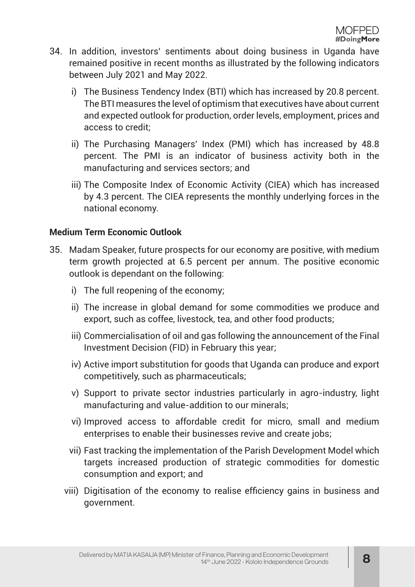- 34. In addition, investors' sentiments about doing business in Uganda have remained positive in recent months as illustrated by the following indicators between July 2021 and May 2022.
	- i) The Business Tendency Index (BTI) which has increased by 20.8 percent. The BTI measures the level of optimism that executives have about current and expected outlook for production, order levels, employment, prices and access to credit;
	- ii) The Purchasing Managers' Index (PMI) which has increased by 48.8 percent. The PMI is an indicator of business activity both in the manufacturing and services sectors; and
	- iii) The Composite Index of Economic Activity (CIEA) which has increased by 4.3 percent. The CIEA represents the monthly underlying forces in the national economy.

#### **Medium Term Economic Outlook**

- 35. Madam Speaker, future prospects for our economy are positive, with medium term growth projected at 6.5 percent per annum. The positive economic outlook is dependant on the following:
	- i) The full reopening of the economy;
	- ii) The increase in global demand for some commodities we produce and export, such as coffee, livestock, tea, and other food products;
	- iii) Commercialisation of oil and gas following the announcement of the Final Investment Decision (FID) in February this year;
	- iv) Active import substitution for goods that Uganda can produce and export competitively, such as pharmaceuticals;
	- v) Support to private sector industries particularly in agro-industry, light manufacturing and value-addition to our minerals;
	- vi) Improved access to affordable credit for micro, small and medium enterprises to enable their businesses revive and create jobs;
	- vii) Fast tracking the implementation of the Parish Development Model which targets increased production of strategic commodities for domestic consumption and export; and
	- viii) Digitisation of the economy to realise efficiency gains in business and government.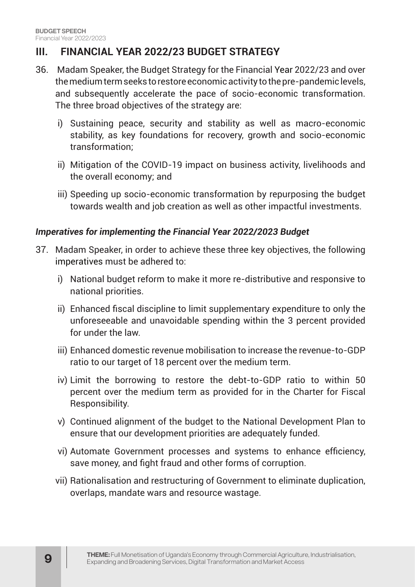# **III. FINANCIAL YEAR 2022/23 BUDGET STRATEGY**

- 36. Madam Speaker, the Budget Strategy for the Financial Year 2022/23 and over the medium term seeks to restore economic activity to the pre-pandemic levels, and subsequently accelerate the pace of socio-economic transformation. The three broad objectives of the strategy are:
	- i) Sustaining peace, security and stability as well as macro-economic stability, as key foundations for recovery, growth and socio-economic transformation;
	- ii) Mitigation of the COVID-19 impact on business activity, livelihoods and the overall economy; and
	- iii) Speeding up socio-economic transformation by repurposing the budget towards wealth and job creation as well as other impactful investments.

#### *Imperatives for implementing the Financial Year 2022/2023 Budget*

- 37. Madam Speaker, in order to achieve these three key objectives, the following imperatives must be adhered to:
	- i) National budget reform to make it more re-distributive and responsive to national priorities.
	- ii) Enhanced fiscal discipline to limit supplementary expenditure to only the unforeseeable and unavoidable spending within the 3 percent provided for under the law.
	- iii) Enhanced domestic revenue mobilisation to increase the revenue-to-GDP ratio to our target of 18 percent over the medium term.
	- iv) Limit the borrowing to restore the debt-to-GDP ratio to within 50 percent over the medium term as provided for in the Charter for Fiscal Responsibility.
	- v) Continued alignment of the budget to the National Development Plan to ensure that our development priorities are adequately funded.
	- vi) Automate Government processes and systems to enhance efficiency, save money, and fight fraud and other forms of corruption.
	- vii) Rationalisation and restructuring of Government to eliminate duplication, overlaps, mandate wars and resource wastage.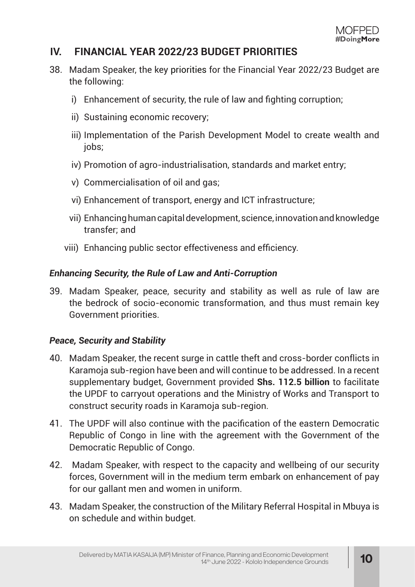## **IV. FINANCIAL YEAR 2022/23 BUDGET PRIORITIES**

- 38. Madam Speaker, the key priorities for the Financial Year 2022/23 Budget are the following:
	- i) Enhancement of security, the rule of law and fighting corruption;
	- ii) Sustaining economic recovery;
	- iii) Implementation of the Parish Development Model to create wealth and jobs;
	- iv) Promotion of agro-industrialisation, standards and market entry;
	- v) Commercialisation of oil and gas;
	- vi) Enhancement of transport, energy and ICT infrastructure;
	- vii) Enhancing human capital development, science, innovation and knowledge transfer; and
	- viii) Enhancing public sector effectiveness and efficiency.

#### *Enhancing Security, the Rule of Law and Anti-Corruption*

39. Madam Speaker, peace, security and stability as well as rule of law are the bedrock of socio-economic transformation, and thus must remain key Government priorities.

#### *Peace, Security and Stability*

- 40. Madam Speaker, the recent surge in cattle theft and cross-border conflicts in Karamoja sub-region have been and will continue to be addressed. In a recent supplementary budget, Government provided **Shs. 112.5 billion** to facilitate the UPDF to carryout operations and the Ministry of Works and Transport to construct security roads in Karamoja sub-region.
- 41. The UPDF will also continue with the pacification of the eastern Democratic Republic of Congo in line with the agreement with the Government of the Democratic Republic of Congo.
- 42. Madam Speaker, with respect to the capacity and wellbeing of our security forces, Government will in the medium term embark on enhancement of pay for our gallant men and women in uniform.
- 43. Madam Speaker, the construction of the Military Referral Hospital in Mbuya is on schedule and within budget.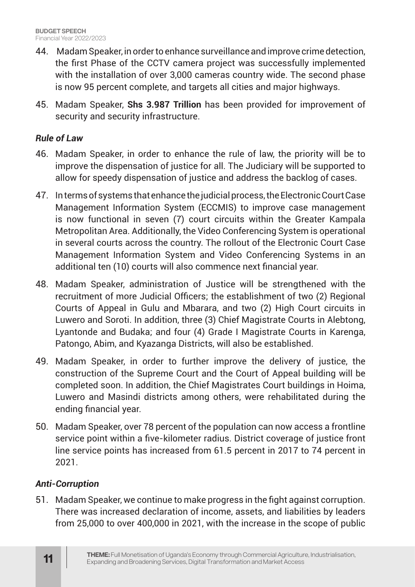- 44. Madam Speaker, in order to enhance surveillance and improve crime detection, the first Phase of the CCTV camera project was successfully implemented with the installation of over 3,000 cameras country wide. The second phase is now 95 percent complete, and targets all cities and major highways.
- 45. Madam Speaker, **Shs 3.987 Trillion** has been provided for improvement of security and security infrastructure.

#### *Rule of Law*

- 46. Madam Speaker, in order to enhance the rule of law, the priority will be to improve the dispensation of justice for all. The Judiciary will be supported to allow for speedy dispensation of justice and address the backlog of cases.
- 47. In terms of systems that enhance the judicial process, the Electronic Court Case Management Information System (ECCMIS) to improve case management is now functional in seven (7) court circuits within the Greater Kampala Metropolitan Area. Additionally, the Video Conferencing System is operational in several courts across the country. The rollout of the Electronic Court Case Management Information System and Video Conferencing Systems in an additional ten (10) courts will also commence next financial year.
- 48. Madam Speaker, administration of Justice will be strengthened with the recruitment of more Judicial Officers; the establishment of two (2) Regional Courts of Appeal in Gulu and Mbarara, and two (2) High Court circuits in Luwero and Soroti. In addition, three (3) Chief Magistrate Courts in Alebtong, Lyantonde and Budaka; and four (4) Grade I Magistrate Courts in Karenga, Patongo, Abim, and Kyazanga Districts, will also be established.
- 49. Madam Speaker, in order to further improve the delivery of justice, the construction of the Supreme Court and the Court of Appeal building will be completed soon. In addition, the Chief Magistrates Court buildings in Hoima, Luwero and Masindi districts among others, were rehabilitated during the ending financial year.
- 50. Madam Speaker, over 78 percent of the population can now access a frontline service point within a five-kilometer radius. District coverage of justice front line service points has increased from 61.5 percent in 2017 to 74 percent in 2021.

#### *Anti-Corruption*

51. Madam Speaker, we continue to make progress in the fight against corruption. There was increased declaration of income, assets, and liabilities by leaders from 25,000 to over 400,000 in 2021, with the increase in the scope of public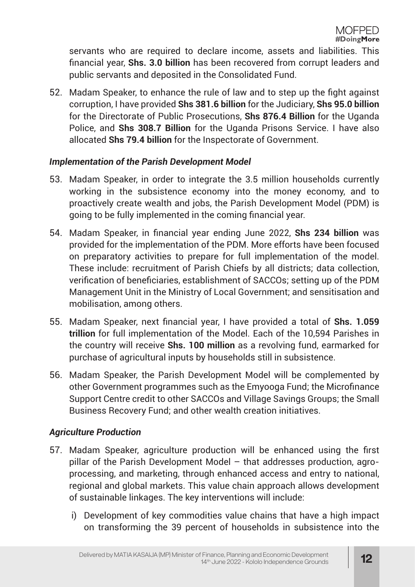servants who are required to declare income, assets and liabilities. This financial year, **Shs. 3.0 billion** has been recovered from corrupt leaders and public servants and deposited in the Consolidated Fund.

52. Madam Speaker, to enhance the rule of law and to step up the fight against corruption, I have provided **Shs 381.6 billion** for the Judiciary, **Shs 95.0 billion** for the Directorate of Public Prosecutions, **Shs 876.4 Billion** for the Uganda Police, and **Shs 308.7 Billion** for the Uganda Prisons Service. I have also allocated **Shs 79.4 billion** for the Inspectorate of Government.

#### *Implementation of the Parish Development Model*

- 53. Madam Speaker, in order to integrate the 3.5 million households currently working in the subsistence economy into the money economy, and to proactively create wealth and jobs, the Parish Development Model (PDM) is going to be fully implemented in the coming financial year.
- 54. Madam Speaker, in financial year ending June 2022, **Shs 234 billion** was provided for the implementation of the PDM. More efforts have been focused on preparatory activities to prepare for full implementation of the model. These include: recruitment of Parish Chiefs by all districts; data collection, verification of beneficiaries, establishment of SACCOs; setting up of the PDM Management Unit in the Ministry of Local Government; and sensitisation and mobilisation, among others.
- 55. Madam Speaker, next financial year, I have provided a total of **Shs. 1.059 trillion** for full implementation of the Model. Each of the 10,594 Parishes in the country will receive **Shs. 100 million** as a revolving fund, earmarked for purchase of agricultural inputs by households still in subsistence.
- 56. Madam Speaker, the Parish Development Model will be complemented by other Government programmes such as the Emyooga Fund; the Microfinance Support Centre credit to other SACCOs and Village Savings Groups; the Small Business Recovery Fund; and other wealth creation initiatives.

#### *Agriculture Production*

- 57. Madam Speaker, agriculture production will be enhanced using the first pillar of the Parish Development Model – that addresses production, agroprocessing, and marketing, through enhanced access and entry to national, regional and global markets. This value chain approach allows development of sustainable linkages. The key interventions will include:
	- i) Development of key commodities value chains that have a high impact on transforming the 39 percent of households in subsistence into the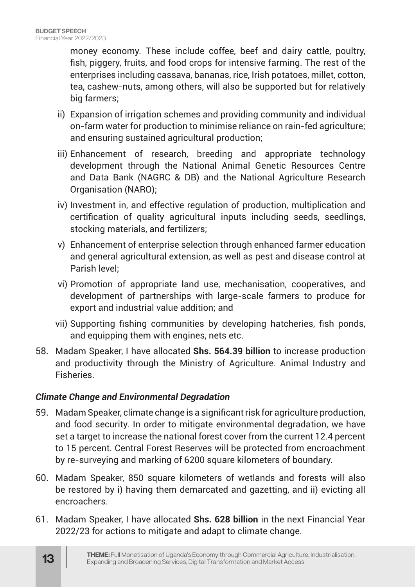money economy. These include coffee, beef and dairy cattle, poultry, fish, piggery, fruits, and food crops for intensive farming. The rest of the enterprises including cassava, bananas, rice, Irish potatoes, millet, cotton, tea, cashew-nuts, among others, will also be supported but for relatively big farmers;

- ii) Expansion of irrigation schemes and providing community and individual on-farm water for production to minimise reliance on rain-fed agriculture; and ensuring sustained agricultural production;
- iii) Enhancement of research, breeding and appropriate technology development through the National Animal Genetic Resources Centre and Data Bank (NAGRC & DB) and the National Agriculture Research Organisation (NARO);
- iv) Investment in, and effective regulation of production, multiplication and certification of quality agricultural inputs including seeds, seedlings, stocking materials, and fertilizers;
- v) Enhancement of enterprise selection through enhanced farmer education and general agricultural extension, as well as pest and disease control at Parish level;
- vi) Promotion of appropriate land use, mechanisation, cooperatives, and development of partnerships with large-scale farmers to produce for export and industrial value addition; and
- vii) Supporting fishing communities by developing hatcheries, fish ponds, and equipping them with engines, nets etc.
- 58. Madam Speaker, I have allocated **Shs. 564.39 billion** to increase production and productivity through the Ministry of Agriculture. Animal Industry and Fisheries.

#### *Climate Change and Environmental Degradation*

- 59. Madam Speaker, climate change is a significant risk for agriculture production, and food security. In order to mitigate environmental degradation, we have set a target to increase the national forest cover from the current 12.4 percent to 15 percent. Central Forest Reserves will be protected from encroachment by re-surveying and marking of 6200 square kilometers of boundary.
- 60. Madam Speaker, 850 square kilometers of wetlands and forests will also be restored by i) having them demarcated and gazetting, and ii) evicting all encroachers.
- 61. Madam Speaker, I have allocated **Shs. 628 billion** in the next Financial Year 2022/23 for actions to mitigate and adapt to climate change.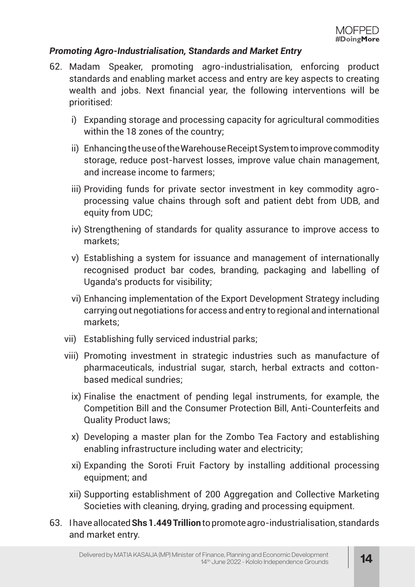#### *Promoting Agro-Industrialisation, Standards and Market Entry*

- 62. Madam Speaker, promoting agro-industrialisation, enforcing product standards and enabling market access and entry are key aspects to creating wealth and jobs. Next financial year, the following interventions will be prioritised:
	- i) Expanding storage and processing capacity for agricultural commodities within the 18 zones of the country;
	- ii) Enhancing the use of the Warehouse Receipt System to improve commodity storage, reduce post-harvest losses, improve value chain management, and increase income to farmers;
	- iii) Providing funds for private sector investment in key commodity agroprocessing value chains through soft and patient debt from UDB, and equity from UDC;
	- iv) Strengthening of standards for quality assurance to improve access to markets;
	- v) Establishing a system for issuance and management of internationally recognised product bar codes, branding, packaging and labelling of Uganda's products for visibility;
	- vi) Enhancing implementation of the Export Development Strategy including carrying out negotiations for access and entry to regional and international markets;
	- vii) Establishing fully serviced industrial parks;
	- viii) Promoting investment in strategic industries such as manufacture of pharmaceuticals, industrial sugar, starch, herbal extracts and cottonbased medical sundries;
		- ix) Finalise the enactment of pending legal instruments, for example, the Competition Bill and the Consumer Protection Bill, Anti-Counterfeits and Quality Product laws;
		- x) Developing a master plan for the Zombo Tea Factory and establishing enabling infrastructure including water and electricity;
		- xi) Expanding the Soroti Fruit Factory by installing additional processing equipment; and
		- xii) Supporting establishment of 200 Aggregation and Collective Marketing Societies with cleaning, drying, grading and processing equipment.
- 63. I have allocated **Shs 1.449 Trillion** to promote agro-industrialisation, standards and market entry.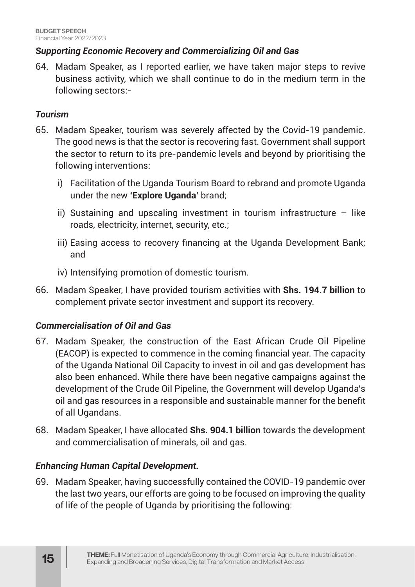#### *Supporting Economic Recovery and Commercializing Oil and Gas*

64. Madam Speaker, as I reported earlier, we have taken major steps to revive business activity, which we shall continue to do in the medium term in the following sectors:-

#### *Tourism*

- 65. Madam Speaker, tourism was severely affected by the Covid-19 pandemic. The good news is that the sector is recovering fast. Government shall support the sector to return to its pre-pandemic levels and beyond by prioritising the following interventions:
	- i) Facilitation of the Uganda Tourism Board to rebrand and promote Uganda under the new **'Explore Uganda'** brand;
	- ii) Sustaining and upscaling investment in tourism infrastructure  $-$  like roads, electricity, internet, security, etc.;
	- iii) Easing access to recovery financing at the Uganda Development Bank; and
	- iv) Intensifying promotion of domestic tourism.
- 66. Madam Speaker, I have provided tourism activities with **Shs. 194.7 billion** to complement private sector investment and support its recovery.

#### *Commercialisation of Oil and Gas*

- 67. Madam Speaker, the construction of the East African Crude Oil Pipeline (EACOP) is expected to commence in the coming financial year. The capacity of the Uganda National Oil Capacity to invest in oil and gas development has also been enhanced. While there have been negative campaigns against the development of the Crude Oil Pipeline, the Government will develop Uganda's oil and gas resources in a responsible and sustainable manner for the benefit of all Ugandans.
- 68. Madam Speaker, I have allocated **Shs. 904.1 billion** towards the development and commercialisation of minerals, oil and gas.

## *Enhancing Human Capital Development.*

69. Madam Speaker, having successfully contained the COVID-19 pandemic over the last two years, our efforts are going to be focused on improving the quality of life of the people of Uganda by prioritising the following: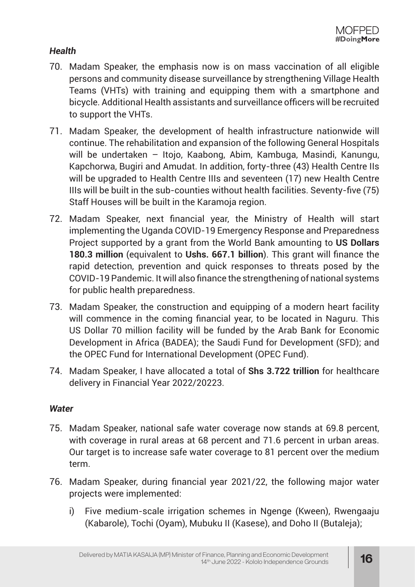#### *Health*

- 70. Madam Speaker, the emphasis now is on mass vaccination of all eligible persons and community disease surveillance by strengthening Village Health Teams (VHTs) with training and equipping them with a smartphone and bicycle. Additional Health assistants and surveillance officers will be recruited to support the VHTs.
- 71. Madam Speaker, the development of health infrastructure nationwide will continue. The rehabilitation and expansion of the following General Hospitals will be undertaken – Itojo, Kaabong, Abim, Kambuga, Masindi, Kanungu, Kapchorwa, Bugiri and Amudat. In addition, forty-three (43) Health Centre IIs will be upgraded to Health Centre IIIs and seventeen (17) new Health Centre IIIs will be built in the sub-counties without health facilities. Seventy-five (75) Staff Houses will be built in the Karamoja region.
- 72. Madam Speaker, next financial year, the Ministry of Health will start implementing the Uganda COVID-19 Emergency Response and Preparedness Project supported by a grant from the World Bank amounting to **US Dollars 180.3 million** (equivalent to **Ushs. 667.1 billion**). This grant will finance the rapid detection, prevention and quick responses to threats posed by the COVID-19 Pandemic. It will also finance the strengthening of national systems for public health preparedness.
- 73. Madam Speaker, the construction and equipping of a modern heart facility will commence in the coming financial year, to be located in Naguru. This US Dollar 70 million facility will be funded by the Arab Bank for Economic Development in Africa (BADEA); the Saudi Fund for Development (SFD); and the OPEC Fund for International Development (OPEC Fund).
- 74. Madam Speaker, I have allocated a total of **Shs 3.722 trillion** for healthcare delivery in Financial Year 2022/20223.

#### *Water*

- 75. Madam Speaker, national safe water coverage now stands at 69.8 percent, with coverage in rural areas at 68 percent and 71.6 percent in urban areas. Our target is to increase safe water coverage to 81 percent over the medium term.
- 76. Madam Speaker, during financial year 2021/22, the following major water projects were implemented:
	- i) Five medium-scale irrigation schemes in Ngenge (Kween), Rwengaaju (Kabarole), Tochi (Oyam), Mubuku II (Kasese), and Doho II (Butaleja);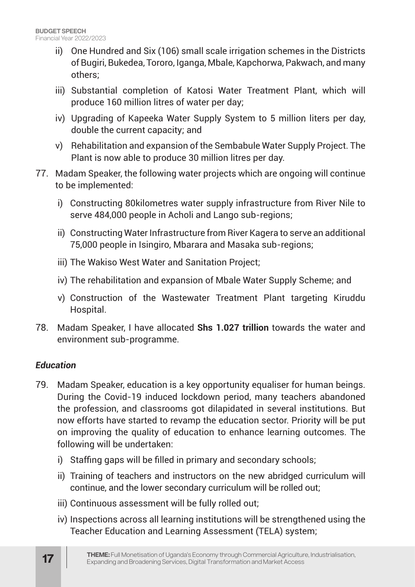- ii) One Hundred and Six (106) small scale irrigation schemes in the Districts of Bugiri, Bukedea, Tororo, Iganga, Mbale, Kapchorwa, Pakwach, and many others;
- iii) Substantial completion of Katosi Water Treatment Plant, which will produce 160 million litres of water per day;
- iv) Upgrading of Kapeeka Water Supply System to 5 million liters per day, double the current capacity; and
- v) Rehabilitation and expansion of the Sembabule Water Supply Project. The Plant is now able to produce 30 million litres per day.
- 77. Madam Speaker, the following water projects which are ongoing will continue to be implemented:
	- i) Constructing 80kilometres water supply infrastructure from River Nile to serve 484,000 people in Acholi and Lango sub-regions;
	- ii) Constructing Water Infrastructure from River Kagera to serve an additional 75,000 people in Isingiro, Mbarara and Masaka sub-regions;
	- iii) The Wakiso West Water and Sanitation Project;
	- iv) The rehabilitation and expansion of Mbale Water Supply Scheme; and
	- v) Construction of the Wastewater Treatment Plant targeting Kiruddu Hospital.
- 78. Madam Speaker, I have allocated **Shs 1.027 trillion** towards the water and environment sub-programme.

## *Education*

- 79. Madam Speaker, education is a key opportunity equaliser for human beings. During the Covid-19 induced lockdown period, many teachers abandoned the profession, and classrooms got dilapidated in several institutions. But now efforts have started to revamp the education sector. Priority will be put on improving the quality of education to enhance learning outcomes. The following will be undertaken:
	- i) Staffing gaps will be filled in primary and secondary schools;
	- ii) Training of teachers and instructors on the new abridged curriculum will continue, and the lower secondary curriculum will be rolled out;
	- iii) Continuous assessment will be fully rolled out;
	- iv) Inspections across all learning institutions will be strengthened using the Teacher Education and Learning Assessment (TELA) system;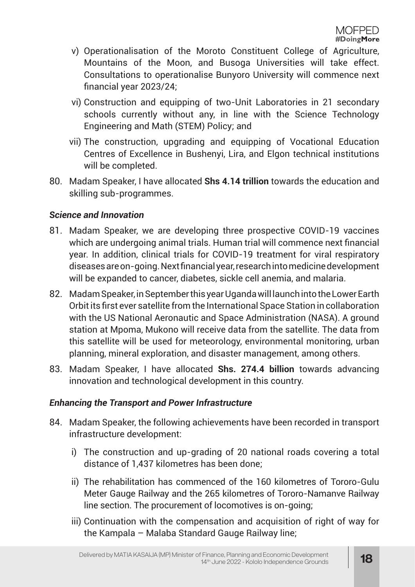- v) Operationalisation of the Moroto Constituent College of Agriculture, Mountains of the Moon, and Busoga Universities will take effect. Consultations to operationalise Bunyoro University will commence next financial year 2023/24;
- vi) Construction and equipping of two-Unit Laboratories in 21 secondary schools currently without any, in line with the Science Technology Engineering and Math (STEM) Policy; and
- vii) The construction, upgrading and equipping of Vocational Education Centres of Excellence in Bushenyi, Lira, and Elgon technical institutions will be completed.
- 80. Madam Speaker, I have allocated **Shs 4.14 trillion** towards the education and skilling sub-programmes.

#### *Science and Innovation*

- 81. Madam Speaker, we are developing three prospective COVID-19 vaccines which are undergoing animal trials. Human trial will commence next financial year. In addition, clinical trials for COVID-19 treatment for viral respiratory diseases are on-going. Next financial year, research into medicine development will be expanded to cancer, diabetes, sickle cell anemia, and malaria.
- 82. Madam Speaker, in September this year Uganda will launch into the Lower Earth Orbit its first ever satellite from the International Space Station in collaboration with the US National Aeronautic and Space Administration (NASA). A ground station at Mpoma, Mukono will receive data from the satellite. The data from this satellite will be used for meteorology, environmental monitoring, urban planning, mineral exploration, and disaster management, among others.
- 83. Madam Speaker, I have allocated **Shs. 274.4 billion** towards advancing innovation and technological development in this country.

#### *Enhancing the Transport and Power Infrastructure*

- 84. Madam Speaker, the following achievements have been recorded in transport infrastructure development:
	- i) The construction and up-grading of 20 national roads covering a total distance of 1,437 kilometres has been done;
	- ii) The rehabilitation has commenced of the 160 kilometres of Tororo-Gulu Meter Gauge Railway and the 265 kilometres of Tororo-Namanve Railway line section. The procurement of locomotives is on-going;
	- iii) Continuation with the compensation and acquisition of right of way for the Kampala – Malaba Standard Gauge Railway line;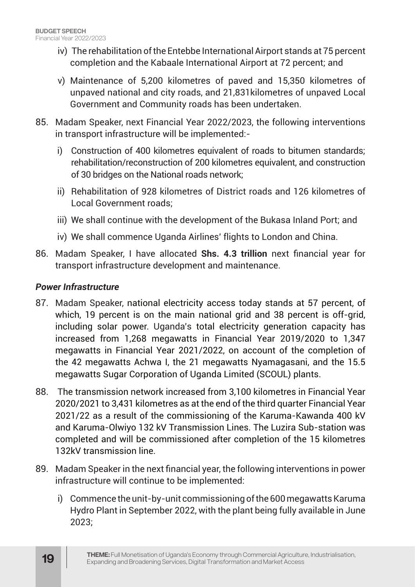- iv) The rehabilitation of the Entebbe International Airport stands at 75 percent completion and the Kabaale International Airport at 72 percent; and
- v) Maintenance of 5,200 kilometres of paved and 15,350 kilometres of unpaved national and city roads, and 21,831kilometres of unpaved Local Government and Community roads has been undertaken.
- 85. Madam Speaker, next Financial Year 2022/2023, the following interventions in transport infrastructure will be implemented:
	- i) Construction of 400 kilometres equivalent of roads to bitumen standards; rehabilitation/reconstruction of 200 kilometres equivalent, and construction of 30 bridges on the National roads network;
	- ii) Rehabilitation of 928 kilometres of District roads and 126 kilometres of Local Government roads;
	- iii) We shall continue with the development of the Bukasa Inland Port; and
	- iv) We shall commence Uganda Airlines' flights to London and China.
- 86. Madam Speaker, I have allocated **Shs. 4.3 trillion** next financial year for transport infrastructure development and maintenance.

#### *Power Infrastructure*

- 87. Madam Speaker, national electricity access today stands at 57 percent, of which, 19 percent is on the main national grid and 38 percent is off-grid, including solar power. Uganda's total electricity generation capacity has increased from 1,268 megawatts in Financial Year 2019/2020 to 1,347 megawatts in Financial Year 2021/2022, on account of the completion of the 42 megawatts Achwa I, the 21 megawatts Nyamagasani, and the 15.5 megawatts Sugar Corporation of Uganda Limited (SCOUL) plants.
- 88. The transmission network increased from 3,100 kilometres in Financial Year 2020/2021 to 3,431 kilometres as at the end of the third quarter Financial Year 2021/22 as a result of the commissioning of the Karuma-Kawanda 400 kV and Karuma-Olwiyo 132 kV Transmission Lines. The Luzira Sub-station was completed and will be commissioned after completion of the 15 kilometres 132kV transmission line.
- 89. Madam Speaker in the next financial year, the following interventions in power infrastructure will continue to be implemented:
	- i) Commence the unit-by-unit commissioning of the 600 megawatts Karuma Hydro Plant in September 2022, with the plant being fully available in June 2023;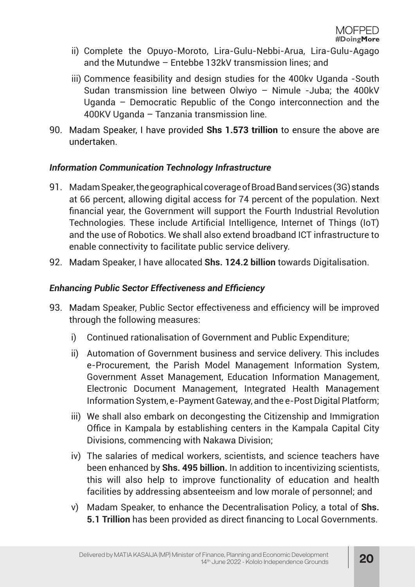- ii) Complete the Opuyo-Moroto, Lira-Gulu-Nebbi-Arua, Lira-Gulu-Agago and the Mutundwe – Entebbe 132kV transmission lines; and
- iii) Commence feasibility and design studies for the 400kv Uganda -South Sudan transmission line between Olwiyo – Nimule -Juba; the 400kV Uganda – Democratic Republic of the Congo interconnection and the 400KV Uganda – Tanzania transmission line.
- 90. Madam Speaker, I have provided **Shs 1.573 trillion** to ensure the above are undertaken.

#### *Information Communication Technology Infrastructure*

- 91. Madam Speaker, the geographical coverage of Broad Band services (3G) stands at 66 percent, allowing digital access for 74 percent of the population. Next financial year, the Government will support the Fourth Industrial Revolution Technologies. These include Artificial Intelligence, Internet of Things (IoT) and the use of Robotics. We shall also extend broadband ICT infrastructure to enable connectivity to facilitate public service delivery.
- 92. Madam Speaker, I have allocated **Shs. 124.2 billion** towards Digitalisation.

#### *Enhancing Public Sector Effectiveness and Efficiency*

- 93. Madam Speaker, Public Sector effectiveness and efficiency will be improved through the following measures:
	- i) Continued rationalisation of Government and Public Expenditure;
	- ii) Automation of Government business and service delivery. This includes e-Procurement, the Parish Model Management Information System, Government Asset Management, Education Information Management, Electronic Document Management, Integrated Health Management Information System, e-Payment Gateway, and the e-Post Digital Platform;
	- iii) We shall also embark on decongesting the Citizenship and Immigration Office in Kampala by establishing centers in the Kampala Capital City Divisions, commencing with Nakawa Division;
	- iv) The salaries of medical workers, scientists, and science teachers have been enhanced by **Shs. 495 billion.** In addition to incentivizing scientists, this will also help to improve functionality of education and health facilities by addressing absenteeism and low morale of personnel; and
	- v) Madam Speaker, to enhance the Decentralisation Policy, a total of **Shs. 5.1 Trillion** has been provided as direct financing to Local Governments.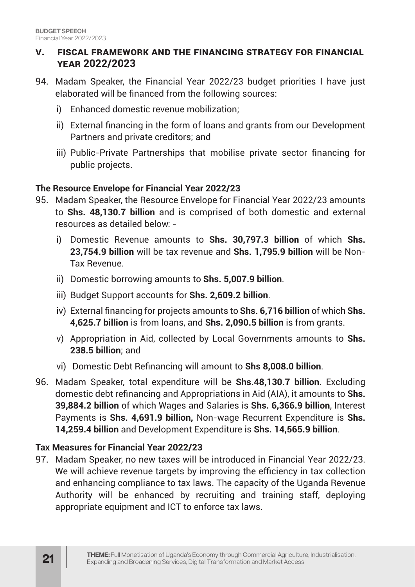#### **V. FISCAL FRAMEWORK AND THE FINANCING STRATEGY FOR FINANCIAL YEAR 2022/2023**

- 94. Madam Speaker, the Financial Year 2022/23 budget priorities I have just elaborated will be financed from the following sources:
	- i) Enhanced domestic revenue mobilization;
	- ii) External financing in the form of loans and grants from our Development Partners and private creditors; and
	- iii) Public-Private Partnerships that mobilise private sector financing for public projects.

#### **The Resource Envelope for Financial Year 2022/23**

- 95. Madam Speaker, the Resource Envelope for Financial Year 2022/23 amounts to **Shs. 48,130.7 billion** and is comprised of both domestic and external resources as detailed below:
	- i) Domestic Revenue amounts to **Shs. 30,797.3 billion** of which **Shs. 23,754.9 billion** will be tax revenue and **Shs. 1,795.9 billion** will be Non-Tax Revenue.
	- ii) Domestic borrowing amounts to **Shs. 5,007.9 billion**.
	- iii) Budget Support accounts for **Shs. 2,609.2 billion**.
	- iv) External financing for projects amounts to **Shs. 6,716 billion** of which **Shs. 4,625.7 billion** is from loans, and **Shs. 2,090.5 billion** is from grants.
	- v) Appropriation in Aid, collected by Local Governments amounts to **Shs. 238.5 billion**; and
	- vi) Domestic Debt Refinancing will amount to **Shs 8,008.0 billion**.
- 96. Madam Speaker, total expenditure will be **Shs.48,130.7 billion**. Excluding domestic debt refinancing and Appropriations in Aid (AIA), it amounts to **Shs. 39,884.2 billion** of which Wages and Salaries is **Shs. 6,366.9 billion**, Interest Payments is **Shs. 4,691.9 billion,** Non-wage Recurrent Expenditure is **Shs. 14,259.4 billion** and Development Expenditure is **Shs. 14,565.9 billion**.

#### **Tax Measures for Financial Year 2022/23**

97. Madam Speaker, no new taxes will be introduced in Financial Year 2022/23. We will achieve revenue targets by improving the efficiency in tax collection and enhancing compliance to tax laws. The capacity of the Uganda Revenue Authority will be enhanced by recruiting and training staff, deploying appropriate equipment and ICT to enforce tax laws.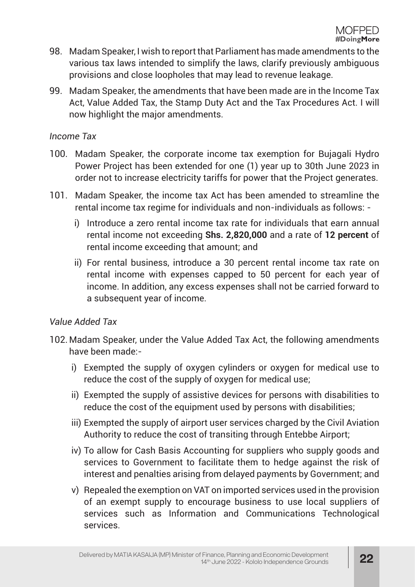- 98. Madam Speaker, I wish to report that Parliament has made amendments to the various tax laws intended to simplify the laws, clarify previously ambiguous provisions and close loopholes that may lead to revenue leakage.
- 99. Madam Speaker, the amendments that have been made are in the Income Tax Act, Value Added Tax, the Stamp Duty Act and the Tax Procedures Act. I will now highlight the major amendments.

#### *Income Tax*

- 100. Madam Speaker, the corporate income tax exemption for Bujagali Hydro Power Project has been extended for one (1) year up to 30th June 2023 in order not to increase electricity tariffs for power that the Project generates.
- 101. Madam Speaker, the income tax Act has been amended to streamline the rental income tax regime for individuals and non-individuals as follows:
	- i) Introduce a zero rental income tax rate for individuals that earn annual rental income not exceeding **Shs. 2,820,000** and a rate of **12 percent** of rental income exceeding that amount; and
	- ii) For rental business, introduce a 30 percent rental income tax rate on rental income with expenses capped to 50 percent for each year of income. In addition, any excess expenses shall not be carried forward to a subsequent year of income.

## *Value Added Tax*

- 102. Madam Speaker, under the Value Added Tax Act, the following amendments have been made:
	- i) Exempted the supply of oxygen cylinders or oxygen for medical use to reduce the cost of the supply of oxygen for medical use;
	- ii) Exempted the supply of assistive devices for persons with disabilities to reduce the cost of the equipment used by persons with disabilities;
	- iii) Exempted the supply of airport user services charged by the Civil Aviation Authority to reduce the cost of transiting through Entebbe Airport;
	- iv) To allow for Cash Basis Accounting for suppliers who supply goods and services to Government to facilitate them to hedge against the risk of interest and penalties arising from delayed payments by Government; and
	- v) Repealed the exemption on VAT on imported services used in the provision of an exempt supply to encourage business to use local suppliers of services such as Information and Communications Technological services.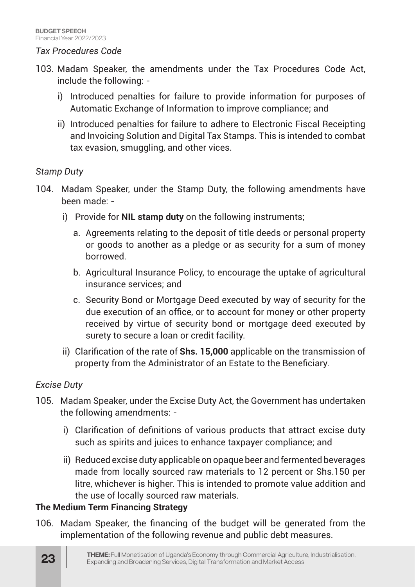#### *Tax Procedures Code*

- 103. Madam Speaker, the amendments under the Tax Procedures Code Act, include the following:
	- i) Introduced penalties for failure to provide information for purposes of Automatic Exchange of Information to improve compliance; and
	- ii) Introduced penalties for failure to adhere to Electronic Fiscal Receipting and Invoicing Solution and Digital Tax Stamps. This is intended to combat tax evasion, smuggling, and other vices.

#### *Stamp Duty*

- 104. Madam Speaker, under the Stamp Duty, the following amendments have been made:
	- i) Provide for **NIL stamp duty** on the following instruments;
		- a. Agreements relating to the deposit of title deeds or personal property or goods to another as a pledge or as security for a sum of money borrowed.
		- b. Agricultural Insurance Policy, to encourage the uptake of agricultural insurance services; and
		- c. Security Bond or Mortgage Deed executed by way of security for the due execution of an office, or to account for money or other property received by virtue of security bond or mortgage deed executed by surety to secure a loan or credit facility.
	- ii) Clarification of the rate of **Shs. 15,000** applicable on the transmission of property from the Administrator of an Estate to the Beneficiary.

#### *Excise Duty*

- 105. Madam Speaker, under the Excise Duty Act, the Government has undertaken the following amendments:
	- i) Clarification of definitions of various products that attract excise duty such as spirits and juices to enhance taxpayer compliance; and
	- ii) Reduced excise duty applicable on opaque beer and fermented beverages made from locally sourced raw materials to 12 percent or Shs.150 per litre, whichever is higher. This is intended to promote value addition and the use of locally sourced raw materials.

#### **The Medium Term Financing Strategy**

106. Madam Speaker, the financing of the budget will be generated from the implementation of the following revenue and public debt measures.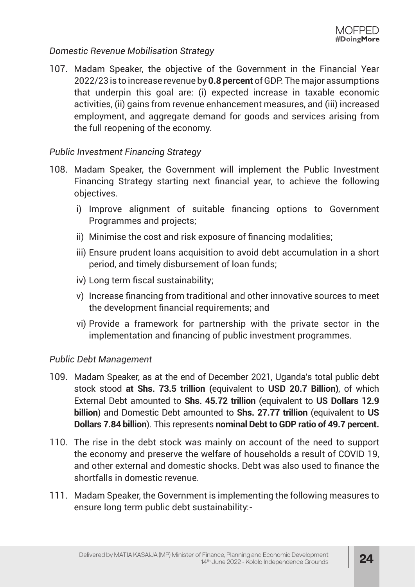#### *Domestic Revenue Mobilisation Strategy*

107. Madam Speaker, the objective of the Government in the Financial Year 2022/23 is to increase revenue by **0.8 percent** of GDP. The major assumptions that underpin this goal are: (i) expected increase in taxable economic activities, (ii) gains from revenue enhancement measures, and (iii) increased employment, and aggregate demand for goods and services arising from the full reopening of the economy.

#### *Public Investment Financing Strategy*

- 108. Madam Speaker, the Government will implement the Public Investment Financing Strategy starting next financial year, to achieve the following objectives.
	- i) Improve alignment of suitable financing options to Government Programmes and projects;
	- ii) Minimise the cost and risk exposure of financing modalities;
	- iii) Ensure prudent loans acquisition to avoid debt accumulation in a short period, and timely disbursement of loan funds;
	- iv) Long term fiscal sustainability;
	- v) Increase financing from traditional and other innovative sources to meet the development financial requirements; and
	- vi) Provide a framework for partnership with the private sector in the implementation and financing of public investment programmes.

#### *Public Debt Management*

- 109. Madam Speaker, as at the end of December 2021, Uganda's total public debt stock stood **at Shs. 73.5 trillion (**equivalent to **USD 20.7 Billion)**, of which External Debt amounted to **Shs. 45.72 trillion** (equivalent to **US Dollars 12.9 billion**) and Domestic Debt amounted to **Shs. 27.77 trillion** (equivalent to **US Dollars 7.84 billion**). This represents **nominal Debt to GDP ratio of 49.7 percent.**
- 110. The rise in the debt stock was mainly on account of the need to support the economy and preserve the welfare of households a result of COVID 19, and other external and domestic shocks. Debt was also used to finance the shortfalls in domestic revenue.
- 111. Madam Speaker, the Government is implementing the following measures to ensure long term public debt sustainability:-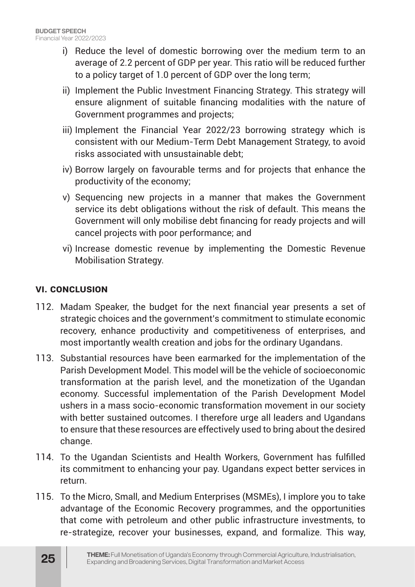- i) Reduce the level of domestic borrowing over the medium term to an average of 2.2 percent of GDP per year. This ratio will be reduced further to a policy target of 1.0 percent of GDP over the long term;
- ii) Implement the Public Investment Financing Strategy. This strategy will ensure alignment of suitable financing modalities with the nature of Government programmes and projects;
- iii) Implement the Financial Year 2022/23 borrowing strategy which is consistent with our Medium-Term Debt Management Strategy, to avoid risks associated with unsustainable debt;
- iv) Borrow largely on favourable terms and for projects that enhance the productivity of the economy;
- v) Sequencing new projects in a manner that makes the Government service its debt obligations without the risk of default. This means the Government will only mobilise debt financing for ready projects and will cancel projects with poor performance; and
- vi) Increase domestic revenue by implementing the Domestic Revenue Mobilisation Strategy.

#### **VI. CONCLUSION**

- 112. Madam Speaker, the budget for the next financial year presents a set of strategic choices and the government's commitment to stimulate economic recovery, enhance productivity and competitiveness of enterprises, and most importantly wealth creation and jobs for the ordinary Ugandans.
- 113. Substantial resources have been earmarked for the implementation of the Parish Development Model. This model will be the vehicle of socioeconomic transformation at the parish level, and the monetization of the Ugandan economy. Successful implementation of the Parish Development Model ushers in a mass socio-economic transformation movement in our society with better sustained outcomes. I therefore urge all leaders and Ugandans to ensure that these resources are effectively used to bring about the desired change.
- 114. To the Ugandan Scientists and Health Workers, Government has fulfilled its commitment to enhancing your pay. Ugandans expect better services in return.
- 115. To the Micro, Small, and Medium Enterprises (MSMEs), I implore you to take advantage of the Economic Recovery programmes, and the opportunities that come with petroleum and other public infrastructure investments, to re-strategize, recover your businesses, expand, and formalize. This way,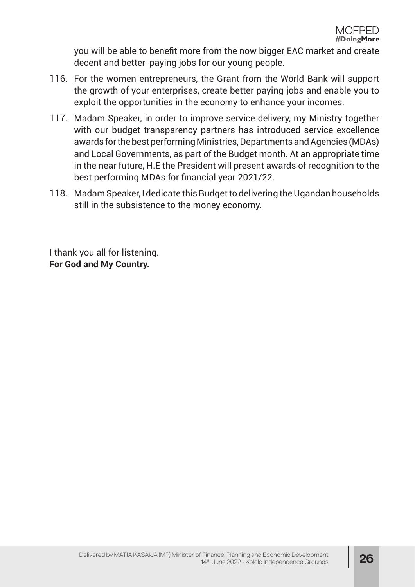you will be able to benefit more from the now bigger EAC market and create decent and better-paying jobs for our young people.

- 116. For the women entrepreneurs, the Grant from the World Bank will support the growth of your enterprises, create better paying jobs and enable you to exploit the opportunities in the economy to enhance your incomes.
- 117. Madam Speaker, in order to improve service delivery, my Ministry together with our budget transparency partners has introduced service excellence awards for the best performing Ministries, Departments and Agencies (MDAs) and Local Governments, as part of the Budget month. At an appropriate time in the near future, H.E the President will present awards of recognition to the best performing MDAs for financial year 2021/22.
- 118. Madam Speaker, I dedicate this Budget to delivering the Ugandan households still in the subsistence to the money economy.

I thank you all for listening. **For God and My Country.**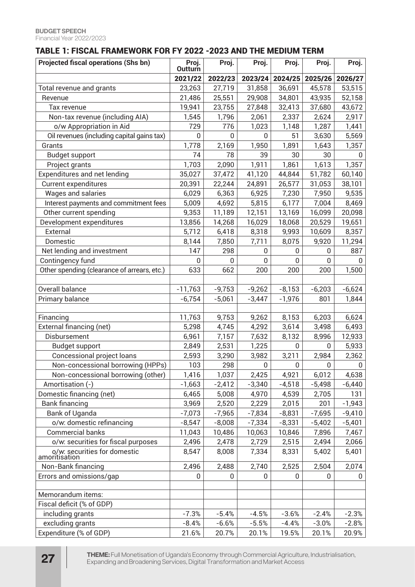#### TABLE 1: FISCAL FRAMEWORK FOR FY 2022 -2023 AND THE MEDIUM TERM

| <b>Projected fiscal operations (Shs bn)</b>   | Proj.<br>Outturn | Proj.    | Proj.            | Proj.        | Proj.          | Proj.        |
|-----------------------------------------------|------------------|----------|------------------|--------------|----------------|--------------|
|                                               | 2021/22          | 2022/23  | 2023/24          | 2024/25      | 2025/26        | 2026/27      |
| Total revenue and grants                      | 23,263           | 27,719   | 31,858           | 36,691       | 45,578         | 53,515       |
| Revenue                                       | 21,486           | 25,551   | 29,908           | 34,801       | 43,935         | 52,158       |
| Tax revenue                                   | 19,941           | 23,755   | 27,848           | 32,413       | 37,680         | 43,672       |
| Non-tax revenue (including AIA)               | 1,545            | 1,796    | 2,061            | 2,337        | 2,624          | 2,917        |
| o/w Appropriation in Aid                      | 729              | 776      | 1,023            | 1,148        | 1,287          | 1,441        |
| Oil revenues (including capital gains tax)    | $\boldsymbol{0}$ | 0        | $\mathbf{0}$     | 51           | 3,630          | 5,569        |
| Grants                                        | 1,778            | 2,169    | 1,950            | 1,891        | 1,643          | 1,357        |
| <b>Budget support</b>                         | 74               | 78       | 39               | 30           | 30             | 0            |
| Project grants                                | 1,703            | 2,090    | 1,911            | 1,861        | 1,613          | 1,357        |
| Expenditures and net lending                  | 35,027           | 37,472   | 41,120           | 44,844       | 51,782         | 60,140       |
| <b>Current expenditures</b>                   | 20,391           | 22,244   | 24,891           | 26,577       | 31,053         | 38,101       |
| Wages and salaries                            | 6,029            | 6,363    | 6,925            | 7,230        | 7,950          | 9,535        |
| Interest payments and commitment fees         | 5,009            | 4,692    | 5,815            | 6,177        | 7,004          | 8,469        |
| Other current spending                        | 9,353            | 11,189   | 12,151           | 13,169       | 16,099         | 20,098       |
| Development expenditures                      | 13,856           | 14,268   | 16,029           | 18,068       | 20,529         | 19,651       |
| External                                      | 5,712            | 6,418    | 8,318            | 9,993        | 10,609         | 8,357        |
| Domestic                                      | 8,144            | 7,850    | 7,711            | 8,075        | 9,920          | 11,294       |
| Net lending and investment                    | 147              | 298      | $\mathbf 0$      | 0            | $\mathbf{0}$   | 887          |
| Contingency fund                              | 0                | 0        | $\overline{0}$   | 0            | $\overline{0}$ | $\Omega$     |
| Other spending (clearance of arrears, etc.)   | 633              | 662      | 200              | 200          | 200            | 1,500        |
|                                               |                  |          |                  |              |                |              |
| Overall balance                               | $-11,763$        | $-9,753$ | $-9,262$         | $-8,153$     | $-6,203$       | $-6,624$     |
| Primary balance                               | $-6,754$         | $-5,061$ | $-3,447$         | $-1,976$     | 801            | 1,844        |
|                                               |                  |          |                  |              |                |              |
| Financing                                     | 11,763           | 9,753    | 9,262            | 8,153        | 6,203          | 6,624        |
| External financing (net)                      | 5,298            | 4,745    | 4,292            | 3,614        | 3,498          | 6,493        |
| Disbursement                                  | 6,961            | 7,157    | 7,632            | 8,132        | 8,996          | 12,933       |
| <b>Budget support</b>                         | 2,849            | 2,531    | 1,225            | 0            | 0              | 5,933        |
| <b>Concessional project loans</b>             | 2,593            | 3,290    | 3,982            | 3,211        | 2,984          | 2,362        |
| Non-concessional borrowing (HPPs)             | 103              | 298      | $\boldsymbol{0}$ | 0            | 0              | $\mathbf 0$  |
| Non-concessional borrowing (other)            | 1,416            | 1,037    | 2,425            | 4,921        | 6,012          | 4,638        |
| Amortisation (-)                              | $-1,663$         | $-2,412$ | $-3,340$         | $-4,518$     | $-5,498$       | $-6,440$     |
| Domestic financing (net)                      | 6,465            | 5,008    | 4,970            | 4,539        | 2,705          | 131          |
| <b>Bank financing</b>                         | 3,969            | 2,520    | 2,229            | 2,015        | 201            | $-1,943$     |
| Bank of Uganda                                | $-7,073$         | $-7,965$ | $-7,834$         | $-8,831$     | $-7,695$       | $-9,410$     |
| o/w: domestic refinancing                     | $-8,547$         | $-8,008$ | $-7,334$         | $-8,331$     | $-5,402$       | $-5,401$     |
| <b>Commercial banks</b>                       | 11,043           | 10,486   | 10,063           | 10,846       | 7,896          | 7,467        |
| o/w: securities for fiscal purposes           | 2,496            | 2,478    | 2,729            | 2,515        | 2,494          | 2,066        |
| o/w: securities for domestic<br>amoritisation | 8,547            | 8,008    | 7,334            | 8,331        | 5,402          | 5,401        |
| Non-Bank financing                            | 2,496            | 2,488    | 2,740            | 2,525        | 2,504          | 2,074        |
| Errors and omissions/gap                      | 0                | 0        | $\mathbf{0}$     | $\mathbf{0}$ | $\mathbf{0}$   | $\mathbf{0}$ |
|                                               |                  |          |                  |              |                |              |
| Memorandum items:                             |                  |          |                  |              |                |              |
| Fiscal deficit (% of GDP)                     |                  |          |                  |              |                |              |
| including grants                              | $-7.3%$          | $-5.4%$  | $-4.5%$          | $-3.6%$      | $-2.4%$        | $-2.3%$      |
| excluding grants                              | $-8.4%$          | $-6.6%$  | $-5.5%$          | $-4.4%$      | $-3.0%$        | $-2.8%$      |
| Expenditure (% of GDP)                        | 21.6%            | 20.7%    | 20.1%            | 19.5%        | 20.1%          | 20.9%        |

**THEME:** Full Monetisation of Uganda's Economy through Commercial Agriculture, Industrialisation, Expanding and Broadening Services, Digital Transformation and Market Access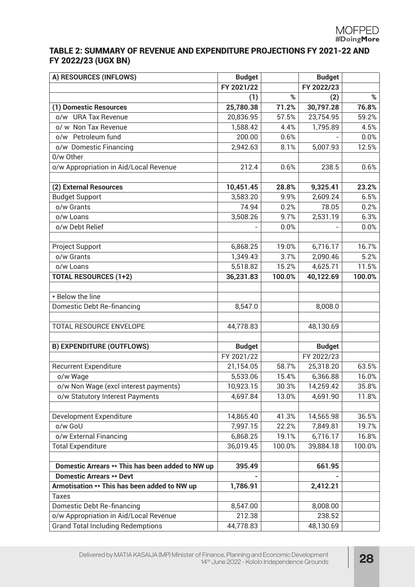#### TABLE 2: SUMMARY OF REVENUE AND EXPENDITURE PROJECTIONS FY 2021-22 AND FY 2022/23 (UGX BN)

| A) RESOURCES (INFLOWS)                           | <b>Budget</b> |        | <b>Budget</b> |        |
|--------------------------------------------------|---------------|--------|---------------|--------|
|                                                  | FY 2021/22    |        | FY 2022/23    |        |
|                                                  | (1)           | %      | (2)           | %      |
| (1) Domestic Resources                           | 25,780.38     | 71.2%  | 30,797.28     | 76.8%  |
| o/w URA Tax Revenue                              | 20,836.95     | 57.5%  | 23,754.95     | 59.2%  |
| o/ w Non Tax Revenue                             | 1,588.42      | 4.4%   | 1,795.89      | 4.5%   |
| o/w Petroleum fund                               | 200.00        | 0.6%   |               | 0.0%   |
| o/w Domestic Financing                           | 2,942.63      | 8.1%   | 5,007.93      | 12.5%  |
| 0/w Other                                        |               |        |               |        |
| o/w Appropriation in Aid/Local Revenue           | 212.4         | 0.6%   | 238.5         | 0.6%   |
|                                                  |               |        |               |        |
| (2) External Resources                           | 10,451.45     | 28.8%  | 9,325.41      | 23.2%  |
| <b>Budget Support</b>                            | 3,583.20      | 9.9%   | 2,609.24      | 6.5%   |
| o/w Grants                                       | 74.94         | 0.2%   | 78.05         | 0.2%   |
| o/w Loans                                        | 3,508.26      | 9.7%   | 2,531.19      | 6.3%   |
| o/w Debt Relief                                  |               | 0.0%   |               | 0.0%   |
|                                                  |               |        |               |        |
| Project Support                                  | 6,868.25      | 19.0%  | 6,716.17      | 16.7%  |
| o/w Grants                                       | 1,349.43      | 3.7%   | 2,090.46      | 5.2%   |
| o/w Loans                                        | 5,518.82      | 15.2%  | 4,625.71      | 11.5%  |
| <b>TOTAL RESOURCES (1+2)</b>                     | 36,231.83     | 100.0% | 40,122.69     | 100.0% |
|                                                  |               |        |               |        |
| * Below the line                                 |               |        |               |        |
| Domestic Debt Re-financing                       | 8,547.0       |        | 8,008.0       |        |
|                                                  |               |        |               |        |
| TOTAL RESOURCE ENVELOPE                          | 44,778.83     |        | 48,130.69     |        |
|                                                  |               |        |               |        |
| <b>B) EXPENDITURE (OUTFLOWS)</b>                 | <b>Budget</b> |        | <b>Budget</b> |        |
|                                                  | FY 2021/22    |        | FY 2022/23    |        |
| <b>Recurrent Expenditure</b>                     | 21,154.05     | 58.7%  | 25,318.20     | 63.5%  |
| o/w Wage                                         | 5,533.06      | 15.4%  | 6,366.88      | 16.0%  |
| o/w Non Wage (excl interest payments)            | 10,923.15     | 30.3%  | 14,259.42     | 35.8%  |
| o/w Statutory Interest Payments                  | 4,697.84      | 13.0%  | 4,691.90      | 11.8%  |
|                                                  |               |        |               |        |
| Development Expenditure                          | 14,865.40     | 41.3%  | 14,565.98     | 36.5%  |
| o/w GoU                                          | 7,997.15      | 22.2%  | 7,849.81      | 19.7%  |
| o/w External Financing                           | 6,868.25      | 19.1%  | 6,716.17      | 16.8%  |
| <b>Total Expenditure</b>                         | 36,019.45     | 100.0% | 39,884.18     | 100.0% |
|                                                  |               |        |               |        |
| Domestic Arrears ** This has been added to NW up | 395.49        |        | 661.95        |        |
| <b>Domestic Arrears ** Devt</b>                  |               |        |               |        |
| Armotisation ** This has been added to NW up     | 1,786.91      |        | 2,412.21      |        |
| <b>Taxes</b>                                     |               |        |               |        |
| Domestic Debt Re-financing                       | 8,547.00      |        | 8,008.00      |        |
| o/w Appropriation in Aid/Local Revenue           | 212.38        |        | 238.52        |        |
| <b>Grand Total Including Redemptions</b>         | 44,778.83     |        | 48,130.69     |        |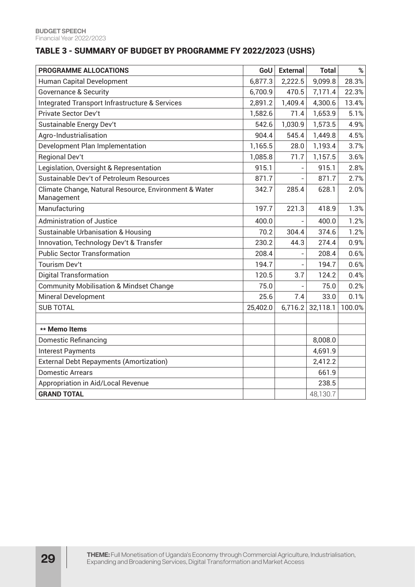#### TABLE 3 - SUMMARY OF BUDGET BY PROGRAMME FY 2022/2023 (USHS)

| PROGRAMME ALLOCATIONS                                               | GoU      | <b>External</b>          | <b>Total</b> | $\%$   |
|---------------------------------------------------------------------|----------|--------------------------|--------------|--------|
| Human Capital Development                                           | 6,877.3  | 2,222.5                  | 9,099.8      | 28.3%  |
| <b>Governance &amp; Security</b>                                    | 6,700.9  | 470.5                    | 7,171.4      | 22.3%  |
| Integrated Transport Infrastructure & Services                      | 2,891.2  | 1,409.4                  | 4,300.6      | 13.4%  |
| <b>Private Sector Dev't</b>                                         | 1,582.6  | 71.4                     | 1,653.9      | 5.1%   |
| Sustainable Energy Dev't                                            | 542.6    | 1,030.9                  | 1,573.5      | 4.9%   |
| Agro-Industrialisation                                              | 904.4    | 545.4                    | 1,449.8      | 4.5%   |
| Development Plan Implementation                                     | 1,165.5  | 28.0                     | 1,193.4      | 3.7%   |
| <b>Regional Dev't</b>                                               | 1,085.8  | 71.7                     | 1,157.5      | 3.6%   |
| Legislation, Oversight & Representation                             | 915.1    |                          | 915.1        | 2.8%   |
| Sustainable Dev't of Petroleum Resources                            | 871.7    |                          | 871.7        | 2.7%   |
| Climate Change, Natural Resource, Environment & Water<br>Management | 342.7    | 285.4                    | 628.1        | 2.0%   |
| Manufacturing                                                       | 197.7    | 221.3                    | 418.9        | 1.3%   |
| <b>Administration of Justice</b>                                    | 400.0    |                          | 400.0        | 1.2%   |
| <b>Sustainable Urbanisation &amp; Housing</b>                       | 70.2     | 304.4                    | 374.6        | 1.2%   |
| Innovation, Technology Dev't & Transfer                             | 230.2    | 44.3                     | 274.4        | 0.9%   |
| <b>Public Sector Transformation</b>                                 | 208.4    | $\overline{\phantom{0}}$ | 208.4        | 0.6%   |
| <b>Tourism Dev't</b>                                                | 194.7    | $\overline{a}$           | 194.7        | 0.6%   |
| <b>Digital Transformation</b>                                       | 120.5    | 3.7                      | 124.2        | 0.4%   |
| <b>Community Mobilisation &amp; Mindset Change</b>                  | 75.0     |                          | 75.0         | 0.2%   |
| <b>Mineral Development</b>                                          | 25.6     | 7.4                      | 33.0         | 0.1%   |
| <b>SUB TOTAL</b>                                                    | 25,402.0 | 6,716.2                  | 32,118.1     | 100.0% |
|                                                                     |          |                          |              |        |
| ** Memo Items                                                       |          |                          |              |        |
| <b>Domestic Refinancing</b>                                         |          |                          | 8,008.0      |        |
| <b>Interest Payments</b>                                            |          |                          | 4,691.9      |        |
| <b>External Debt Repayments (Amortization)</b>                      |          |                          | 2,412.2      |        |
| <b>Domestic Arrears</b>                                             |          |                          | 661.9        |        |
| Appropriation in Aid/Local Revenue                                  |          |                          | 238.5        |        |
| <b>GRAND TOTAL</b>                                                  |          |                          | 48,130.7     |        |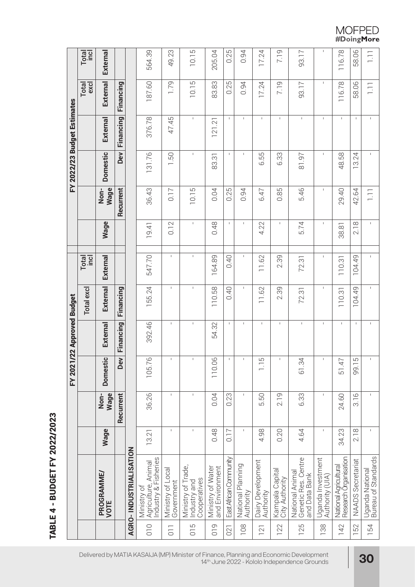# TABLE 4 - BUDGET FY 2022/2023 TABLE 4 - BUDGET FY 2022/2023

|                |                                                            |              |                |                 | FY 2021/22 Approved Budget |             |               |              |                  |                 | FY 2022/23 Budget Estimates |                  |                |
|----------------|------------------------------------------------------------|--------------|----------------|-----------------|----------------------------|-------------|---------------|--------------|------------------|-----------------|-----------------------------|------------------|----------------|
|                |                                                            |              |                |                 |                            | Total excl  | Total<br>Incl |              |                  |                 |                             | excl<br>Total    | <b>Total</b>   |
|                | PROGRAMME/<br>VOTE                                         | Wage         | Wage<br>Non-   | <b>Domestic</b> | External                   | External    | External      | <b>Wage</b>  | Wage<br>Non-     | <b>Domestic</b> | External                    | External         | External       |
|                |                                                            |              | Recurrent      | Dev             | Financing                  | Financing   |               |              | Recurrent        | <b>Dev</b>      | Financing                   | Financing        |                |
|                | AGRO-INDUSTRIALISATION                                     |              |                |                 |                            |             |               |              |                  |                 |                             |                  |                |
| 010            | Industry & Fisheries<br>Agriculture, Animal<br>Ministry of | 13.21        | 36.26          | 105.76          | 392.46                     | 155.24      | 547.70        | 19.41        | 36.43            | 131.76          | 376.78                      | 187.60           | 564.39         |
| $\overline{0}$ | Ministry of Local<br>Government                            | $\mathsf I$  | $\mathsf I$    |                 | $\mathsf I$                | $\mathsf I$ | $\mathsf I$   | 0.12         | 0.17             | <b>1.50</b>     | 47.45                       | 1.79             | 49.23          |
| $\frac{5}{10}$ | Ministry of Trade,<br>Cooperatives<br>Industry and         | $\mathbf{I}$ | $\mathsf I$    |                 | $\mathsf I$                | $\mathsf I$ | $\mathsf I$   | $\mathsf I$  | 10.15            | $\mathsf I$     | $\mathsf I$                 | 10.15            | 10.15          |
| 019            | and Environment<br>Ministry of Water                       | 0.48         | 0.04           | 110.06          | 54.32                      | 110.58      | 164.89        | 0.48         | 0.04             | 83.31           | 121.21                      | 83.83            | 205.04         |
| 021            | East African Community                                     | 717          | 0.23           |                 | $\mathbf I$                | 0.40        | 0.40          | $\mathbf{I}$ | 0.25             | $\mathbf I$     | -1                          | 0.25             | 0.25           |
| 108            | National Planning<br>Authority                             | $\mathsf I$  | $\mathsf I$    |                 | 1                          | L           | $\mathsf I$   | 1            | 0.94             | $\mathsf I$     | $\mathsf{I}$                | 0.94             | 0.94           |
| 121            | Dairy Development<br>Authority                             | 4.98         | 5.50           | $-1.15$         | $\mathsf I$                | 11.62       | 11.62         | 4.22         | 6.47             | 6.55            | $\mathbb{L}$                | 17.24            | 17.24          |
| 122            | Kampala Capital<br>City Authority                          | 0.20         | 2.19           |                 | $\mathsf I$                | 2.39        | 2.39          | $\mathbf{I}$ | 85<br>Ö          | 6.33            | $\mathbf{I}$                | 7.19             | 7.19           |
| 125            | Genetic Res. Centre<br>and Data Bank<br>National Animal    | 4.64         | 6.33           | 61.34           | $\mathsf I$                | 72.31       | 72.31         | 5.74         | 5.46             | 81.97           | $\mathsf I$                 | 93.17            | 93.17          |
| 138            | Uganda Investment<br>Authority (UIA)                       | $\mathbf I$  | $\overline{1}$ |                 | $\mathsf I$                | $\mathsf I$ | $\mathbf{I}$  | $\mathsf I$  | $\overline{1}$   | $\mathsf I$     | $\mathsf I$                 | Τ.               | $\mathsf I$    |
| 142            | National Agricultural<br>Research Organisation             | 34.23        | 24.60          | 51.47           | $\mathsf I$                | 110.31      | 110.31        | 38.81        | 29.40            | 48.58           | $\mathsf I$                 | 116.78           | 116.78         |
| 152            | <b>NAADS Secretariat</b>                                   | 2.18         | 3.16           | 99.15           | $\mathsf I$                | 104.49      | 104.49        | 2.18         | 42.64            | 13.24           | $\mathbf{I}$                | 58.06            | 58.06          |
| 154            | Uganda National<br>Bureau of Standards                     | $\mathbf I$  | $\sf I$        |                 | $\sf I$                    | $\mathsf I$ | $\mathsf I$   | $\sf I$      | $\overline{111}$ | $\mathsf I$     | $\mathsf I$                 | $\overline{1}$ . | $\overline{=}$ |

Delivered by MATIA KASAIJA (MP) Minister of Finance, Planning and Economic Development 14th June 2022 - Kololo Independence Grounds **30**

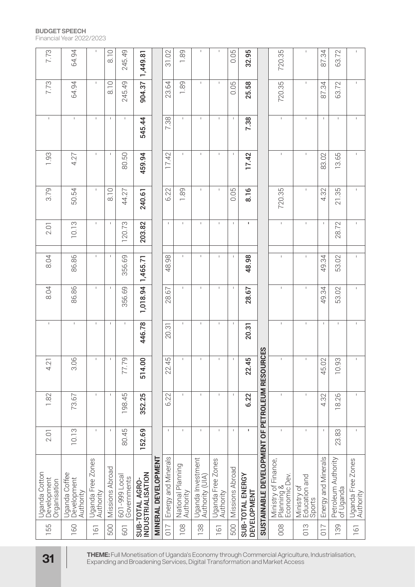| 7.73                                         | 64.94                                     | $\mathbf{I}$                   | 8.10            | 245.49                       | 1,449.81                             |                            | 31.02               | 1.89                           | Ï                                    | $\mathbf{I}$                   | 0.05            | 32.95                           |                                             | 720.35                                                                                                                                                                         | $\mathbf{I}$                           | 87.34               | 63.72                            | $\mathbf{I}$                   |
|----------------------------------------------|-------------------------------------------|--------------------------------|-----------------|------------------------------|--------------------------------------|----------------------------|---------------------|--------------------------------|--------------------------------------|--------------------------------|-----------------|---------------------------------|---------------------------------------------|--------------------------------------------------------------------------------------------------------------------------------------------------------------------------------|----------------------------------------|---------------------|----------------------------------|--------------------------------|
| 7.73                                         | 64.94                                     | $\mathsf I$                    | 8.10            | 245.49                       | 904.37                               |                            | 23.64               | 1.89                           | $\mathbf I$                          | $\mathbf{I}$                   | 0.05            | 25.58                           |                                             | 720.35                                                                                                                                                                         | $\mathsf I$                            | 87.34               | 63.72                            |                                |
| $\mathsf I$                                  | $\mathbf{I}$                              | $\mathbf{I}$                   | $\mathbb{L}$    | $\mathsf I$                  | 545.44                               |                            | 7.38                | $\mathsf I$                    | $\mathbf I$                          | $\mathbf{I}$                   | $\mathbf{I}$    | 7.38                            |                                             | $\mathsf{I}$                                                                                                                                                                   | $\mathbf{I}$                           | $\mathsf I$         | $\mathbf{I}$                     |                                |
| 1.93                                         | 4.27                                      | $\mathsf I$                    | $\mathbf{I}$    | 80.50                        | 459.94                               |                            | 17.42               | $\mathsf I$                    | $\mathsf I$                          | $\mathbf{I}$                   | $\mathsf I$     | 17.42                           |                                             | $\mathsf I$                                                                                                                                                                    | $\mathsf I$                            | 83.02               | 13.65                            |                                |
| 3.79                                         | 50.54                                     | $\mathsf I$                    | $\frac{0}{8}$   | 44.27                        | 240.61                               |                            | 6.22                | 1.89                           | $\mathbf I$                          |                                | 0.05            | 8.16                            |                                             | 720.35                                                                                                                                                                         | $\mathsf I$                            | 4.32                | 21.35                            |                                |
| 2.01                                         | 10.13                                     | $\mathsf I$                    | $\mathsf I$     | 120.73                       | 203.82                               |                            | $\mathbb{I}$        | $\mathbf{I}$                   | $\overline{1}$                       | $\mathbf{I}$                   | $\mathbf{I}$    | 1                               |                                             | $\mathbf{I}$                                                                                                                                                                   | $\mathsf I$                            | $\mathsf I$         | 28.72                            |                                |
| 8.04                                         | 86.86                                     | $\mathbf{I}$                   | $\mathbf{I}$    | 356.69                       | 1,465.71                             |                            | 48.98               | $\mathbf{I}$                   | J.                                   |                                | $\mathbf{I}$    | 48.98                           |                                             | $\mathsf I$                                                                                                                                                                    | I                                      | 49.34               | 53.02                            |                                |
| 8.04                                         | 86.86                                     | $\mathsf I$                    | $\mathbf{I}$    | 356.69                       | 1,018.94                             |                            | 28.67               | $\mathbf{I}$                   | $\mathbb{I}$                         | $\mathsf I$                    | $\mathbf I$     | 28.67                           |                                             | $\mathsf I$                                                                                                                                                                    | $\mathsf I$                            | 49.34               | 53.02                            |                                |
| $\mathsf I$                                  | $\mathsf I$                               | $\mathbf{I}$                   | $\mathsf I$     | $\mathsf I$                  | 446.78                               |                            | 20.31               | $\mathsf I$                    | $\mathbf I$                          | $\mathbf{I}$                   | $\mathbf I$     | 20.31                           | CES                                         | $\mathsf I$                                                                                                                                                                    | $\mathbf{I}$                           | $\mathsf I$         | $\mathbf{I}$                     |                                |
| 4.2                                          | 3.06                                      |                                |                 | 77.79                        | 514.00                               |                            | 45<br>22.           |                                |                                      |                                |                 | 22.45                           |                                             |                                                                                                                                                                                |                                        | 45.02               | 0.93                             |                                |
| 1.82                                         | 73.67                                     | $\mathbf{I}$                   | $\mathbf{I}$    | 198.45                       | 352.25                               |                            | 6.22                | $\mathsf I$                    | $\mathsf I$                          | $\mathbf{I}$                   | $\mathsf I$     | 6.22                            |                                             | $\mathsf I$                                                                                                                                                                    | $\mathbf{I}$                           | 4.32                | 26<br>$\infty$                   |                                |
| 2.01                                         | 10.13                                     | $\mathsf I$                    | $\mathbf{1}$    | 80.45                        | 152.69                               |                            | $\mathsf{I}$        | $\mathsf I$                    | $\mathsf I$                          | $\mathbf{I}$                   | $\mathsf I$     | $\mathbf I$                     |                                             | $\mathbf{I}$                                                                                                                                                                   | $\mathsf I$                            | $\mathbf{I}$        | 23.83                            |                                |
| Uganda Cotton<br>Development<br>Organisation | Uganda Coffee<br>Development<br>Authority | Uganda Free Zones<br>Authority | Missions Abroad | 601-999 Local<br>Governments | INDUSTRIALISATION<br>SUB-TOTAL AGRO- | <b>MINERAL DEVELOPMENT</b> | Energy and Minerals | National Planning<br>Authority | Uganda Investment<br>Authority (UIA) | Uganda Free Zones<br>Authority | Missions Abroad | SUB-TOTAL ENERGY<br>DEVELOPMENT | SUSTAINABLE DEVELOPMENT OF PETROLEUM RESOUR | Ministry of Finance,<br> Planning &<br>  Economic Dev.                                                                                                                         | Ministry of<br>Education and<br>Sports | Energy and Minerals | Petroleum Authority<br>of Uganda | Uganda Free Zones<br>Authority |
| 155                                          | 160                                       | 161                            | 500             | <b>GOT</b>                   |                                      |                            | $\overline{017}$    | 108                            | 138                                  | 161                            | 500             |                                 |                                             | 008                                                                                                                                                                            | 013                                    | 710                 | 89                               | 161                            |
| 31                                           |                                           |                                |                 |                              |                                      |                            |                     |                                |                                      |                                |                 |                                 |                                             | THEME: Full Monetisation of Uganda's Economy through Commercial Agriculture, Industrialisation,<br>Expanding and Broadening Services, Digital Transformation and Market Access |                                        |                     |                                  |                                |

#### **BUDGET SPEECH**

Financial Year 2022/2023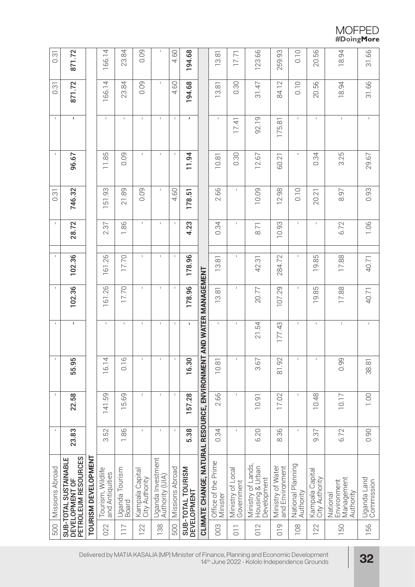$\begin{array}{c} \text{MOFPED} \\ \text{\#DoingMore} \end{array}$ 

| 500             | Missions Abroad                                                    | $\mathsf I$  | $\mathbf{I}$      | $\mathbf I$                | $\mathbf{I}$ | $\mathsf I$ | $\mathsf{I}$ | $\mathsf I$                    | 0.31        | $\mathsf I$  | $\mathsf I$  | 0.31        | 0.31        |
|-----------------|--------------------------------------------------------------------|--------------|-------------------|----------------------------|--------------|-------------|--------------|--------------------------------|-------------|--------------|--------------|-------------|-------------|
|                 | PETROLEUM RESOURCES<br>SUB-TOTAL SUSTAINABLE<br>DEVELOPMENT OF     | 23.83        | 22.58             | 55.95                      | $\mathbf I$  | 102.36      | 102.36       | 28.72                          | 746.32      | 96.67        | $\mathbf{I}$ | 871.72      | 871.72      |
|                 | TOURISM DEVELOPMENT                                                |              |                   |                            |              |             |              |                                |             |              |              |             |             |
| 022             | Tourism, Wildlife<br>and Antiquities                               | 3.52         | 141.59            | 4<br>16.1                  | $\mathsf I$  | 161.26      | 161.26       | 2.37                           | 51.93       | 11.85        | $\mathbf{I}$ | 166.14      | 166.14      |
| 117             | Uganda Tourism<br>Board                                            | 1.86         | 15.69             | 9<br>$\overline{\bigcirc}$ | $\mathsf I$  | 17.70       | 17.70        | 96<br>$\overline{\phantom{0}}$ | 21.89       | 0.09         | $\mathsf{I}$ | 23.84       | 23.84       |
| 122             | Kampala Capital<br>City Authority                                  | $\mathbf{I}$ | $\mathsf I$       | $\mathsf I$                | $\mathsf I$  | $\mathsf I$ | $\mathsf I$  | $\mathsf I$                    | 0.09        | $\mathsf I$  | $\mathsf I$  | 0.09        | 0.09        |
| 138             | Uganda Investment<br>Authority (UIA)                               | $\mathbf{I}$ | $\mathsf I$       | $\mathsf I$                | $\mathsf I$  | $\mathsf I$ | 1            | $\mathbb{L}$                   | $\mathsf I$ | $\mathsf I$  | $\mathsf I$  | $\mathsf I$ | $\mathbf I$ |
| 500             | Missions Abroad                                                    | $\mathbf{I}$ | -1                | $\mathsf I$                | -1           | -1          | $\mathbf{I}$ | -1                             | 4.60        | $\mathbf I$  | $\mathsf I$  | 4.60        | 4.60        |
|                 | SUB-TOTAL TOURISM<br><b>DEVELOPMENT</b>                            | 5.38         | 157.28            | 16.30                      | $\mathbf{I}$ | 178.96      | 178.96       | 4.23                           | 178.51      | 11.94        | $\mathbf{I}$ | 194.68      | 194.68      |
|                 | CLIMATE CHANGE, NATURAL RESOURCE, ENVIRONNENT AND WATER MANAGEMENT |              |                   |                            |              |             |              |                                |             |              |              |             |             |
| 003             | Office of the Prime<br>Minister                                    | 0.34         | 2.66              | 10.81                      | $\mathbb{L}$ | 13.81       | 13.81        | 0.34                           | 2.66        | 10.81        | $\mathbb{I}$ | 13.81       | 13.81       |
| $\overline{10}$ | Ministry of Local<br>Government                                    | $\sf I$      | $\mathsf I$       | $\mathsf I$                | $\mathsf I$  | $\mathsf I$ | $\mathsf I$  | $\mathbf{I}$                   | $\mathbf I$ | 0.30         | 17.41        | 0.30        | 17.71       |
| 012             | Ministry of Lands,<br>Housing & Urban<br>Development               | 6.20         | 10.91             | 3.67                       | 21.54        | 20.77       | 42.31        | 8.71                           | 10.09       | 12.67        | 92.19        | 31.47       | 123.66      |
| $\frac{1}{2}$   | Ministry of Water<br>and Environment                               | 8.36         | 17.02             | 81.92                      | 177.43       | 107.29      | 284.72       | 10.93                          | 12.98       | 60.21        | 175.81       | 84.12       | 259.93      |
| 108             | National Planning<br>Authority                                     | $\mathsf I$  | $\mathsf I$       | $\mathsf{I}$               | 1            | 1           | $\mathsf I$  | $\mathbb{L}$                   | 0.10        | $\mathbb{L}$ | $\mathsf{L}$ | 0.10        | 0.10        |
| 122             | Kampala Capital<br>City Authority                                  | 9.37         | 10.48             | $\mathsf I$                | $\mathsf{I}$ | 19.85       | 19.85        | $\mathbb T$                    | 20.21       | 0.34         | $\mathsf{I}$ | 20.56       | 20.56       |
| 150             | Management<br>Environment<br>Authority<br>National                 | 6.72         | 10.17             | 0.99                       | $\mathsf I$  | 17.88       | 17.88        | 6.72                           | 8.97        | 3.25         | $\mathsf I$  | 18.94       | 18.94       |
| 156             | Uganda Land<br>Commission                                          | 0.90         | $\frac{100}{100}$ | 38.81                      | $\mathbb{L}$ | 40.71       | 40.71        | 1.06                           | 0.93        | 29.67        | $\mathbb{L}$ | 31.66       | 31.66       |

Delivered by MATIA KASAIJA (MP) Minister of Finance, Planning and Economic Development 14th June 2022 - Kololo Independence Grounds **32**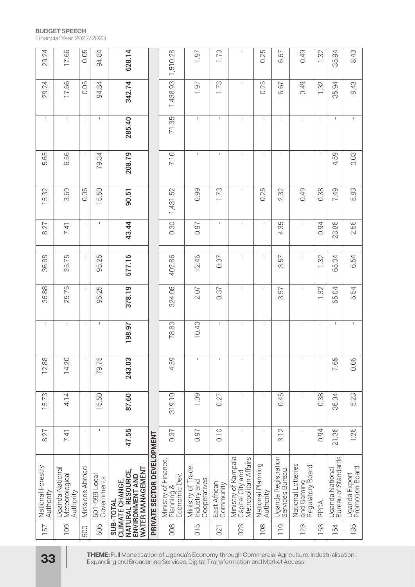#### **BUDGET SPEECH**

Financial Year 2022/2023

| 29.24                          | 17.66                                          | 0.05            | 94.84                        | 628.14                                                                                                                                                                         |                            | 1,510.28                                            | 1.97                                               | 1.73                      | $\mathbf{I}$                                                    | 0.25                           | 6.67                                   | 0.49                                                 | 1.32         | 35.94                                  | 8.43                             |
|--------------------------------|------------------------------------------------|-----------------|------------------------------|--------------------------------------------------------------------------------------------------------------------------------------------------------------------------------|----------------------------|-----------------------------------------------------|----------------------------------------------------|---------------------------|-----------------------------------------------------------------|--------------------------------|----------------------------------------|------------------------------------------------------|--------------|----------------------------------------|----------------------------------|
| 29.24                          | 17.66                                          | 0.05            | 94.84                        | 342.74                                                                                                                                                                         |                            | 1,438.93                                            | 1.97                                               | 1.73                      | Τ.                                                              | 0.25                           | 6.67                                   | 0.49                                                 | 1.32         | 35.94                                  | 8.43                             |
| $\mathsf{I}$                   | $\mathsf I$                                    | $\mathbf{I}$    | $\mathsf I$                  | 285.40                                                                                                                                                                         |                            | 71.35                                               | $\mathsf I$                                        | $\mathbf{I}$              | $\mathbf{I}$                                                    | $\mathsf I$                    | $\overline{1}$                         | $\overline{1}$                                       | $\mathbf{I}$ | $\mathbf{I}$                           | $\mathbf{I}$                     |
| 5.65                           | 6.56                                           | $\mathsf I$     | 79.34                        | 208.79                                                                                                                                                                         |                            | 7.10                                                | $\mathsf I$                                        | $\mathsf I$               | $\mathsf I$                                                     | $\mathsf I$                    | $\mathsf I$                            | $\mathbf I$                                          | $\mathsf I$  | 4.59                                   | 0.03                             |
| 15.32                          | 3.69                                           | 0.05            | 15.50                        | 90.51                                                                                                                                                                          |                            | 1,431.52                                            | 0.99                                               | 1.73                      | $\mathbb{I}$                                                    | 0.25                           | 2.32                                   | 0.49                                                 | 0.38         | 7.49                                   | 5.83                             |
| 8.27                           | 7.41                                           | $\mathsf I$     | $\mathsf I$                  | 43.44                                                                                                                                                                          |                            | 0.30                                                | 0.97                                               | $\mathsf{I}$              | $\mathbf{I}$                                                    | $\mathsf I$                    | 4.35                                   | $\mathsf I$                                          | 0.94         | 23.86                                  | 2.56                             |
| 36.88                          | 25.75                                          | $\mathbf{I}$    | 95.25                        | 577.16                                                                                                                                                                         |                            | 402.86                                              | 12.46                                              | 0.37                      | $\mathsf I$                                                     | $\mathsf I$                    | 3.57                                   | $\mathsf I$                                          | 1.32         | 65.04                                  | 6.54                             |
| 36.88                          | 25.75                                          | $\mathsf I$     | 95.25                        | 378.19                                                                                                                                                                         |                            | 324.06                                              | 2.07                                               | 0.37                      | $\mathbb{I}$                                                    | $\mathsf I$                    | 3.57                                   | $\mathsf I$                                          | 1.32         | 65.04                                  | 6.54                             |
| $\mathsf{L}$                   | $\mathsf I$                                    | $\mathsf I$     | $\mathbf I$                  | 198.97                                                                                                                                                                         |                            | 78.80                                               | 10.40                                              | $\mathsf I$               | $\mathbf{I}$                                                    | $\mathbf{I}$                   | $\overline{1}$                         | J.                                                   | $\mathsf I$  | $\mathsf I$                            | $\mathbf{I}$                     |
| 12.88                          | 14.2C                                          |                 | 79.75                        | 243.03                                                                                                                                                                         |                            | 4.59                                                |                                                    |                           |                                                                 |                                |                                        |                                                      |              | 7.65                                   | 0.06                             |
| 15.73                          | 4.14                                           | $\mathsf I$     | 15.50                        | 87.60                                                                                                                                                                          |                            | 319.10                                              | 1.09                                               | 0.27                      | $\mathsf I$                                                     | $\mathsf I$                    | 0.45                                   | $\overline{1}$                                       | 0.38         | 36.04                                  | 5.23                             |
| 8.27                           | 7.41                                           | $\mathsf I$     | $\mathsf I$                  | 47.55                                                                                                                                                                          |                            | 0.37                                                | 0.97                                               | 0.10                      | $\mathsf I$                                                     | $\mathsf I$                    | 3.12                                   | $\overline{1}$                                       | 0.94         | 36.<br>$\overline{2}$                  | 1.26                             |
| National Forestry<br>Authority | Uganda National<br>Meteorological<br>Authority | Missions Abroad | 601-999 Local<br>Governments | WATER MANAGEMENT<br>NATURAL RESOURCE,<br>ENVIRONMENT AND<br>CLIMATE CHANGE,<br>SUB-TOTAL                                                                                       | PRIVATE SECTOR DEVELOPMENT | Ministry of Finance,<br>Planning &<br>Economic Dev. | Ministry of Trade,<br>Cooperatives<br>Industry and | East African<br>Community | Ministry of Kampala<br>Metropolitan Affairs<br>Capital City and | National Planning<br>Authority | Uganda Registration<br>Services Bureau | National Lotteries<br>and Gaming<br>Regulatory Board | PPDA         | Bureau of Standards<br>Uganda National | Uganda Export<br>Promotion Board |
| 57<br>$\overline{\phantom{0}}$ | <b>109</b>                                     | <b>500</b>      | 606                          |                                                                                                                                                                                |                            | 008                                                 | $\frac{5}{10}$                                     | 021                       | 023                                                             | 108                            | $\frac{10}{10}$                        | 123                                                  | 53           | 54                                     | 136                              |
| <b>33</b>                      |                                                |                 |                              | THEME: Full Monetisation of Uganda's Economy through Commercial Agriculture, Industrialisation,<br>Expanding and Broadening Services, Digital Transformation and Market Access |                            |                                                     |                                                    |                           |                                                                 |                                |                                        |                                                      |              |                                        |                                  |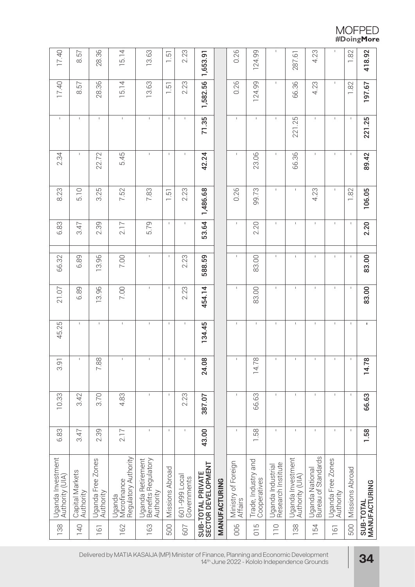$\begin{array}{c} \text{MOFPED} \\ \text{\#DoingMore} \end{array}$ 

| 418.92                           | 197.67       | 221.25       | 89.42        | 106.05       | 2.20         | 83.00       | 83.00        | 1            | 14.78                              | 66.63       | 1.58         | MANUFACTURING<br>SUB-TOTAL                                |                  |
|----------------------------------|--------------|--------------|--------------|--------------|--------------|-------------|--------------|--------------|------------------------------------|-------------|--------------|-----------------------------------------------------------|------------------|
| 1.82                             | 1.82         | $\mathsf I$  | $\mathbf I$  | 1.82         | $\mathsf I$  | $\mathbf I$ | $\mathbf I$  | $\mathsf I$  | $\mathsf I$                        | $\mathbf I$ | $\mathbf{I}$ | Missions Abroad                                           | 500              |
| I                                | $\mathsf I$  | $\mathbf I$  | $\mathbf{I}$ | $\mathsf{L}$ | I.           | L           | I.           | ı            | $\mathsf I$                        | $\mathbf I$ | $\mathbf{I}$ | Uganda Free Zones<br>Authority                            | 161              |
| 4.23                             | 4.23         | $\mathsf I$  | $\mathsf I$  | 4.23         | $\mathsf I$  | $\mathsf I$ | $\mathsf I$  | $\mathsf I$  | $\mathsf I$                        | $\mathsf I$ | $\mathsf I$  | Bureau of Standards<br>Uganda National                    | 154              |
| 287.61                           | 66.36        | 221.25       | 66.36        | $\mathsf I$  | $\mathsf I$  | $\mathsf I$ | $\mathsf I$  | $\mathsf I$  | $\mathsf I$                        | $\mathsf I$ | $\mathbf{I}$ | Uganda Investment<br>Authority (UIA)                      | 138              |
| I.                               | $\mathbf{I}$ | $\mathsf I$  | $\mathbf I$  | $\mathsf I$  | $\mathsf I$  | $\mathsf I$ | $\mathbf I$  | $\mathbf I$  | $\mathsf I$                        | $\mathsf I$ | $\mathbf I$  | Uganda Industrial<br>Research Institute                   | $\overline{110}$ |
| 124.99                           | 124.99       | $\mathsf{I}$ | 23.06        | 99.73        | 2.20         | 83.00       | 83.00        | $\mathsf I$  | $\infty$<br>14.7                   | 66.63       | 1.58         | Trade, Industry and<br>Cooperatives                       | $\frac{5}{0}$    |
| 0.26                             | 0.26         | $\mathsf I$  | $\mathsf I$  | 0.26         | Τ.           | $\mathbf I$ | $\mathbf{I}$ | $\mathsf I$  | $\mathsf I$                        | $\mathsf I$ | $\mathsf I$  | Ministry of Foreign<br>Affairs                            | 006              |
|                                  |              |              |              |              |              |             |              |              |                                    |             |              | MANUFACTURING                                             |                  |
| 1,653.91                         | 1,582.56     | 71.35        | 42.24        | 1,486.68     | 53.64        | 588.59      | 454.14       | 134.45       | $\infty$<br>24.03                  | 387.07      | 43.00        | SUB-TOTAL PRIVATE<br>SECTOR DEVELOPMENT                   |                  |
| 2.23                             | 2.23         | $\mathsf I$  | $\mathbf I$  | 2.23         | Τ.           | 2.23        | 2.23         | $\mathsf I$  | $\mathsf I$                        | 2.23        | $\mathbf I$  | 601-999 Local<br>Governments                              | 607              |
| $\overline{5}$<br>$\overline{ }$ | 1.51         | $\mathbf I$  | $\mathbf I$  | $-1.51$      | $\mathbf{I}$ | $\mathsf I$ | $\mathbf{I}$ | $\mathbb{I}$ | $\mathsf I$                        | $\mathsf I$ | $\mathbf{I}$ | Missions Abroad                                           | 500              |
| 13.63                            | 13.63        | $\mathsf I$  | $\mathsf I$  | 7.83         | 5.79         | $\mathsf I$ | $\mathsf I$  | $\mathsf I$  | $\mathsf I$                        | $\mathsf I$ | $\mathsf I$  | Uganda Retirement<br>  Benefits Regulatory<br>  Authority | 163              |
| 15.14                            | 15.14        | $\mathsf I$  | 5.45         | 7.52         | 2.17         | 7.00        | 7.00         | $\mathbf{I}$ | $\,$ I                             | 4.83        | 2.17         | Regulatory Authority<br>  Uganda<br>  Microfinance        | 162              |
| 28.36                            | 28.36        | $\mathbb{I}$ | 22.72        | 3.25         | 2.39         | 13.96       | 13.96        | $\mathbb{I}$ | 7.88                               | 3.70        | 2.39         | Uganda Free Zones<br>Authority                            | 161              |
| 8.57                             | 8.57         | $\mathsf{I}$ | $\mathsf{I}$ | 5.10         | 3.47         | 6.89        | 6.89         | $\mathsf{L}$ | $\mathsf I$                        | 3.42        | 3.47         | Capital Markets<br>Authority                              | <b>140</b>       |
| 17.40                            | 17.40        | $\mathsf I$  | 2.34         | 8.23         | 6.83         | 66.32       | 21.07        | 45.25        | $\overline{\phantom{0}}$<br>ີ<br>ວ | 10.33       | 6.83         | Uganda Investment<br>Authority (UIA)                      | 138              |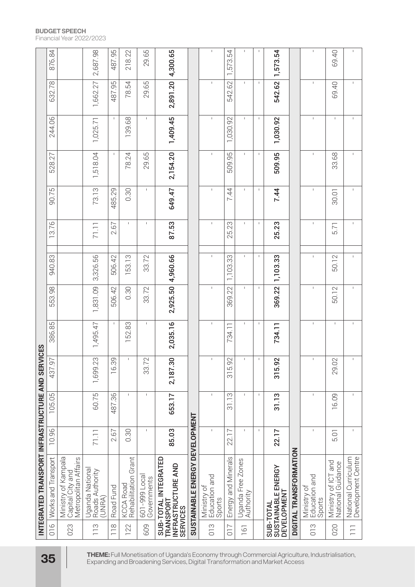|                 | INTEGRATED TRANSPORT INFRASTRUCTURE AND SERVICES                           |                      |                                     |                        |             |              |             |              |             |              |              |              |           |
|-----------------|----------------------------------------------------------------------------|----------------------|-------------------------------------|------------------------|-------------|--------------|-------------|--------------|-------------|--------------|--------------|--------------|-----------|
| $\frac{6}{10}$  | Works and Transport                                                        | 10.96                | 105.05                              | 437.97                 | 386.85      | 553.98       | 940.83      | 3.76         | 90.75       | 528.27       | 244.06       | 632.78       | 876.84    |
| 023             | Ministry of Kampala<br>Capital City and<br>Metropolitan Affairs            |                      |                                     |                        |             |              |             |              |             |              |              |              |           |
| $\frac{3}{1}$   | Uganda Nationa<br>Rõads Authority<br>(UNRA)                                | 71.11                | 60.75                               | 1,699.23               | 1,495.47    | 1,831.09     | 3,326.56    | 71.11        | 73.13       | 1,518.04     | 1,025.71     | 1,662.27     | 2,687.98  |
| $\frac{8}{10}$  | Road Fund                                                                  | 2.67                 | 487.36                              | 9<br>16.3              | -1          | 506.42       | 506.42      | 2.67         | 485.29      | $\mathsf I$  | $\mathsf I$  | 487.95       | 487.95    |
| 122             | Grant<br>KCCA Road<br>Rehabilitation                                       | 0.30                 | $\mathsf I$                         | $\mathsf I$            | 52.83       | 0.30         | 53.13       | $\mathbf{I}$ | 0.30        | 78.24        | 139.68       | 78.54        | 22<br>218 |
| 609             | 601-999 Local<br>Governments                                               | $\mathsf I$          | $\mathsf I$                         | $\sim$<br>33.7         | $\mathsf I$ | 33.72        | 33.72       | Τ.           | $\mathsf I$ | 29.65        | $\mathsf I$  | 29.65        | 29.65     |
|                 | SUB-TOTAL INTEGRATED<br>INFRASTRUCTURE AND<br>TRANSPORT<br><b>SERVICES</b> | 85.03                | 653.17                              | 2,187.30               | 2,035.16    | 2,925.50     | 4,960.66    | 87.53        | 649.47      | 2,154.20     | 1,409.45     | 2,891.20     | 4,300.65  |
|                 | SUSTAINABLE ENERGY DEVELOPMENT                                             |                      |                                     |                        |             |              |             |              |             |              |              |              |           |
| 013             | Ministry of<br>Education and<br>Sports                                     | $\mathbf{I}$         | $\mathsf I$                         | $\mathsf I$            | 1           | I.           | $\mathsf I$ | 1            | 1           | $\mathbf I$  | $\mathsf I$  | $\mathsf I$  |           |
| $\overline{C}$  | Energy and Minerals                                                        | 22.17                | $\frac{1}{2}$<br>$\overline{\circ}$ | 5.92<br>$\overline{5}$ | 734.11      | 369.22       | 1,103.33    | 25.23        | 7.44        | 509.95       | 1,030.92     | 542.62       | 1,573.54  |
| 161             | Uganda Free Zones<br>Authority                                             | $\mathsf I$          | $\mathsf I$                         | $\mathsf I$            | 1           | $\mathbf{I}$ | L           | $\mathbf{I}$ | 1           | $\mathbf{I}$ | $\mathbf{I}$ | $\mathbb{L}$ |           |
|                 |                                                                            | $\mathsf I$          | $\mathsf I$                         | $\mathsf I$            | $\mathsf I$ | $\mathsf I$  | $\mathsf I$ | 1            | $\mathsf I$ | $\mathsf I$  | $\mathsf I$  | $\mathsf I$  |           |
|                 | SUB-TOTAL<br>SUSTAINABLE ENERGY<br><b>DEVELOPMENT</b>                      | 22.17                | 31.13                               | 315.92                 | 734.11      | 369.22       | 1,103.33    | 25.23        | 7.44        | 509.95       | 1,030.92     | 542.62       | 1,573.54  |
|                 | DIGITAL TRANSFORMATION                                                     |                      |                                     |                        |             |              |             |              |             |              |              |              |           |
| 013             | Education and<br>Ministry of<br>Sports                                     | $\mathbf{I}$         | $\overline{\phantom{a}}$            | $\mathsf I$            | $\mathsf I$ | $\mathbf{I}$ | $\mathsf I$ | J.           | $\mathsf I$ | $\mathbf{I}$ | $\mathbf{I}$ | $\mathbf{I}$ |           |
| 020             | Ministry of ICT and<br>Guidance<br>National                                | $\overline{O}$<br>ட் | 6.09<br>$\overline{\phantom{0}}$    | 2<br>29.0              | $\mathsf I$ | 50.12        | 50.12       | 5.71         | 30.01       | 33.68        | $\mathbf{I}$ | 69.40        | 69.40     |
| $\overline{11}$ | National Curriculum<br>Development Centre                                  |                      |                                     |                        |             |              |             |              |             |              |              |              |           |

**BUDGET SPEECH** Financial Year 2022/2023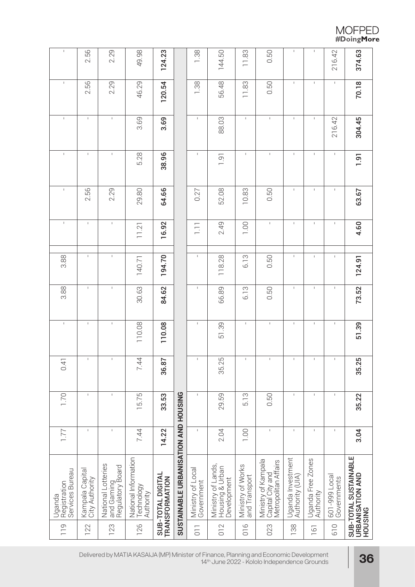| MOFPED     |
|------------|
| #DoingMore |

| $\mathsf I$                               | 2.56                              | 2.29                                                 | 49.98                                           | 124.23                              |                                      | 1.38                            | 144.50                                               | 11.83                              | 0.50                                                            | $\mathsf I$                          | 1                              | 216.42                       | 374.63                                               |
|-------------------------------------------|-----------------------------------|------------------------------------------------------|-------------------------------------------------|-------------------------------------|--------------------------------------|---------------------------------|------------------------------------------------------|------------------------------------|-----------------------------------------------------------------|--------------------------------------|--------------------------------|------------------------------|------------------------------------------------------|
| $\mathsf I$                               | 2.56                              | 2.29                                                 | 46.29                                           | 120.54                              |                                      | 1.38                            | 56.48                                                | 11.83                              | 0.50                                                            | $\mathsf{I}$                         | $\mathsf{L}$                   | $\mathsf I$                  | 70.18                                                |
| $\mathbb{I}$                              | $\mathsf{L}$                      | $\mathsf I$                                          | 3.69                                            | 3.69                                |                                      | $\mathsf{L}$                    | 88.03                                                | $\mathsf{L}$                       | $\mathsf{L}$                                                    | $\mathsf{I}$                         | $\mathsf I$                    | 216.42                       | 304.45                                               |
| $\mathsf I$                               | $\mathsf I$                       | $\mathsf I$                                          | 5.28                                            | 38.96                               |                                      | $\mathsf{I}$                    | 1.91                                                 | $\mathsf I$                        | $\mathbf{I}$                                                    | $\mathsf{I}$                         | $\mathsf I$                    | $\mathsf I$                  | 1.91                                                 |
| $\mathsf I$                               | 2.56                              | 2.29                                                 | 29.80                                           | 64.66                               |                                      | 0.27                            | 52.08                                                | 10.83                              | 0.50                                                            | $\mathsf I$                          | $\mathsf I$                    | $\mathsf I$                  | 63.67                                                |
| $\mathbb T$                               | $\mathsf I$                       | $\mathbf I$                                          | 11.21                                           | 16.92                               |                                      | $\overline{1}$ .                | 2.49                                                 | 1.00                               | $\mathbf{I}$                                                    | $\mathsf I$                          | $\mathsf I$                    | $\mathsf I$                  | 4.60                                                 |
| 3.88                                      | $\mathsf{L}$                      | $\mathsf I$                                          | 140.71                                          | 194.70                              |                                      | $\mathsf I$                     | 118.28                                               | 6.13                               | 0.50                                                            | $\mathsf I$                          | $\mathsf I$                    | $\mathsf I$                  | 124.91                                               |
| 3.88                                      | $\mathsf I$                       | $\mathsf I$                                          | 30.63                                           | 84.62                               |                                      | 1                               | 66.89                                                | 6.13                               | 0.50                                                            | $\mathsf I$                          | $\mathsf I$                    | I                            | 73.52                                                |
| $\mathbf I$                               | $\mathsf I$                       | $\mathbb{I}$                                         | 110.08                                          | 110.08                              |                                      | 1                               | 51.39                                                | $\mathsf I$                        | $\mathsf I$                                                     | $\mathsf I$                          | $\mathsf I$                    | $\mathsf I$                  | 51.39                                                |
| 0.41                                      | $\mathsf I$                       | $\mathsf I$                                          | 7.44                                            | 36.87                               |                                      | $\mathsf I$                     | S<br>35.2                                            | $\mathsf I$                        | $\mathsf I$                                                     | $\mathsf I$                          | $\mathsf I$                    | $\mathsf I$                  | 35.25                                                |
| 1.70                                      | $\mathsf I$                       | $\mathsf I$                                          | 15.75                                           | 33.53                               |                                      | $\mathsf I$                     | 29.59                                                | 5.13                               | 0.50                                                            | $\mathsf I$                          | 1                              | $\mathsf I$                  | 35.22                                                |
| 177                                       | $\mathsf I$                       | $\mathbf{I}$                                         | 7.44                                            | 14.22                               |                                      | $\mathsf I$                     | 2.04                                                 | 1.00                               | $\mathsf I$                                                     | $\mathsf I$                          | I.                             | $\overline{\phantom{a}}$     | 3.04                                                 |
| Services Bureau<br>Registration<br>Uganda | Kampala Capital<br>City Authority | National Lotteries<br>and Gaming<br>Regulatory Board | National Information<br>Technology<br>Authority | SUB-TOTAL DIGITAL<br>TRANSFORMATION | SUSTAINABLE URBANISATION AND HOUSING | Ministry of Local<br>Government | Ministry of Lands,<br>Housing & Urban<br>Development | Ministry of Works<br>and Transport | Ministry of Kampala<br>Capital City and<br>Metropolitan Affairs | Uganda Investment<br>Authority (UIA) | Uganda Free Zones<br>Authority | 601-999 Local<br>Governments | SUB-TOTAL SUSTAINABLE<br>URBANISATION AND<br>HOUSING |
| 119                                       | 122                               | 123                                                  | 126                                             |                                     |                                      | $\overline{0}$                  | 012                                                  | $\frac{6}{10}$                     | 023                                                             | 138                                  | 161                            | 610                          |                                                      |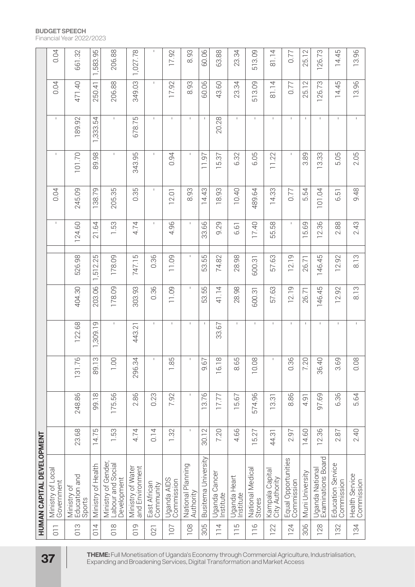| HUMAN CAPITAL DEVELOPMENT |                                     |                                            |              |              |              |                        |              |                      |               |                |              |
|---------------------------|-------------------------------------|--------------------------------------------|--------------|--------------|--------------|------------------------|--------------|----------------------|---------------|----------------|--------------|
|                           |                                     |                                            |              |              |              | $\mathbb T$            | 0.04         | $\mathsf I$          | $\mathsf I$   | 0.04           | 0.04         |
| 23.68                     | 248.86                              | $\Omega$<br>31.7                           | 122.68       | 404.30       | 526.98       | 124.60                 | 245.09       | 101.70               | 189.92        | 471.40         | 661.32       |
| 75<br>$\overline{4}$      | $\infty$<br>$-1.66$                 | S<br>89.1                                  | G<br>1,309.1 | 203.06       | 2.25<br>1,51 | .64<br>$\overline{21}$ | 79<br>138.   | $\frac{8}{2}$<br>89. | 54<br>1,333.5 | 250.41         | 95<br>1,583. |
| 1.53                      | 99<br>175.                          | $\frac{10}{1}$                             | $\mathsf I$  | 178.09       | 178.09       | 1.53                   | 205.35       | $\mathbb{I}$         | $\mathbb{I}$  | 206.88         | 206.88       |
| 4.74                      | 2.86                                | $\overline{ }$<br>296.34                   | 443.21       | 303.93       | 747.15       | 4.74                   | 0.35         | 343.95               | 678.75        | 349.03         | 1,027.78     |
| 0.14                      | 0.23                                | $\mathbf{L}$                               | $\mathsf I$  | 0.36         | 0.36         | $\mathsf I$            | $\mathsf{L}$ | $\mathsf{I}$         | $\mathsf{I}$  | $\mathbb{I}$   | $\mathsf I$  |
| 1.32                      | 7.92                                | $L\Omega$<br>œ<br>$\overline{\phantom{0}}$ | $\mathsf I$  | 11.09        | 11.09        | 4.96                   | 12.01        | 0.94                 | $\mathsf I$   | 17.92          | 17.92        |
| $\mathsf I$               | $\mathbf{I}$                        | $\mathbf{I}$                               |              | $\mathbb{I}$ | $\mathbb{L}$ | $\mathbf{I}$           | 8.93         | $\mathbb{L}$         | $\mathbb{L}$  | 8.93           | 8.93         |
| 30.12                     | 13.76                               | $\sim$<br>io.<br>O                         | $\mathbb{L}$ | 53.55        | 53.55        | 33.66                  | 14.43        | 11.97                | $\mathsf I$   | 60.06          | 60.06        |
| 7.20                      | 17.77                               | 6.18<br>$\overline{ }$                     | 33.67        | 41.14        | 74.82        | 9.29                   | 18.93        | 15.37                | 20.28         | 43.60          | 63.88        |
| 4.66                      | 57<br>Г5.                           | $L \cap$<br>ŏ<br>$\infty$                  | $\mathbb{I}$ | 28.98        | 28.98        | 6.61                   | 10.40        | 6.32                 | $\mathsf{I}$  | 23.34          | 23.34        |
| 27<br>ξÓ.                 | 574.96                              | 10.08                                      | $\mathsf I$  | 600.31       | 600.31       | 17.40                  | 489.64       | 6.05                 | $\mathbb{L}$  | 513.09         | 513.09       |
| 44.31                     | $\overline{\odot}$<br>$\frac{1}{2}$ | $\mathbf{I}$                               | $\mathbf{I}$ | 57.63        | 57.63        | 55.58                  | 14.33        | 11.22                | $\mathbb{I}$  | 81.14          | 81.14        |
| 2.97                      | 8.86                                | $\circ$<br>$0.\overline{3}$                | $\mathbf{I}$ | 12.19        | 12.19        | $\mathsf I$            | 0.77         | $\mathsf{L}$         | $\mathbf{I}$  | 0.77           | 0.77         |
| 14.60                     | $\overline{5}$<br>4.                | $\bigcap$<br>7.21                          | $\mathsf I$  | 26.71        | 26.71        | 5.69                   | 54<br>.<br>د | 89<br>က              | $\mathbf{I}$  | $\sim$<br>25.1 | 25.12        |
| 86<br>$\overline{2}$ .    | 97.69                               | 36.40                                      | $\mathbb{I}$ | 146.45       | 146.45       | 12.36                  | 101.04       | 13.33                | $\mathbb{I}$  | 126.73         | 126.73       |
| $\sqrt{8}$<br>$\sim$      | 96<br>ؘٯ                            | 3.69                                       | $\mathsf I$  | 2.92         | 12.92        | 2.88                   | 고<br>.<br>ت  | 5.05                 | $\mathsf I$   | 14.45          | 14.45        |
| 2.40                      | 5.64                                | 0.08                                       | $\mathsf I$  | 8.13         | 8.13         | 2.43                   | 9.48         | 2.05                 | $\mathsf I$   | 13.96          | 13.96        |

**BUDGET SPEECH** Financial Year 2022/2023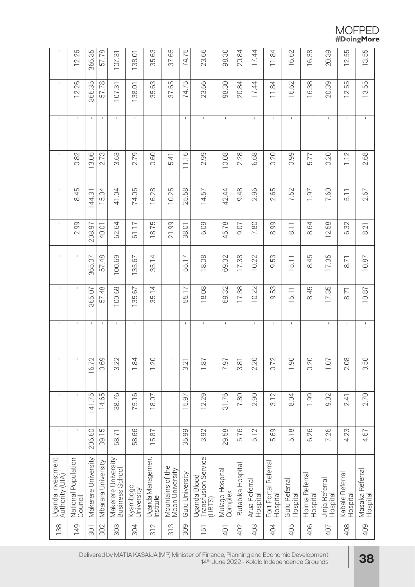# $\begin{array}{c} \text{MOFPED}\\ \text{\#DoingMore} \end{array}$

| $\mathsf I$                          | 12.26                          | 366.35              | 57.78              | က်<br>(<br>107.                        | 138.01                 | 35.63                          | 37.65                               | 74.75               | 23.66                                         | 98.30                      | 20.84             | 17.44                          | 11.84                            | 16.62                                          | 16.38                      | 20.39                      | 12.55                      | 13.55                       |
|--------------------------------------|--------------------------------|---------------------|--------------------|----------------------------------------|------------------------|--------------------------------|-------------------------------------|---------------------|-----------------------------------------------|----------------------------|-------------------|--------------------------------|----------------------------------|------------------------------------------------|----------------------------|----------------------------|----------------------------|-----------------------------|
| $\mathsf I$                          | 12.26                          | 366.35              | 57.78              | $\overline{\omega}$<br>107.            | 138.01                 | 35.63                          | 37.65                               | 74.75               | 23.66                                         | 98.30                      | 20.84             | 17.44                          | $\overline{8}$<br>$\equiv$       | 16.62                                          | 16.38                      | 20.39                      | 12.55                      | 13.55                       |
| $\mathbf{I}$                         | $\mathsf I$                    | $\mathbf{I}$        | $\mathbf{L}$       | $\mathbb{L}$                           | $\mathbf{I}$           | $\mathbf{I}$                   | $\mathbf{I}$                        | $\mathbf{I}$        | $\mathbb{L}$                                  | $\mathbb{L}$               | $\mathbf{I}$      | $\mathbf{I}$                   | $\mathbf{I}$                     | $\mathbb{I}$                                   | $\mathbf{I}$               | $\mathbf{I}$               | $\mathsf I$                | $\mathbb{I}$                |
| $\mathsf I$                          | 0.82                           | 13.06               | 2.73               | 3.63                                   | 2.79                   | 0.60                           | 5.41                                | 11.16               | 2.99                                          | 10.08                      | 2.28              | 6.68                           | 0.20                             | 0.99                                           | 5.77                       | 0.20                       | 1.12                       | 2.68                        |
| $\mathsf{L}$                         | 8.45                           | 144.31              | 15.04              | 41.04                                  | 74.05                  | 6.28                           | 10.25                               | 58<br>ΓÒ.<br>$\sim$ | 57<br>$\overline{4}$                          | 42.44                      | 9.48              | 96<br>$\overline{\mathcal{N}}$ | 59<br>$\sim$                     | 7.52                                           | 1.97                       | 7.60                       | $\overline{5}$ . 1         | 2.67                        |
| Τ.                                   | 2.99                           | 208.97              | 40.01              | 62.64                                  | 61.17                  | 5<br>$\overline{8.7}$          | 21.99                               | 38.01               | 6.09                                          | 45.78                      | 50.6              | 7.80                           | 8.99                             | $\frac{1}{8}$                                  | 8.64                       | 12.58                      | 6.32                       | 8.21                        |
| $\mathsf I$                          | $\mathsf I$                    | 365.07              | 57.48              | 100.69                                 | 57<br>135.             | 35.14                          | $\mathbb{L}$                        | 5.17<br>LO          | 18.08                                         | 69.32                      | 17.38             | 10.22                          | 53<br>$\overline{\mathrm{o}}$    | $\overline{5}$ . 1<br>$\overline{\phantom{0}}$ | 8.45                       | 17.35                      | $\overline{5}$             | 10.87                       |
| $\mathsf I$                          | $\mathsf I$                    | 365.07              | 57.48              | 100.69                                 | 135.67                 | 35.14                          | I.                                  | 5.17<br>LO          | 18.08                                         | 69.32                      | 17.38             | 10.22                          | 9.53                             | 5.11                                           | 8.45                       | 17.35                      | 8.71                       | 10.87                       |
| Τ.                                   | $\mathsf I$                    | $\mathbf{I}$        | $\mathbf{I}$       | $\mathbb T$                            | $\mathsf I$            | $\mathbf{I}$                   | J.                                  | $\mathbf{I}$        | $\mathsf{L}$                                  | $\mathbf{I}$               | $\mathbf{I}$      | L                              | $\mathsf I$                      | $\mathsf I$                                    | $\mathsf I$                | $\mathbf{I}$               | $\mathsf I$                | $\mathsf I$                 |
| $\mathsf I$                          | $\mathsf I$                    | $\sim$<br>167       | 3.69               | $\sim$<br>s<br>S                       | 1.84                   | 1.20                           | $\mathbb{L}$                        | 3.21                | 1.87                                          | 7.97                       | $\frac{8}{3}$     | 2.20                           | $\sim$<br>$\overline{0}$ .       | <b>1.90</b>                                    | 0.20                       | 1.07                       | $\infty$<br>Ö.             | 3.50                        |
| $\mathsf I$                          | $\mathsf I$                    | 141.75              | 14.65              | 38.76                                  | 75.16                  | 18.07                          | $\mathbb{I}$                        | 15.97               | 12.29                                         | 31.76                      | 7.80              | 2.90                           | 3.12                             | 8.04                                           | 1.99                       | 9.02                       | 2.41                       | 2.70                        |
| $\mathsf I$                          | $\mathsf I$                    | 206.60              | 39.15              | 58.71                                  | 58.66                  | 15.87                          | $\mathbf{I}$                        | 35.99               | 3.92                                          | 29.58                      | 5.76              | 5.12                           | 5.69                             | 5.18                                           | 6.26                       | 7.26                       | 4.23                       | 4.67                        |
| Uganda Investment<br>Authority (UIA) | National Population<br>Council | Makerere University | Mbarara University | Makerere University<br>Business School | Kyambogo<br>University | Uganda Management<br>Institute | Mountains of the<br>Moon University | Gulu University     | Transfusion Service<br>(UBTS)<br>Uganda Blood | Mulago Hospital<br>Complex | Butabika Hospital | Arua Referral<br>Hospital      | Fort Portal Referral<br>Hospital | Gulu Referral<br>Hospital                      | Hoima Referral<br>Hospital | Jinja Referral<br>Hospital | Kabale Referra<br>Hospital | Masaka Referral<br>Hospital |
| 138                                  | 149                            | 301                 | 302                | 303                                    | 304                    | 312                            | 313                                 | 309                 | $\overline{5}$                                | 401                        | 402               | 403                            | 404                              | 405                                            | 406                        | 407                        | 408                        | 409                         |

Delivered by MATIA KASAIJA (MP) Minister of Finance, Planning and Economic Development 14th June 2022 - Kololo Independence Grounds **38**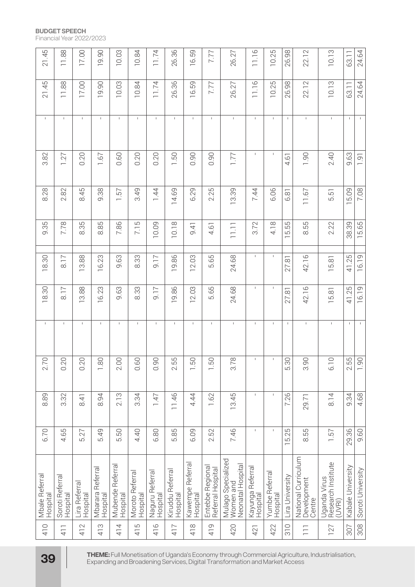| 21.45                      | 11.88                       | 17.00                     | 19.90                             | 10.03                        | 10.84                       | 11.74                       | 26.36                        | 16.59                             | 7.77                                  | 26.27                                                                                                                                                                          | 11.16                              | 10.25                      | 26.98                      | 22.12                                        | 10.13                                        | 63.11             | 24.64             |
|----------------------------|-----------------------------|---------------------------|-----------------------------------|------------------------------|-----------------------------|-----------------------------|------------------------------|-----------------------------------|---------------------------------------|--------------------------------------------------------------------------------------------------------------------------------------------------------------------------------|------------------------------------|----------------------------|----------------------------|----------------------------------------------|----------------------------------------------|-------------------|-------------------|
| 21.45                      | 11.88                       | 17.00                     | 19.90                             | 10.03                        | 10.84                       | 11.74                       | 26.36                        | 16.59                             | 7.77                                  | 26.27                                                                                                                                                                          | 11.16                              | 10.25                      | 26.98                      | 22.12                                        | 10.13                                        | 63.11             | 24.64             |
| $\mathsf{L}$               | $\mathsf I$                 | $\mathsf{L}$              | $\mathbf{I}$                      | $\mathbf{I}$                 | $\mathbb{L}$                | $\mathbf{I}$                | $\mathbb{I}$                 | $\mathbf I$                       | $\mathbf{I}$                          | $\mathbf{I}$                                                                                                                                                                   | $\mathbf{I}$                       | $\mathbf{I}$               | $\mathbb{L}$               | $\mathbf{I}$                                 | $\mathbf{I}$                                 | $\mathbb{L}$      | $\mathbf{I}$      |
| 3.82                       | 1.27                        | 0.20                      | 1.67                              | 0.60                         | 0.20                        | 0.20                        | 1.50                         | 0.90                              | 0.90                                  | 1.77                                                                                                                                                                           | $\mathbf{I}$                       |                            | 4.61                       | 1.90                                         | 2.40                                         | 9.63              | $\overline{1.91}$ |
| 8.28                       | 2.82                        | 8.45                      | 9.38                              | 1.57                         | 3.49                        | 1.44                        | 14.69                        | 6.29                              | 2.25                                  | 13.39                                                                                                                                                                          | 7.44                               | 6.06                       | 6.81                       | 11.67                                        | 5.51                                         | 15.09             | 7.08              |
| 9.35                       | 7.78                        | 8.35                      | 8.85                              | 7.86                         | 7.15                        | 10.09                       | 10.18                        | 9.41                              | 4.61                                  | $\overline{111}$                                                                                                                                                               | 3.72                               | 4.18                       | 15.55                      | 8.55                                         | 2.22                                         | 38.39             | 15.65             |
| 18.30                      | 8.17                        | 13.88                     | 16.23                             | 9.63                         | 833                         | 9.17                        | 19.86                        | 12.03                             | 5.65                                  | 24.68                                                                                                                                                                          | $\mathsf I$                        | $\mathsf I$                | $\overline{\infty}$<br>27. | 42.16                                        | 15.81                                        | 41.25             | 16.19             |
| 18.30                      | $\frac{1}{8}$               | 13.88                     | 16.23                             | 9.63                         | 833                         | 71,6                        | 19.86                        | 12.03                             | 5.65                                  | 24.68                                                                                                                                                                          | I.                                 |                            | 27.81                      | 42.16                                        | 15.81                                        | 41.25             | 16.19             |
| $\mathsf I$                | $\mathsf I$                 | $\mathsf I$               | $\mathsf I$                       | $\mathbf{I}$                 | $\mathbf{I}$                | $\mathsf I$                 | $\mathbf I$                  | $\mathsf I$                       | $\mathbf{I}$                          | $\mathbf{I}$                                                                                                                                                                   | $\mathbf{I}$                       | $\mathbf{I}$               | $\mathbf{I}$               | $\mathsf I$                                  | $\mathsf I$                                  | Τ.                |                   |
| 2.70                       | 0.20                        | 0.20                      | 1.80                              | 2.00                         | 0.60                        | 0.90                        | LO<br>2.5                    | 1.50                              | 1.50                                  | $\infty$<br>3.7                                                                                                                                                                | $\mathsf I$                        | $\mathsf I$                | 5.30                       | 3.90                                         | $\bigcirc$<br>$\overline{6}$                 | 2.55              | 1.90              |
| 8.89                       | 3.32                        | 8.41                      | 8.94                              | 2.13                         | 3.34                        | 747                         | 11.46                        | 4.44                              | 1.62                                  | 13.45                                                                                                                                                                          | $\mathsf{I}$                       | $\mathbf{I}$               | 7.26                       | 29.71                                        | 8.14                                         | 9.34              | 4.68              |
| 6.70                       | 4.65                        | 5.27                      | 5.49                              | 50<br>ίÓ.                    | 4.40                        | 6.80                        | 5.85                         | 6.09                              | 2.52                                  | 7.46                                                                                                                                                                           | $\mathbf{I}$                       | $\mathbf{I}$               | 25<br>ξ.                   | 55<br>$\ddot{\infty}$                        | $\overline{57}$<br>$\overline{ }$            | 29.36             | 9.60              |
| Mbale Referral<br>Hospital | Soroti Referral<br>Hospital | Lira Referral<br>Hospital | Referral<br>Mbarara I<br>Hospital | Mubende Referral<br>Hospital | Moroto Referral<br>Hospital | Naguru Referral<br>Hospital | Kiruddu Referral<br>Hospital | Referral<br>Kawempe F<br>Hospital | Entebbe Regional<br>Referral Hospital | Mulago Specialized<br>Women and<br>Neonatal Hospital                                                                                                                           | Referral<br>Kayunga I<br> Hospital | Yumbe Referral<br>Hospital | Lira University            | National Curriculum<br>Development<br>Centre | Uganda Virus<br>Research Institute<br>(UVRI) | Kabale University | Soroti University |
| 410                        | 411                         | 412                       | 413                               | 414                          | 5<br>$\overline{4}$         | $\circ$<br>$\overline{4}$   | 417                          | 418                               | 419                                   | 420                                                                                                                                                                            | 421                                | 422                        | $\frac{1}{3}$              | $\overline{11}$                              | 127                                          | 307               | 308               |
| 39                         |                             |                           |                                   |                              |                             |                             |                              |                                   |                                       | THEME: Full Monetisation of Uganda's Economy through Commercial Agriculture, Industrialisation,<br>Expanding and Broadening Services, Digital Transformation and Market Access |                                    |                            |                            |                                              |                                              |                   |                   |

**BUDGET SPEECH**

Financial Year 2022/2023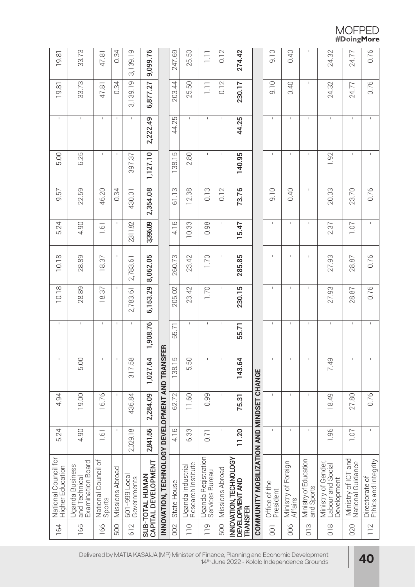# $\begin{array}{c} \text{MOFPED} \\ \text{\#DoingMore} \end{array}$

| 19.81                                    | 33.73                                                 | 47.81                         | 0.34            | 3,139.19                     | 9,099.76                               |                                                 | 247.69      | 25.50                                   | $\overline{\Xi}$                       | 0.12            | 274.42                                    |                                           | 9.10                       | 0.40                           | $\mathbb{I}$                        | 24.32                                                   | 24.77                                    | 0.76                                   |
|------------------------------------------|-------------------------------------------------------|-------------------------------|-----------------|------------------------------|----------------------------------------|-------------------------------------------------|-------------|-----------------------------------------|----------------------------------------|-----------------|-------------------------------------------|-------------------------------------------|----------------------------|--------------------------------|-------------------------------------|---------------------------------------------------------|------------------------------------------|----------------------------------------|
| 19.81                                    | 33.73                                                 | 47.81                         | 0.34            | 3,139.19                     | 6,877.27                               |                                                 | 203.44      | 25.50                                   | $\Xi$                                  | 0.12            | 230.17                                    |                                           | 0.10                       | 0.40                           | $\mathbb{I}$                        | 24.32                                                   | 24.77                                    | 0.76                                   |
| $\mathsf{L}$                             | $\mathsf I$                                           | $\mathsf I$                   | $\mathbf{I}$    | $\mathbf I$                  | 2,222.49                               |                                                 | 44.25       | $\mathbf{I}$                            | $\mathbb{I}$                           | $\mathsf{I}$    | 44.25                                     |                                           | $\mathbf{I}$               | $\mathbf{I}$                   | $\mathbf{I}$                        | $\mathsf{I}$                                            | $\mathbf{I}$                             | $\mathbf{I}$                           |
| 5.00                                     | 6.25                                                  | $\mathsf{L}$                  | $\mathsf I$     | 397.37                       | 1,127.10                               |                                                 | 138.15      | 2.80                                    | $\mathsf{L}$                           | $\mathbf{I}$    | 140.95                                    |                                           | $\mathbf{I}$               | $\mathbf{I}$                   | $\mathbf{I}$                        | 1.92                                                    | $\mathsf{I}$                             |                                        |
| 9.57                                     | 22.59                                                 | 46.20                         | 0.34            | 430.01                       | 2,354.08                               |                                                 | 61.13       | 12.38                                   | 0.13                                   | 0.12            | 73.76                                     |                                           | 0.10                       | 0.40                           | $\mathbb{L}$                        | 20.03                                                   | 23.70                                    | 0.76                                   |
| 5.24                                     | 4.90                                                  | 1.61                          |                 | 231182                       | 3,396.09                               |                                                 | 4.16        | 10.33                                   | 0.98                                   | $\mathsf{I}$    | 15.47                                     |                                           | $\mathbf{I}$               | $\mathsf I$                    | $\mathbb{I}$                        | 2.37                                                    | 1.07                                     | $\mathsf I$                            |
| 10.18                                    | 28.89                                                 | 18.37                         |                 | 2,783.61                     | 8,062.05                               |                                                 | 260.73      | 23.42                                   | 1.70                                   | $\mathsf I$     | 285.85                                    |                                           | $\mathbf{I}$               | $\mathsf I$                    | $\mathbb{I}$                        | 27.93                                                   | 28.87                                    | 0.76                                   |
| 10.18                                    | 28.89                                                 | 18.37                         | $\mathbf{I}$    | 2,783.61                     | 6,153.29                               |                                                 | 205.02      | 23.42                                   | 1.70                                   | $\mathsf{I}$    | 230.15                                    |                                           | $\mathbf{I}$               | $\mathsf{I}$                   | $\mathbb{I}$                        | 27.93                                                   | 28.87                                    | 0.76                                   |
| $\mathbb{L}$                             | $\mathsf I$                                           | $\mathsf{L}$                  | $\mathsf I$     | $\mathbb{L}$                 | 1,908.76                               |                                                 | 55.71       | $\mathbf{I}$                            | $\mathbb{L}$                           | $\mathbf{I}$    | 55.71                                     |                                           | $\mathsf I$                | $\mathsf I$                    | $\mathsf{I}$                        | $\mathsf I$                                             | $\mathsf{I}$                             |                                        |
| $\mathbf{I}$                             | 5.00                                                  | $\mathbf{I}$                  | $\mathsf I$     | 317.58                       | 1,027.64                               |                                                 | 138.15      | 5.50                                    | $\mathbb{L}$                           | $\mathbf{I}$    | 143.64                                    |                                           | $\mathbf{I}$               | $\mathbf{I}$                   |                                     | 7.49                                                    | $\mathbb{L}$                             |                                        |
| 4.94                                     | 19.00                                                 | 16.76                         | $\mathsf I$     | 436.84                       | 2,284.09                               |                                                 | 62.72       | 11.60                                   | 0.99                                   | $\mathsf I$     | 75.31                                     |                                           | $\mathbf{I}$               | $\mathbf{I}$                   | $\mathsf I$                         | 18.49                                                   | 27.80                                    | 0.76                                   |
| 5.24                                     | 4.90                                                  | 1.61                          | $\mathsf I$     | 2,029.18                     | 2,841.56                               |                                                 | 4.16        | 6.33                                    | 0.71                                   | $\mathsf I$     | 11.20                                     |                                           | $\mathbf{I}$               | $\mathbf{I}$                   | Τ.                                  | 1.96                                                    | 1.07                                     | $\mathbf{I}$                           |
| National Council for<br>Higher Education | Examination Board<br>Uganda Business<br>and Technical | National Council of<br>Sports | Missions Abroad | 601-999 Local<br>Governments | CAPITAL DEVELOPMENT<br>SUB-TOTAL HUMAN | INNOVATION, TECHNOLOGY DEVELOPMENT AND TRANSFER | State House | Uganda Industrial<br>Research Institute | Uganda Registration<br>Services Bureau | Missions Abroad | INNOVATION, TECHNOLOGY<br>DEVELOPMENT AND | COMMUNITY MOBILIZATION AND MINDSET CHANGE | Office of the<br>President | Ministry of Foreign<br>Affairs | Ministry of Education<br>and Sports | Ministry of Gender,<br>Labour and Social<br>Development | Ministry of ICT and<br>National Guidance | Directorate of<br>Ethics and Integrity |
| 164                                      | 165                                                   | 166                           | 500             | 612                          |                                        |                                                 | 002         | $\overline{110}$                        | $\frac{10}{10}$                        | 500             | <b>TRANSFER</b>                           |                                           | $\overline{0}$             | 006                            | $\frac{3}{2}$                       | $\frac{8}{18}$                                          | 020                                      | 112                                    |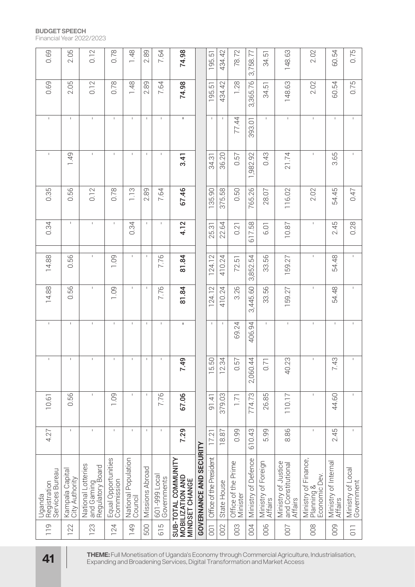| 0.69                                      | 2.05                              | 0.12                                                 | 0.78                              | 1.48                           | 2.89            | 7.64                         | 74.98                                                                                                                                                                          |                         | 195.51                  | 434.42                 | 78.72                           | 3,758.77            | 34.51                          | 148.63                                               | 2.02                                                | 60.54                           | 0.75                            |
|-------------------------------------------|-----------------------------------|------------------------------------------------------|-----------------------------------|--------------------------------|-----------------|------------------------------|--------------------------------------------------------------------------------------------------------------------------------------------------------------------------------|-------------------------|-------------------------|------------------------|---------------------------------|---------------------|--------------------------------|------------------------------------------------------|-----------------------------------------------------|---------------------------------|---------------------------------|
| 0.69                                      | 2.05                              | 0.12                                                 | 0.78                              | 1.48                           | 2.89            | 7.64                         | 74.98                                                                                                                                                                          |                         | 195.51                  | 434.42                 | 1.28                            | 3,365.76            | 34.51                          | 148.63                                               | 2.02                                                | 60.54                           | 0.75                            |
| $\mathbf{I}$                              | $\mathbf{I}$                      | $\mathbf{I}$                                         | $\mathbb{L}$                      | $\mathbf{I}$                   | $\mathsf I$     | $\mathbf{I}$                 | ×.                                                                                                                                                                             |                         | $\mathbf{I}$            | $\mathbf{I}$           | 77.44                           | 393.01              | $\mathbf{I}$                   | $\mathbb{L}$                                         | $\mathbf I$                                         | $\mathbf{I}$                    | $\mathbf{I}$                    |
| $\mathsf I$                               | 1.49                              | $\mathsf{L}$                                         | $\mathbb{L}$                      | $\mathbf{I}$                   | $\mathsf I$     | $\mathsf{I}$                 | 3.41                                                                                                                                                                           |                         | 34.31                   | 36.20                  | 0.57                            | ,982.92             | 0.43                           | 21.74                                                | $\mathsf I$                                         | 3.65                            | $\mathsf I$                     |
| 0.35                                      | 0.56                              | 0.12                                                 | 0.78                              | 1.13                           | 2.89            | 7.64                         | 67.46                                                                                                                                                                          |                         | 135.90                  | 375.58                 | 0.50                            | 765.26              | 28.07                          | 116.02                                               | 2.02                                                | 54.45                           | 0.47                            |
| 0.34                                      | $\mathsf I$                       | $\mathsf I$                                          | $\mathsf{L}$                      | 0.34                           | $\mathbf{I}$    | $\mathsf I$                  | 4.12                                                                                                                                                                           |                         | 25.31                   | 22.64                  | 0.21                            | 617.58              | <b>6.01</b>                    | 10.87                                                | $\mathsf I$                                         | 2.45                            | 0.28                            |
| 14.88                                     | 0.56                              | $\mathbf{I}$                                         | 1.09                              | $\mathbb{L}$                   | $\mathbf{I}$    | 7.76                         | 81.84                                                                                                                                                                          |                         | 124.12                  | 410.24                 | 72.51                           | 3,852.54            | 33.56                          | 159.27                                               | $\mathsf I$                                         | 54.48                           | $\mathsf I$                     |
| 14.88                                     | 0.56                              | $\mathsf{L}$                                         | <b>PO1</b>                        | $\mathbb{L}$                   | $\mathbf{I}$    | 7.76                         | 81.84                                                                                                                                                                          |                         | 124.12                  | 410.24                 | 3.26                            | 3,445.60            | 33.56                          | 159.27                                               | $\mathsf I$                                         | 54.48                           | $\mathsf I$                     |
| $\mathsf I$                               | $\mathsf{I}$                      | $\mathsf I$                                          | $\mathsf I$                       | $\mathbf{I}$                   | $\mathsf I$     | $\mathbf I$                  | $\mathbf I$                                                                                                                                                                    |                         | $\mathsf I$             | $\mathbf{I}$           | 69.24                           | 406.94              | $\mathbf{I}$                   | $\mathbb{L}$                                         | $\mathbf I$                                         | $\mathsf I$                     | $\overline{1}$                  |
| $\mathbb{L}$                              | $\mathbb{L}$                      |                                                      | $\mathbb{L}$                      | $\mathbb{L}$                   | $\mathsf I$     | $\mathbf{I}$                 | ന<br>7.49                                                                                                                                                                      |                         | 5.50                    | $\overline{ }$<br>2.34 | is<br>O                         | 4<br>2,060.44       | 0.7                            | m<br>40.23                                           | $\mathsf I$                                         | $\infty$<br>7.4                 |                                 |
| 10.61                                     | 99<br>$\circ$                     | $\mathsf I$                                          | <b>1.09</b>                       | $\mathbf{I}$                   | $\mathsf I$     | 7.76                         | 67.06                                                                                                                                                                          |                         | 91.41                   | 379.03                 | 1.71                            | 774.73              | 26.85                          | 110.17                                               | $\mathsf I$                                         | 44.60                           | $\mathsf I$                     |
| 4.27                                      | $\mathsf{I}$                      | $\mathbf{I}$                                         | $\mathsf{I}$                      | $\mathbf{I}$                   | $\mathbf{I}$    | $\mathbf I$                  | 7.29                                                                                                                                                                           |                         | 17.21                   | 18.87                  | 0.99                            | 610.43              | 99<br>ம்                       | 8.86                                                 | $\mathsf I$                                         | 2.45                            | $\mathsf I$                     |
| Régistration<br>Services Bureau<br>Uganda | Kampala Capital<br>City Authority | National Lotteries<br>and Gaming<br>Regulatory Board | Equal Opportunities<br>Commission | National Population<br>Council | Missions Abroad | 601-999 Local<br>Governments | SUB-TOTAL COMMUNITY<br>MOBILIZATION AND<br><b>MINDSET CHANGE</b>                                                                                                               | GOVERNANCE AND SECURITY | Office of the President | State House            | Office of the Prime<br>Minister | Ministry of Defence | Ministry of Foreign<br>Affairs | Ministry of Justice<br>and Constitutional<br>Affairs | Ministry of Finance,<br>Planning &<br>Economic Dev. | Ministry of Internal<br>Affairs | Ministry of Local<br>Government |
| 119                                       | 122                               | 123                                                  | 124                               | 149                            | 500             | 615                          |                                                                                                                                                                                |                         | $\overline{0}$          | 002                    | 003                             | 004                 | 006                            | 007                                                  | 008                                                 | 009                             | $\overline{0}$                  |
| 41                                        |                                   |                                                      |                                   |                                |                 |                              | THEME: Full Monetisation of Uganda's Economy through Commercial Agriculture, Industrialisation,<br>Expanding and Broadening Services, Digital Transformation and Market Access |                         |                         |                        |                                 |                     |                                |                                                      |                                                     |                                 |                                 |

**BUDGET SPEECH**

Financial Year 2022/2023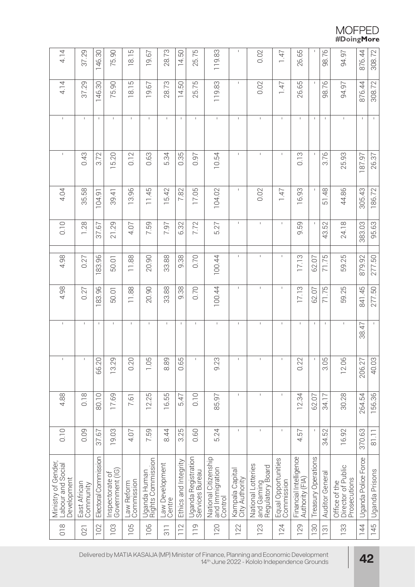# $\begin{array}{c} \text{MOFPED} \\ \text{\#DoingMore} \end{array}$

| 4.14                                                    | 37.29                     | 146.30               | 75.90                              | 18.15                    | 19.67                             | 28.73                     | 14.50                | 25.75                                  | 119.83                                             | $\mathsf I$                       | 0.02                                                 | 1.47                              | 26.65                                     |                     | 98.76           | 94.97                                               | 876.44              | 308.72         |
|---------------------------------------------------------|---------------------------|----------------------|------------------------------------|--------------------------|-----------------------------------|---------------------------|----------------------|----------------------------------------|----------------------------------------------------|-----------------------------------|------------------------------------------------------|-----------------------------------|-------------------------------------------|---------------------|-----------------|-----------------------------------------------------|---------------------|----------------|
| 4.14                                                    | 37.29                     | 146.30               | 75.90                              | 18.15                    | 19.67                             | 28.73                     | 14.50                | 25.75                                  | 119.83                                             | $\mathsf I$                       | 0.02                                                 | 1.47                              | 26.65                                     |                     | 98.76           | 94.97                                               | 876.44              | 308.72         |
| $\mathsf{L}$                                            | $\mathbf{I}$              | $\mathbf{I}$         | $\mathbb{I}$                       | $\mathsf I$              | $\mathbf{I}$                      | $\mathbf{I}$              | $\mathbf{I}$         | $\mathbf{I}$                           | $\mathsf I$                                        | $\mathbf{I}$                      | $\mathsf I$                                          | $\mathbf{I}$                      | $\mathbf{I}$                              | $\mathbf{I}$        | $\mathsf I$     | $\mathsf I$                                         | $\mathbf{I}$        | $\mathsf{L}$   |
| $\mathsf I$                                             | 0.43                      | 3.72                 | 15.20                              | 0.12                     | 0.63                              | 5.34                      | 0.35                 | 0.97                                   | 10.54                                              | $\mathbf{I}$                      | $\mathbf{I}$                                         | $\mathbf{I}$                      | 0.13                                      |                     | 3.76            | 25.93                                               | 187.97              | 26.37          |
| 4.04                                                    | 35.58                     | 104.91               | 39.41                              | 13.96                    | 11.45                             | 15.42                     | 7.82                 | 17.05                                  | 104.02                                             | $\mathsf I$                       | 0.02                                                 | 7.47                              | 16.93                                     |                     | 51.48           | 44.86                                               | 305.43              | 186.72         |
| 0.10                                                    | 1.28                      | 37.67                | 21.29                              | 4.07                     | 7.59                              | 7.97                      | 6.32                 | 7.72                                   | 5.27                                               | $\mathsf{I}$                      | $\mathsf I$                                          | $\mathbf{I}$                      | 9.59                                      |                     | 43.52           | 24.18                                               | 383.03              | 95.63          |
| 4.98                                                    | 0.27                      | 83.96                | 50.01                              | 11.88                    | 20.90                             | 33.88                     | 9.38                 | 0.70                                   | 100.44                                             | $\mathsf I$                       | $\mathbf{I}$                                         | $\mathsf I$                       | 17.13                                     | 62.07               | 71.75           | 59.25                                               | 879.92              | 277.50         |
| 4.98                                                    | 0.27                      | 183.96               | 50.01                              | 11.88                    | 20.90                             | 33.88                     | 9.38                 | 0.70                                   | 100.44                                             | $\mathbf{I}$                      | $\overline{1}$                                       | $\overline{1}$                    | 17.13                                     | 62.07               | 71.75           | 59.25                                               | 841.45              | 277.50         |
| Τ.                                                      | $\mathsf I$               | $\mathsf I$          | $\mathsf I$                        | $\mathsf I$              | $\mathbf{I}$                      | $\mathbf{I}$              | $\mathbf{I}$         | $\mathsf I$                            | $\mathsf I$                                        | $\mathbf{I}$                      | $\,$ I                                               | $\mathbf{I}$                      | $\mathbf{I}$                              | J.                  | $\mathsf I$     | $\mathsf I$                                         | 38.47               | $\mathsf I$    |
| $\mathbf I$                                             | $\mathsf I$               | 66.20                | 13.29                              | 0.20                     | 5<br>$\frac{0}{1}$                | $\sigma$<br>_<br>ග        | S<br>Ö.<br>O         | $\mathsf I$                            | 9.23                                               | $\mathsf I$                       | $\mathsf I$                                          | $\mathsf I$                       | $\sim$<br>$\frac{1}{2}$                   | $\mathbf I$         | LO<br>O.<br>O.  | 12.06                                               | 206.27              | 40.03          |
| 4.88                                                    | 0.18                      | 80.10                | 17.69                              | 7.61                     | 12.25                             | 16.55                     | 5.47                 | 0.10                                   | 85.97                                              | $\mathbf{I}$                      | $\mathbf{I}$                                         | $\mathbf{I}$                      | 12.34                                     | 62.07               | 34.17           | 30.28                                               | 264.54              | 156.36         |
| 0.10                                                    | 0.09                      | 37.67                | 19.03                              | 4.07                     | 7.59                              | 8.44                      | 3.25                 | 0.60                                   | 5.24                                               | $\mathbf{I}$                      | $\overline{1}$                                       | $\overline{1}$                    | 4.57                                      |                     | 34.52           | 16.92                                               | 370.63              | 81.11          |
| Ministry of Gender,<br>Labour and Social<br>Development | East African<br>Community | Electoral Commission | Government (IG)<br>Inspectorate of | Commission<br>Law Reform | Uganda Human<br>Rights Commission | Law Development<br>Centre | Ethics and Integrity | Uganda Registration<br>Services Bureau | National Citizenship<br>and Immigration<br>Control | Kampala Capital<br>City Authority | National Lotteries<br>and Gaming<br>Regulatory Board | Equal Opportunities<br>Commission | Financial Intelligence<br>Authority (FIA) | Treasury Operations | Auditor General | Director of Public<br>Prosecutions<br>Office of the | Uganda Police Force | Uganda Prisons |
| $\frac{8}{18}$                                          | 021                       | 102                  | 103                                | 105                      | 106                               | $\frac{1}{3}$             | 112                  | $\frac{10}{10}$                        | 120                                                | 122                               | 123                                                  | 124                               | 129                                       | 130                 | 131             | 133                                                 | 144                 | 145            |

Delivered by MATIA KASAIJA (MP) Minister of Finance, Planning and Economic Development 14th June 2022 - Kololo Independence Grounds **42**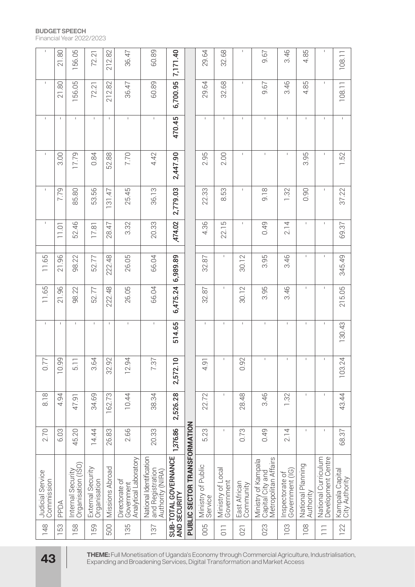| $\mathbf{I}$                          | 21.80                            | 156.05                                  | 72.21                             | 212.82          | 36.47                                                                       | 60.89                                                                                           | 7,171.40                             |                              | 29.64                         | 32.68                           | $\mathsf I$                | 9.67                                                            | 3.46                                 | 4.85                           | $\mathsf I$                               | 108.11                            |
|---------------------------------------|----------------------------------|-----------------------------------------|-----------------------------------|-----------------|-----------------------------------------------------------------------------|-------------------------------------------------------------------------------------------------|--------------------------------------|------------------------------|-------------------------------|---------------------------------|----------------------------|-----------------------------------------------------------------|--------------------------------------|--------------------------------|-------------------------------------------|-----------------------------------|
| $\mathsf{L}$                          | $\overline{8}$<br>$\overline{2}$ | 156.05                                  | 72.21                             | 212.82          | 36.47                                                                       | 60.89                                                                                           | 6,700.95                             |                              | 29.64                         | 32.68                           | $\mathsf I$                | 9.67                                                            | 3.46                                 | 4.85                           | $\mathsf{L}$                              | 108.11                            |
| $\mathsf{I}$                          | $\mathsf I$                      | $\mathsf{I}$                            | $\mathsf{L}$                      | $\mathbb{L}$    | $\mathbf{I}$                                                                | $\mathsf{I}$                                                                                    | 470.45                               |                              | $\mathsf I$                   | $\mathbb{L}$                    | $\mathbf I$                | $\mathsf I$                                                     | $\mathsf I$                          | $\mathbf{I}$                   | $\mathbf{I}$                              | $\mathsf I$                       |
| $\mathsf{I}$                          | 3.00                             | 17.79                                   | 0.84                              | 52.88           | 7.70                                                                        | 4.42                                                                                            | 2,447.90                             |                              | 2.95                          | 2.00                            | $\mathsf{I}$               | $\mathsf I$                                                     | $\mathsf I$                          | 95<br>ന്                       | $\mathsf{L}$                              | 1.52                              |
| $\mathbf I$                           | 7.79                             | 85.80                                   | 53.56                             | 31.47           | 25.45                                                                       | 36.13                                                                                           | 2,779.03                             |                              | 22.33                         | 8.53                            | $\mathsf I$                | 9.18                                                            | 1.32                                 | 0.90                           | $\mathsf{L}$                              | 37.22                             |
| $\mathbf I$                           | 11.01                            | 52.46                                   | 17.81                             | 28.47           | 3.32                                                                        | 20.33                                                                                           | ,474.02                              |                              | 4.36                          | 22.15                           | $\mathsf I$                | 0.49                                                            | 2.14                                 | $\mathbb{I}$                   | $\mathsf I$                               | 69.37                             |
| 11.65                                 | 21.96                            | 98.22                                   | 52.77                             | 222.48          | 26.05                                                                       | 66.04                                                                                           | 6,989.89                             |                              | 32.87                         | $\mathsf{I}$                    | 30.12                      | 3.95                                                            | 3.46                                 | $\mathsf{I}$                   | $\mathsf I$                               | 345.49                            |
| 11.65                                 | 96<br>$\overline{2}$             | 98.22                                   | 52.77                             | 222.48          | 26.05                                                                       | 66.04                                                                                           | 6,475.24                             |                              | 32.87                         | $\mathsf{L}$                    | 30.12                      | 3.95                                                            | 3.46                                 | $\mathsf{I}$                   | $\mathsf I$                               | 215.05                            |
| $\mathsf{I}$                          | $\mathsf I$                      | $\mathsf I$                             | $\mathsf I$                       | $\mathsf I$     | $\mathsf I$                                                                 | $\mathsf{I}$                                                                                    | 514.65                               |                              | $\mathsf I$                   | $\mathbf{I}$                    | $\mathsf I$                | $\mathsf{I}$                                                    | $\mathsf I$                          | $\mathbf{I}$                   | $\mathsf{L}$                              | 130.43                            |
| $\sim$<br>$\overline{0}$ .            | $\sigma$<br>10.9                 | 5.1                                     | $\overline{ }$<br>$\ddot{3}.6$    | $\sim$<br>32.9  | 4<br>12.9                                                                   | 73                                                                                              | $\bigcap$<br>2,572.1                 |                              | $\overline{4}$                |                                 | $\sim$<br>$\overline{0}$ . |                                                                 | $\mathbf{I}$                         | $\mathbb{L}$                   |                                           | $\overline{+}$<br>103.24          |
| 8.18                                  | 4.94                             | 47.91                                   | 34.69                             | 162.73          | 10.44                                                                       | 38.34                                                                                           | 2,526.28                             |                              | 22.72                         | $\mathsf{I}$                    | 28.48                      | 3.46                                                            | 1.32                                 | $\mathsf I$                    | $\mathsf I$                               | 43.44                             |
| 2.70                                  | 6.03                             | $\overline{20}$<br>45.                  | 14.44                             | 26.83           | 2.66                                                                        | 20.33                                                                                           | 1,376.86                             |                              | 23<br>ΓÒ.                     | $\mathsf{I}$                    | 0.73                       | 0.49                                                            | 2.14                                 | $\mathsf{I}$                   | $\mathsf{L}$                              | 68.37                             |
| <b>Judicial Service</b><br>Commission | PPDA                             | Organisation (ISO)<br>Internal Security | External Security<br>Organisation | Missions Abroad | Analytical Laboratory<br>Directorate of<br>Government                       | National Identification<br>and Registration<br>Authority (NIRA)                                 | SUB-TOTAL GOVERNANCE<br>AND SECURITY | PUBLIC SECTOR TRANSFORMATION | Ministry of Public<br>Service | Ministry of Local<br>Government | East African<br>Community  | Metropolitan Affairs<br>Ministry of Kampala<br>Capital City and | Government (IG)<br>đ<br>Inspectorate | National Planning<br>Authority | Development Centre<br>National Curriculum | Kampala Capital<br>City Authority |
| 148                                   | 53                               | 58                                      | 159                               | 500             | 135                                                                         | 187                                                                                             |                                      |                              | 005                           | $\overline{0}$                  | 021                        | 023                                                             | 103                                  | 108                            | $\overline{=}$                            | 122                               |
| 43                                    |                                  |                                         |                                   |                 | Expanding and Broadening Services, Digital Transformation and Market Access | THEME: Full Monetisation of Uganda's Economy through Commercial Agriculture, Industrialisation, |                                      |                              |                               |                                 |                            |                                                                 |                                      |                                |                                           |                                   |

#### **BUDGET SPEECH**

Financial Year 2022/2023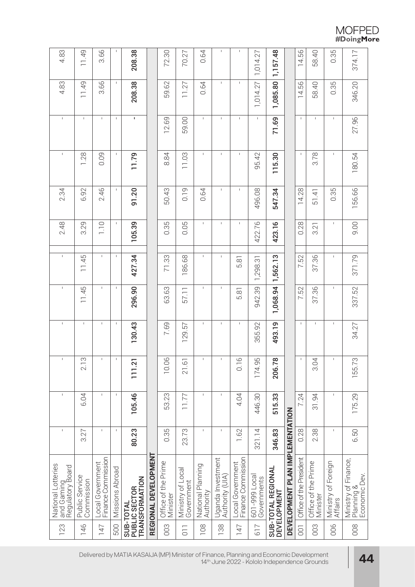| 4.83<br>4.83                                             | 11.49                        | 3.66<br>3.66                           | $\mathsf I$<br>$\mathbb{L}$ | 208.38                          |                      | 72.30                           | 70.27                           | 0.64<br>0.64                   | $\mathsf I$<br>$\mathsf I$           | $\mathsf I$<br>$\mathsf I$             | 1,014.27                     | 1,157.48                          |                                 | 14.56                   | 58.40                           | 0.35<br>0.35                   | 374.17                                              |
|----------------------------------------------------------|------------------------------|----------------------------------------|-----------------------------|---------------------------------|----------------------|---------------------------------|---------------------------------|--------------------------------|--------------------------------------|----------------------------------------|------------------------------|-----------------------------------|---------------------------------|-------------------------|---------------------------------|--------------------------------|-----------------------------------------------------|
|                                                          | 11.49                        |                                        |                             | 208.38                          |                      | 59.62                           | 11.27                           |                                |                                      |                                        | 1,014.27                     | 1,085.80                          |                                 | 14.56                   | 58.40                           |                                | 346.20                                              |
| $\mathsf I$                                              | $\mathsf I$                  | $\mathbf{I}$                           | $\mathsf I$                 | T,                              |                      | 12.69                           | 59.00                           | $\mathbf{L}$                   | $\mathbf I$                          | $\mathsf I$                            | $\mathbb{L}$                 | 71.69                             |                                 | $\mathbf{I}$            | $\mathsf I$                     | $\mathbf{I}$                   | 27.96                                               |
| $\mathsf I$                                              | 1.28                         | 0.09                                   | $\mathsf I$                 | 11.79                           |                      | 8.84                            | 11.03                           | $\mathbf{I}$                   | $\mathbf I$                          | $\mathsf I$                            | 95.42                        | 115.30                            |                                 | $\mathbf{I}$            | 3.78                            | $\mathbf{I}$                   | 180.54                                              |
| 2.34                                                     | 6.92                         | 2.46                                   | $\mathsf I$                 | 91.20                           |                      | 50.43                           | 0.19                            | 0.64                           | $\mathsf I$                          | $\mathsf I$                            | 496.08                       | 547.34                            |                                 | 14.28                   | 51.41                           | 0.35                           | 156.66                                              |
| 2.48                                                     | 3.29                         | 1.10                                   | 1                           | 105.39                          |                      | 0.35                            | 0.05                            | I.                             | $\mathsf I$                          | $\mathbf{I}$                           | 422.76                       | 423.16                            |                                 | 0.28                    | 3.21                            |                                | 9.00                                                |
| $\mathsf I$                                              | 11.45                        | $\mathsf{I}$                           | $\mathsf I$                 | 427.34                          |                      | 71.33                           | 186.68                          | $\mathsf{L}$                   | $\mathsf I$                          | 5.81                                   | 1,298.31                     | 1,562.13                          |                                 | 7.52                    | 37.36                           | L                              | 371.79                                              |
| $\mathsf I$                                              | 11.45                        | $\mathbf{I}$                           | 1                           | 296.90                          |                      | 63.63                           | 57.11                           | L                              | $\mathsf I$                          | 5.81                                   | 942.39                       | 1,068.94                          |                                 | 7.52                    | 37.36                           |                                | 337.52                                              |
| $\mathsf I$                                              | $\mathsf I$                  | $\mathsf I$                            | $\mathsf I$                 | 130.43                          |                      | 7.69                            | 129.57                          | L                              | $\mathsf I$                          | $\mathsf I$                            | 355.92                       | 493.19                            |                                 | $\mathbf{I}$            | $\mathsf I$                     | L                              | 34.27                                               |
| $\mathsf I$                                              | $\infty$<br>2.1              | $\mathsf I$                            | $\mathsf I$                 | 111.21                          |                      | 6<br>10.0                       | 21.61                           | Τ.                             | $\mathsf I$                          | 0.16                                   | 174.95                       | 206.78                            |                                 | $\mathbf{I}$            | 3.04                            | $\mathsf I$                    | 155.73                                              |
| $\mathsf I$                                              | 6.04                         | $\mathbf{I}$                           | $\mathsf I$                 | 105.46                          |                      | 53.23                           | 11.77                           | $\mathsf I$                    | $\mathsf I$                          | 4.04                                   | 446.30                       | 515.33                            |                                 | 7.24                    | 31.94                           | Τ.                             | 175.29                                              |
| $\mathsf I$                                              | 3.27                         | $\mathsf I$                            | 1                           | 80.23                           |                      | 0.35                            | 23.73                           | I.                             | $\mathbf{I}$                         | 1.62                                   | 321.14                       | 346.83                            |                                 | 0.28                    | 2.38                            | J.                             | 6.50                                                |
| National Lotteries<br>  and Gaming<br>  Regulatory Board | Public Service<br>Commission | Finance Commission<br>Local Government | Missions Abroad             | TRANSFORMATION<br>PUBLIC SECTOR | REGIONAL DEVELOPMENT | Office of the Prime<br>Minister | Ministry of Local<br>Government | National Planning<br>Authority | Uganda Investment<br>Authority (UIA) | Finance Commission<br>Local Government | 601-999 Local<br>Governments | SUB-TOTAL REGIONAL<br>DEVELOPMENT | DEVELOPMENT PLAN IMPLEMENTATION | Office of the President | Office of the Prime<br>Minister | Ministry of Foreign<br>Affairs | Ministry of Finance,<br>Planning &<br>Economic Dev. |
| 123                                                      | 146                          | 147                                    | 500                         | SUB-TOTAL                       |                      | 003                             | $\overline{0}$                  | 108                            | 138                                  | 147                                    | 617                          |                                   |                                 | $\overline{0}0$         | 003                             | 006                            | 008                                                 |

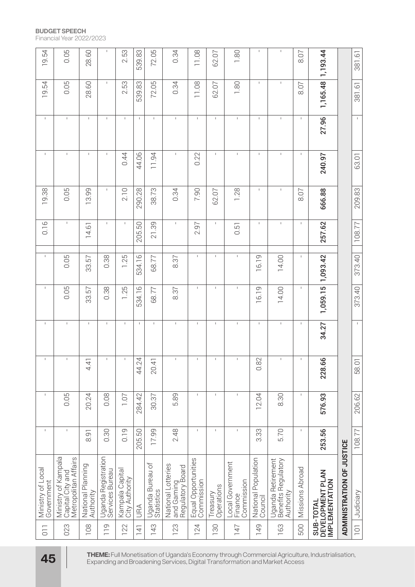| 19.54                           | 0.05                                                            | 28.60                          | $\mathsf I$                            | 2.53                              | 539.83           | 72.05                          | 0.34                                                 | 11.08                             | 62.07                  | 1.80                                      | $\mathsf I$                    | $\mathsf I$                                                                 | 8.07            | 1,193.44                                                                                        |                           | 381.61            |
|---------------------------------|-----------------------------------------------------------------|--------------------------------|----------------------------------------|-----------------------------------|------------------|--------------------------------|------------------------------------------------------|-----------------------------------|------------------------|-------------------------------------------|--------------------------------|-----------------------------------------------------------------------------|-----------------|-------------------------------------------------------------------------------------------------|---------------------------|-------------------|
| 19.54                           | 0.05                                                            | 28.60                          | $\mathsf I$                            | 2.53                              | 539.83           | 72.05                          | 0.34                                                 | 11.08                             | 62.07                  | 1.80                                      | $\mathbf{I}$                   | $\mathsf I$                                                                 | 8.07            | 1,165.48                                                                                        |                           | 381.61            |
| $\mathsf{I}$                    | $\mathsf I$                                                     | $\mathsf I$                    | $\mathsf{I}$                           | $\mathsf I$                       | $\mathbf{I}$     | $\mathsf{I}$                   | $\mathsf I$                                          | $\mathbf{I}$                      | $\mathbf{I}$           | $\mathsf I$                               | $\mathbf{I}$                   | $\mathbf{I}$                                                                | $\mathbf{I}$    | 27.96                                                                                           |                           | $\mathsf I$       |
| $\mathbf I$                     | $\mathsf I$                                                     | $\mathsf I$                    | $\mathbf I$                            | 0.44                              | 44.06            | 11.94                          | $\mathsf I$                                          | 0.22                              | $\mathbf{I}$           | $\mathsf I$                               | $\mathbf{I}$                   | $\mathsf I$                                                                 | $\mathsf I$     | 240.97                                                                                          |                           | 63.01             |
| 19.38                           | 0.05                                                            | 13.99                          | $\mathsf I$                            | 2.10                              | 290.28           | 38.73                          | 0.34                                                 | 7.90                              | 62.07                  | 1.28                                      | $\mathsf I$                    | $\mathbf I$                                                                 | 8.07            | 666.88                                                                                          |                           | 209.83            |
| 0.16                            | $\mathsf I$                                                     | 14.61                          | $\mathsf I$                            | $\mathsf I$                       | 205.50           | 21.39                          | $\mathbf I$                                          | 2.97                              | ı                      | 0.51                                      | $\mathsf I$                    | $\mathsf I$                                                                 | $\mathsf I$     | 257.62                                                                                          |                           | 108.77            |
| $\mathsf I$                     | 0.05                                                            | 33.57                          | 0.38                                   | 1.25                              | 534.16           | 68.77                          | 8.37                                                 | $\mathbb{I}$                      | I.                     | $\mathsf I$                               | 16.19                          | 14.00                                                                       | $\mathsf I$     | 1,093.42                                                                                        |                           | 373.40            |
| $\mathsf I$                     | 0.05                                                            | 33.57                          | 0.38                                   | .25                               | 534.16           | 68.77                          | 8.37                                                 | $\mathsf I$                       | I.                     | $\mathsf I$                               | 16.19                          | 14.00                                                                       | $\mathsf I$     | 1,059.15                                                                                        |                           | 373.40            |
| $\mathsf I$                     | $\mathsf I$                                                     | $\mathsf I$                    | $\mathsf I$                            | $\mathsf I$                       | $\mathbf{I}$     | $\mathsf I$                    | $\mathsf I$                                          | $\mathbf{I}$                      | I.                     | $\mathsf I$                               | $\mathbf{I}$                   | $\mathsf I$                                                                 | $\mathsf I$     | 34.27                                                                                           |                           | $\mathbf{I}$      |
|                                 | 1                                                               | $4\overline{4}$                | 1                                      | $\mathsf I$                       | 44.24            | 20.4                           |                                                      | $\mathsf I$                       | 1                      | $\mathsf I$                               | $\sim$<br>$\frac{8}{2}$        |                                                                             | $\mathsf I$     | 228.66                                                                                          |                           | 58.0 <sup>-</sup> |
| $\mathsf I$                     | 0.05                                                            | 20.24                          | 0.08                                   | 1.07                              | 284.42           | 30.37                          | 5.89                                                 | $\mathbf{I}$                      | $\mathbf{I}$           | $\mathbf{I}$                              | 12.04                          | 8.30                                                                        | $\mathsf I$     | 576.93                                                                                          |                           | 206.62            |
| $\mathsf{I}$                    | $\mathsf I$                                                     | $\overline{5}$<br>$\infty$     | 0.30                                   | 0.19                              | 205.50           | 17.99                          | 2.48                                                 | $\mathbf{I}$                      | $\mathbf{I}$           | $\mathbf{I}$                              | 33<br>$\frac{1}{3}$            | 5.70                                                                        | $\mathsf I$     | 253.56                                                                                          |                           | 108.77            |
| Ministry of Local<br>Government | Ministry of Kampala<br>Metropolitan Affairs<br>Capital City and | National Planning<br>Authority | Uganda Registration<br>Sérvices Bureau | Kampala Capital<br>City Authority | <b>ASU</b>       | Uganda Bureau of<br>Statistics | National Lotteries<br>and Gaming<br>Regulatory Board | Equal Opportunities<br>Commission | Operations<br>Treasury | Local Government<br>Finance<br>Commission | National Population<br>Council | Uganda Retirement<br>  Benefits Regulatory<br>  Authority                   | Missions Abroad | DEVELOPMENT PLAN<br>IMPLEMENTATION<br>SUB-TOTAL                                                 | ADMINISTRATION OF JUSTICE | Judiciary         |
| $\overline{0}$                  | 023                                                             | 108                            | 119                                    | 122                               | $\overline{141}$ | 143                            | 123                                                  | 124                               | 130                    | 147                                       | 149                            | 163                                                                         | 500             |                                                                                                 |                           | $\overline{101}$  |
| 45                              |                                                                 |                                |                                        |                                   |                  |                                |                                                      |                                   |                        |                                           |                                | Expanding and Broadening Services, Digital Transformation and Market Access |                 | THEME: Full Monetisation of Uganda's Economy through Commercial Agriculture, Industrialisation, |                           |                   |

#### **BUDGET SPEECH**

Financial Year 2022/2023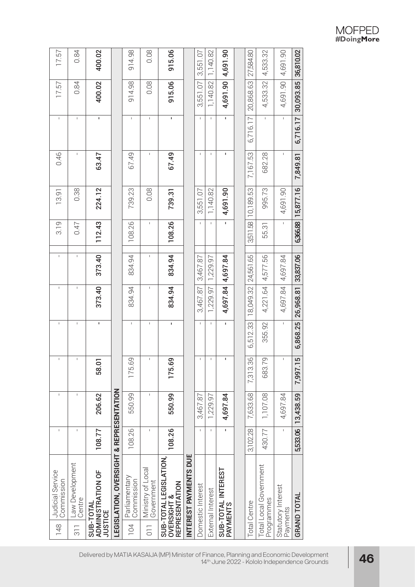| 15.7<br>157                           | 0.84<br>0.84                                | 400.02<br>400.02                                        |                                                    | 914.98<br>914.98                   | 0.08<br>0.08                                       | 915.06<br>915.06                                                         |                       | 3,551.07<br>3,551.07 | 1,140.82<br>1,140.82 | 4,691.90<br>4,691.90           | 27,584.80<br>20,868.63 | 4,533.32<br>4,533.32                 | 4,691.90<br>4,691.90           | 36,810.02<br>30,093.85 |
|---------------------------------------|---------------------------------------------|---------------------------------------------------------|----------------------------------------------------|------------------------------------|----------------------------------------------------|--------------------------------------------------------------------------|-----------------------|----------------------|----------------------|--------------------------------|------------------------|--------------------------------------|--------------------------------|------------------------|
| I                                     | $\mathbf{I}$                                | T,                                                      |                                                    | $\mathsf I$                        | $\sf I$                                            | I.                                                                       |                       | $\overline{1}$       | $\mathbf I$          | ı.                             | 6,716.17               | $\sf I$                              | $\mathsf{I}$                   | 6,716.17               |
| 0.46                                  | $\mathsf I$                                 | 63.47                                                   |                                                    | 67.49                              | $\mathsf I$                                        | 67.49                                                                    |                       | $\sf I$              | J.                   | I.                             | 7,167.53               | 682.28                               | I.                             | 7,849.81               |
| 13.91                                 | 0.38                                        | 224.12                                                  |                                                    | 739.23                             | 0.08                                               | 739.31                                                                   |                       | 3,551.07             | 1,140.82             | 4,691.90                       | 10,189.53              | 995.73                               | 4,691.90                       | 15,877.16              |
| 3.19                                  | 0.47                                        | 112.43                                                  |                                                    | 108.26                             | $\mathbf{I}$                                       | 108.26                                                                   |                       | $\overline{1}$       | $\mathbf I$          | ı.                             | 3,511.58               | 55.31                                | I.                             | 6,366.88               |
| $\mathsf I$                           | I.                                          | 373.40                                                  |                                                    | 834.94                             | $\mathbf{I}$                                       | 834.94                                                                   |                       | 3,467.87             | 1,229.97             | 4,697.84                       | 24,561.65              | 4,577.56                             | 4,697.84                       | 33,837.06              |
| I.                                    | I                                           | 373.40                                                  |                                                    | 834.94                             | $\mathbf{I}$                                       | 834.94                                                                   |                       | 3,467.87             | 1,229.97             | 4,697.84                       | 18,049.32              | 4,221.64                             | 4,697.84                       | 26,968.81              |
| $\mathsf I$                           | $\mathsf I$                                 | I.                                                      |                                                    | $\mathbf{I}$                       | $\overline{1}$                                     | I.                                                                       |                       | $\mathsf I$          | $\mathbf{I}$         | $\mathbf I$                    | 6,512.33               | 355.92                               | $\mathbf{I}$                   | 6,868.25               |
|                                       |                                             | 58.01                                                   |                                                    | 175.69                             |                                                    | 175.69                                                                   |                       |                      |                      |                                | 7,313.36               | 683.79                               |                                | 7,997.15               |
| $\sf I$                               |                                             | 206.62                                                  |                                                    | 550.99                             |                                                    | 550.99                                                                   |                       | 3,467.87             | 1,229.97             | 4,697.84                       | 7,633.68               | 1,107.08                             | 4,697.84                       | 5,533.06   13,438.59   |
| 1                                     |                                             | 108.77                                                  |                                                    | 108.26                             |                                                    | 108.26                                                                   |                       |                      | $\mathsf I$          | I.                             | 3,102.28               | 430.77                               | $\mathbf I$                    |                        |
| Judicial Service<br>Commission<br>148 | Law Development<br>Centre<br>$\overline{3}$ | <b>ADMINISTRATION OF</b><br>SUB-TOTAL<br><b>JUSTICE</b> | <b>LEGISLATION, OVERSIGHT &amp; REPRESENTATION</b> | Parliamentary<br>Commission<br>104 | Ministry of Local<br>Government<br>$\overline{11}$ | SUB-TOTAL LEGISLATION<br><b>REPRESENTATION</b><br><b>OVERSIGHT &amp;</b> | INTEREST PAYMENTS DUE | Domestic Interest    | External Interest    | SUB-TOTAL INTEREST<br>PAYMENTS | Total Centre           | Total Local Government<br>Programmes | Statutory Interest<br>Payments | <b>GRAND TOTAL</b>     |

 $\begin{array}{c} \text{MOFPED} \\ \text{\#DoingMore} \end{array}$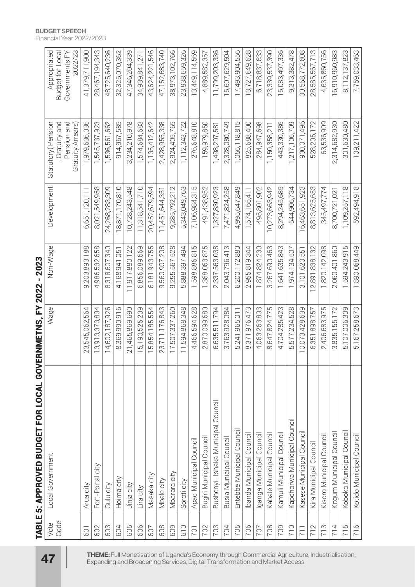|                          | <b>TABLE 5: APPROVED BUDGET FOR LOCAL GOV</b> | ERNMETNS, FY 2022 - 2023 |                |                |                                                                        |                                                               |
|--------------------------|-----------------------------------------------|--------------------------|----------------|----------------|------------------------------------------------------------------------|---------------------------------------------------------------|
| Code<br>Vote             | Local Government                              | Wage                     | Non-Wage       | Development    | Statutory (Pension<br>Gratuity and<br>Pension and<br>Gratuity Arrears) | 2022/23<br>Appropriated<br>Budget for Local<br>Governments FY |
| <b>601</b>               | Arua city                                     | 23,545,062,564           | 9,203,893,188  | 6,651,120,111  | 1,979,636,036                                                          | 41,379,711,900                                                |
| 602                      | Fort-Portal city                              | 13,913,373,804           | 4,986,532,658  | 8,021,549,958  | 1,545,737,923                                                          | 28,467,194,343                                                |
| 603                      | Gulu city                                     | 14,602,187,926           | 8,318,607,340  | 24,268,283,309 | 1,536,561,662                                                          | 48,725,640,236                                                |
| 604                      | Hoima city                                    | 8,369,990,916            | 4,168,941,051  | 18,871,170,810 | 914,967,585                                                            | 32,325,070,362                                                |
| 605                      | Jinja city                                    | 21,465,869,690           | 11,917,880,122 | 10,728,243,548 | 3,234,210,978                                                          | 47,346,204,339                                                |
| 606                      | Lira city                                     | 15,190,525,209           | 6,856,089,669  | 11,318,541,710 | 1,574,684,683                                                          | 34,939,841,271                                                |
| 607                      | Masaka city                                   | 15,854,185,554           | 6,181,943,755  | 20,452,679,594 | 1,135,412,642                                                          | 43,624,221,546                                                |
| 608                      | Mbale city                                    | 23,711,176,843           | 9,560,907,208  | 11,451,644,351 | 2,428,955,338                                                          | 47,152,683,740                                                |
| 609                      | Mbarara city                                  | 17,507,337,260           | 9,255,567,528  | 9,285,792,212  | 2,924,405,765                                                          | 38,973,102,766                                                |
| 610                      | Soroti city                                   | 11,594,868,348           | 5,888,397,494  | 5,343,049,763  | 1, 112, 343, 722                                                       | 23,938,659,326                                                |
| <b>701</b>               | Apac Municipal Council                        | 4,466,594,628            | 1,598,886,815  | 7,106,984,315  | 276,648,810                                                            | 13,449,114,569                                                |
| 702                      | Bugiri Municipal Council                      | 2,870,099,680            | 1,368,063,875  | 491,438,952    | 159,979,850                                                            | 4,889,582,357                                                 |
| 703                      | Council<br>Bushenyi- Ishaka Municipal         | 6,635,511,794            | 2,337,563,038  | 1,327,830,923  | 1,498,297,581                                                          | 11,799,203,336                                                |
| 704                      | Busia Municipal Council                       | 3,763,928,084            | 2,043,796,413  | 7,471,824,258  | 2,328,080,749                                                          | 15,607,629,504                                                |
| 705                      | Entebbe Municipal Council                     | 241,965,011<br>5         | 6,200,172,880  | 4,995,647,849  | 1,056,118,815                                                          | 17,493,904,556                                                |
| 706                      | banda Municipal Council                       | 8,371,976,473            | 2,955,819,344  | 1,574,165,411  | 825,688,400                                                            | 13,727,649,628                                                |
| 707                      | ganga Municipal Council                       | 4,063,263,803            | 1,874,824,230  | 495,801,902    | 284,947,698                                                            | 6,718,837,633                                                 |
| 708                      | Kabale Municipal Council                      | 8,647,824,775            | 3,267,690,463  | 10,273,663,942 | 1,150,358,211                                                          | 23,339,537,390                                                |
| 709                      | Kamuli Municipal Council                      | 4,704,285,423            | 1,641,635,843  | 8,294,245,685  | 443,330,386                                                            | 15,083,497,336                                                |
| 710                      | Kapchorwa Municipal Council                   | 5,577,234,528            | 1,974,134,507  | 544,906,734    | 1,217,106,709                                                          | 9,313,382,478                                                 |
| $\overline{71}$          | Kasese Municipal Council                      | 0,073,428,639            | 3,101,620,551  | 6,463,651,923  | 930,071,496                                                            | 30,568,772,608                                                |
| $\sim$<br>$\overline{C}$ | Kira Municipal Council                        | 6,351,898,757            | 12,891,838,132 | 8,813,625,653  | 528,205,172                                                            | 28,585,567,713                                                |
| S<br>$\overline{1}$      | Kisoro Municipal Council                      | 2,406,683,975            | 1,820,142,098  | 345,497,774    | 63,536,909                                                             | 4,635,860,756                                                 |
| $\frac{1}{4}$            | Kitgum Municipal Council                      | 3,835,155,172            | 2,060,401,860  | 8,700,721,021  | 2,314,682,930                                                          | 16,910,960,983                                                |
| 5<br>$\overline{1}$      | Koboko Municipal Council                      | 5,107,006,309            | 594,243,915    | 1,109,257,118  | 301,630,480                                                            | 8, 112, 137, 823                                              |
| 716                      | Kotido Municipal Council                      | 5,167,258,673            | 1,890,068,449  | 592,494,918    | 109,211,422                                                            | 7,759,033,463                                                 |

#### **BUDGET SPEECH**

Financial Year 2022/2023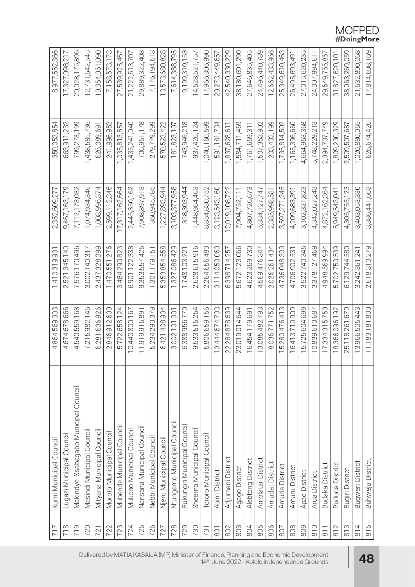| 717            | Kumi Municipal Council               | 4,864,569,303           | 1,410,319,931      | 2,352,609,277    | 350,053,854   | 8,977,552,366  |
|----------------|--------------------------------------|-------------------------|--------------------|------------------|---------------|----------------|
| 718            | Lugazi Municipal Council             | 4,674,678,666           | 521, 345, 140<br>Ñ | 9,467,163,179    | 663,911,232   | 17,327,098,217 |
| 719            | Makindye-Ssabagabo Municipal Council | 4,540,559,168           | 7,576,170,496      | 7, 112, 173, 032 | 799,273,199   | 20,028,175,896 |
| 720            | Masindi Municipal Council            | 7,215,982,146           | 3,002,140,317      | 1,074,934,346    | ,438,585,736  | 12,731,642,545 |
| 721            | Mityana Municipal Council            | 6,281,636,926           | 2,437,328,099      | 1,008,996,374    | 626,089,691   | 10,354,051,090 |
| 722            | Moroto Municipal Council             | 2,846,912,600           | 1,470,551,276      | 2,599,112,346    | 241,996,952   | 7,158,573,173  |
| 723            | Mubende Municipal Council            | 5,722,658,124           | 3,464,290,823      | 17,317,162,664   | 1,035,813,857 | 27,539,925,467 |
| 724            | Mukono Municipal Council             | 0,440,800,167           | 6,901,122,338      | 2,445,350,162    | ,435,241,040  | 21,222,513,707 |
| 725            | Nansana Municipal Council            | 11,919,915,891          | 9,353,557,425      | 7,908,897,913    | 706,951,178   | 29,889,322,408 |
| 726            | Nebbi Municipal Council              | 5,234,290,379           | 1,301,179,151      | 360,945,785      | 279,779,299   | 7,176,194,613  |
| 727            | Njeru Municipal Council              | 6,421,408,904           | 5,353,854,558      | ,227,893,944     | 570,523,422   | 13,573,680,828 |
| 728            | Ntungamo Municipal Council           | 3,002,101,301           | 1,327,086,429      | 3,103,377,958    | 181,823,107   | 7,614,388,795  |
| 729            | Rukungiri Municipal Council          | 6,388,956,770           | 1,748,103,221      | 318,303,944      | 743,946,218   | 9,199,310,153  |
| 730            | Sheema Municipal Council             | 9,533,515,254           | 2,608,615,916      | ,448,964,463     | 937,426,124   | 14,528,521,757 |
| 731            | Tororo Municipal Council             | 5,806,659,156           | 2,264,656,483      | 8,854,830,752    | 1,040,160,599 | 17,966,306,990 |
| 801            | <b>Abim District</b>                 | 3,444,674,703           | 3,114,050,060      | 3,123,543,160    | 591,181,734   | 20,273,449,657 |
| 802            | Adjumani District                    | 22,284,878,639          | 6,398,714,257      | 2,019,108,722    | 1,837,628,611 | 42,540,330,229 |
| 803            | Agago District                       | 23,019,014,644          | 5,672,123,066      | 7,904,752,11     | 1,584,711,469 | 38,180,601,290 |
| 804            | Alebtong District                    | 16,454,179,691          | 4,623,269,730      | 4,807,726,673    | 1,761,659,311 | 27,646,835,405 |
| 805            | Amolatar District                    | 3,085,482,793           | 4,569,476,347      | 5,334,127,747    | 1,507,353,902 | 24,496,440,789 |
| 806            | Amudat District                      | 8,036,771,752           | 2,026,261,434      | 2,385,998,581    | 203,402,199   | 12,652,433,966 |
| 807            | Amuria District                      | 5,280,476,413           | 4,736,048,303      | 3,597,271,245    | 1,735,814,502 | 25,349,610,463 |
| 808            | Amuru District                       | 16,413,710,909          | 4,706,902,531      | 4,209,683,391    | 1,165,396,660 | 26,495,693,491 |
| 809            | Apac District                        | 5,725,604,699           | 522,740,345<br>ന്  | 3,102,321,823    | 4,664,953,368 | 27,015,620,235 |
| $\frac{0}{8}$  | Arua District                        | 10,839,610,687          | 3,378,127,469      | 4,342,027,243    | 5,748,229,213 | 24,307,994,611 |
| $\overline{8}$ | <b>Budaka District</b>               | 17,334,315,750          | 4,948,569,994      | 4,872,162,364    | 2,394,707,749 | 29,549,755,857 |
| 812            | <b>Bududa District</b>               | 18,366,096,192          | 5,702,750,539      | 5,949,543,041    | 1,809,230,329 | 31,827,620,101 |
| $\frac{8}{8}$  | Bugiri District                      | 5,118,261,670<br>$\sim$ | 6,129,744,580      | 4,305,755,123    | 2,509,507,687 | 38,063,269,059 |
| 814            | Bugweri District                     | 13,966,505,443          | 3,242,361,241      | 3,403,053,330    | 1,020,880,055 | 21,632,800,068 |
| 815            | Buhweju District                     | 11,183,181,800          | 2,618,310,279      | 3,386,441,663    | 626,674,426   | 17,814,608,169 |

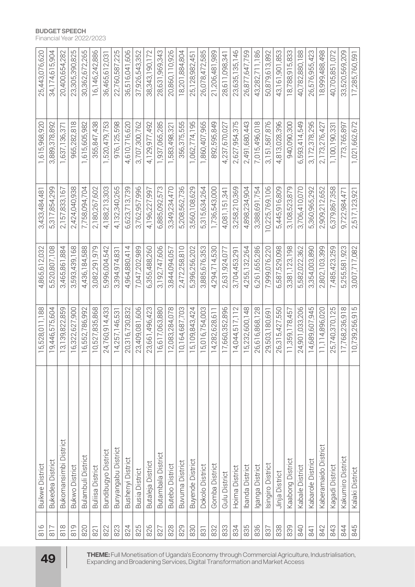|                                                                                                 | $\frac{6}{8}$ | <b>Buikwe District</b>     | 5,528,011,188    | 4,865,612,032 | 3,433,484,481 | 1,615,968,920 | 25,443,076,620    |
|-------------------------------------------------------------------------------------------------|---------------|----------------------------|------------------|---------------|---------------|---------------|-------------------|
| <b>49</b>                                                                                       | 817           | <b>Bukedea District</b>    | 9,446,575,604    | 5,520,807,108 | 5,317,854,299 | 3,889,378,892 | 34,174,615,904    |
|                                                                                                 | $\frac{8}{8}$ | Bukomansimbi District      | 3,139,822,859    | 3,465,861,884 | 2,157,833,167 | 1,637,136,371 | 20,400,654,282    |
|                                                                                                 | $\frac{9}{8}$ | <b>Bukwo District</b>      | 16,322,627,900   | 3,593,439,168 | 2,424,040,938 | 965,282,818   | 23,305,390,825    |
|                                                                                                 | 820           | Bulambuli District         | 16,552,786,992   | 4,436,184,588 | 7,758,094,704 | 1,615,605,982 | 30,362,672,265    |
| Expanding and Broadening Services, Digital Transformation and Market Access                     | 821           | <b>Buliisa District</b>    | 0,527,835,868    | 3,082,291,979 | 2,180,267,602 | 355,847,438   | 16,146,242,886    |
| THEME: Full Monetisation of Uganda's Economy through Commercial Agriculture, Industrialisation, | 822           | <b>Bundibugyo District</b> | 24,760,914,433   | 5,996,004,542 | 4,188,213,303 | 1,520,479,753 | 36,465,612,031    |
|                                                                                                 | 823           | Bunyangabu District        | 14,257,146,531   | 3,394,974,831 | 4,132,340,265 | 976,125,598   | 22,760,587,225    |
|                                                                                                 | 824           | <b>Bushenyi District</b>   | 20,316,730,832   | 4,964,880,414 | 6,623,713,739 | 4,610,716,620 | 36,516,041,606    |
|                                                                                                 | 825           | <b>Busia District</b>      | 23,409,081,606   | 7,047,202,989 | 3,762,957,996 | 3,707,300,762 | 37,926,543,352    |
|                                                                                                 | 826           | Butaleja District          | 23,661,496,423   | 6,355,488,260 | 4,196,227,997 | 4,129,977,492 | 38, 343, 190, 172 |
|                                                                                                 | 827           | <b>Butambala District</b>  | 16,617,063,880   | 3,192,747,606 | 6,885,092,573 | 1,937,065,285 | 28,631,969,343    |
|                                                                                                 | 828           | <b>Butebo District</b>     | 2,083,284,078    | 3,844,094,057 | 3,349,234,470 | 1,583,498,321 | 20,860,110,926    |
|                                                                                                 | 829           | <b>Buvuma District</b>     | 10,164,687,703   | 2,472,258,810 | 5,208,562,736 | 356,375,555   | 18,201,884,804    |
|                                                                                                 | 830           | <b>Buyende District</b>    | 5,109,843,424    | 5,396,256,202 | 3,560,108,629 | 1,062,774,195 | 25, 128, 982, 451 |
|                                                                                                 | 831           | Dokolo District            | 5,016,754,003    | 3,885,676,353 | 5,315,634,264 | ,860,407,965  | 26,078,472,585    |
|                                                                                                 | 832           | Gomba District             | 14,282,628,611   | 4,294,714,530 | 1,736,543,000 | 892,595,849   | 21,206,481,989    |
|                                                                                                 | 833           | Gulu District              | 17,660,352,896   | 2,631,924,077 | 4,081,151,341 | 4,237,670,027 | 28,611,098,341    |
|                                                                                                 | 834           | Hoima District             | 14,044,517,112   | 3,704,453,291 | 3,258,210,369 | 2,627,954,375 | 23,635,135,146    |
|                                                                                                 | 835           | Ibanda District            | 15,232,600,148   | 4,255,132,264 | 4,898,234,904 | 2,491,680,443 | 26,877,647,759    |
|                                                                                                 | 836           | ganga District             | 26,616,868,128   | 6,261,655,286 | 3,388,691,754 | 7,015,496,018 | 43,282,711,186    |
|                                                                                                 | 837           | singiro District           | 29,503,180,691   | 7,999,076,220 | 0,225,769,106 | 3,151,587,876 | 50,879,613,892    |
|                                                                                                 | 838           | Jinja District             | 26,315,427,550   | 6,587,529,098 | 5,445,916,809 | 4,813,028,396 | 43, 161, 901, 853 |
|                                                                                                 | 839           | Kaabong District           | 11,359,178,457   | 3,381,123,198 | 3,108,523,879 | 940,090,300   | 18,788,915,833    |
|                                                                                                 | 840           | Kabale District            | 24,901,033,206   | 5,582,022,362 | 3,706,410,070 | 6,593,414,549 | 40,782,880,188    |
|                                                                                                 | 841           | Kabarole District          | 14,689,607,945   | 3,354,003,890 | 5,360,965,292 | 3,172,378,295 | 26,576,955,423    |
|                                                                                                 | 842           | Kaberamaido District       | 11, 14, 896, 020 | 2,802,103,399 | 2,909,212,652 | 2,173,276,427 | 18,999,488,498    |
|                                                                                                 | 843           | Kagadi District            | 25,740,370,125   | 7,485,423,259 | 6,379,867,358 | 1,100,190,331 | 40,705,851,072    |
|                                                                                                 | 844           | Kakumiro District          | 17,768,236,918   | 5,255,581,923 | 9,722,984,47  | 773,765,897   | 33,520,569,209    |
|                                                                                                 | 845           | Kalaki District            | 10,739,256,915   | 3,007,717,082 | 2,517,123,921 | 1,021,662,672 | 17,285,760,591    |

#### **BUDGET SPEECH**

Financial Year 2022/2023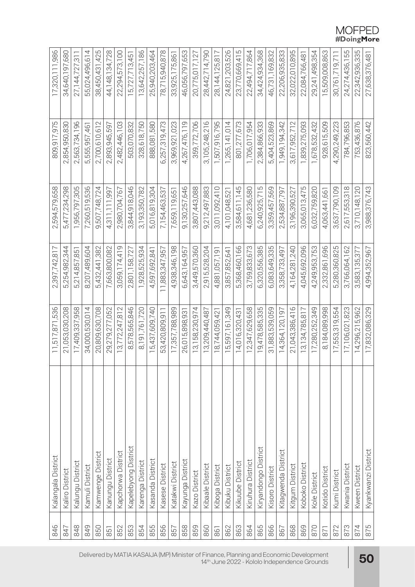| 846        | Kalangala District   | 11,517,871,536 | 2,397,742,817  | 2,594,579,658 | 809,917,975              | 17,320,111,986    |
|------------|----------------------|----------------|----------------|---------------|--------------------------|-------------------|
| 847        | Kaliro District      | 21,053,030,208 | 5,254,982,344  | 5,477,234,298 | 2,854,950,830            | 34,640,197,680    |
| 848        | Kalungu District     | 17,409,337,958 | 5,214,857,851  | 1,956,797,305 | 2,563,734,196            | 27, 144, 727, 311 |
| 849        | Kamuli District      | 34,000,530,014 | 8,207,489,604  | 7,260,519,536 | 555,957,461<br><u>LO</u> | 55,024,496,614    |
| 850        | Kamwenge District    | 20,809,630,708 | 5,432,441,382  | 9,507,748,724 | 2,700,610,612            | 38,450,431,425    |
| 851        | Kanungu District     | 9,279,277,052  | 7,663,800,082  | 4,311,111,997 | 2,893,945,597            | 44, 148, 134, 728 |
| 852        | Kapchorwa District   | 3,772,247,812  | 3,059,174,419  | 2,980,704,767 | 2,482,446,103            | 22,294,573,100    |
| 853        | Kapelebyong District | 8,578,565,846  | 2,801,158,727  | 3,844,918,046 | 503,070,832              | 15,727,713,451    |
| 854        | Karenga District     | 8,191,761,720  | 1,928,525,934  | 3,193,350,782 | 328,618,750              | 13,642,257,186    |
| 855        | Kasanda District     | 5,437,609,740  | 4,597,692,841  | 5,016,819,304 | 888,081,580              | 25,940,203,464    |
| 856        | Kasese District      | 53,420,809,911 | 11,883,347,957 | 7,154,463,537 | 6,257,319,473            | 78,715,940,878    |
| 857        | Katakwi District     | 17,357,788,989 | 4,938,346,198  | 7,659,119,651 | 3,969,921,023            | 33,925,175,861    |
| 858        | Kayunga District     | 26,015,898,931 | 6,643,164,957  | 9,130,257,646 | 4,267,476,119            | 46,056,797,653    |
| 859        | Kazo District        | 3,158,230,974  | 3,449,570,360  | 3,807,443,088 | 359,772,706              | 20,775,017,127    |
| 860        | Kibaale District     | 3,209,440,487  | 2,915,528,204  | 9,212,497,883 | 3,105,248,216            | 28,442,714,790    |
| 861        | Kiboga District      | 8,744,059,421  | 4,881,057,191  | 3,011,092,410 | 1,507,916,795            | 28, 144, 125, 817 |
| 862        | Kibuku District      | 5,597,161,349  | 3,857,852,641  | 4,101,048,521 | 1,265,141,014            | 24,821,203,526    |
| 863        | Kikuube District     | 4,016,320,431  | 5,368,460,166  | 3,584,611,145 | 801,277,673              | 23,770,669,415    |
| 864        | Kiruhura District    | 2,347,629,658  | 3,759,833,673  | 4,681,236,580 | 1,706,017,954            | 22,494,717,864    |
| 865        | Kiryandongo District | 9,478,585,335  | 6,320,556,385  | 6,240,925,715 | 2,384,866,933            | 34,424,934,368    |
| 866        | Kisoro District      | 31,883,539,059 | 6,083,649,335  | 3,359,457,569 | 5,404,523,869            | 46,731,169,832    |
| 867        | Kitagwenda District  | 14,364,120,197 | 3,358,733,497  | 2,534,887,797 | 1,949,194,342            | 22,206,935,833    |
| 868        | Kitgum District      | 21,043,386,416 | 4,164,281,240  | 3,196,390,527 | 3,617,952,712            | 32,022,010,895    |
| 869        | Koboko District      | 3,134,785,817  | 4,045,692,096  | 3,065,013,475 | 839,275,093              | 22,084,766,481    |
| 870        | Kole District        | 17,280,252,349 | 4,249,953,753  | 6,032,759,820 | ,678,532,432             | 29,241,498,354    |
| <b>B71</b> | Kotido District      | 8,184,089,998  | 2,332,861,696  | 4,063,441,661 | 928,615,509              | 15,509,008,863    |
| 872        | Kumi District        | 17,553,319,554 | 5,280,360,825  | 3,637,790,109 | 4,290,249,223            | 30,761,719,711    |
| 873        | Kwania District      | 17,106,021,823 | 3,766,064,162  | 2,617,553,318 | 784,796,853              | 24,274,436,155    |
| 874        | Kween District       | 14,296,215,962 | 3,583,135,377  | 3,710,148,120 | 753,436,876              | 22,342,936,335    |
| 875        | Kyankwanzi District  | 17,832,086,329 | 4,994,352,967  | 3,988,376,743 | 823,560,442              | 27,638,376,487    |

# $\begin{array}{c} \text{MOFPED} \\ \text{\#DoingMore} \end{array}$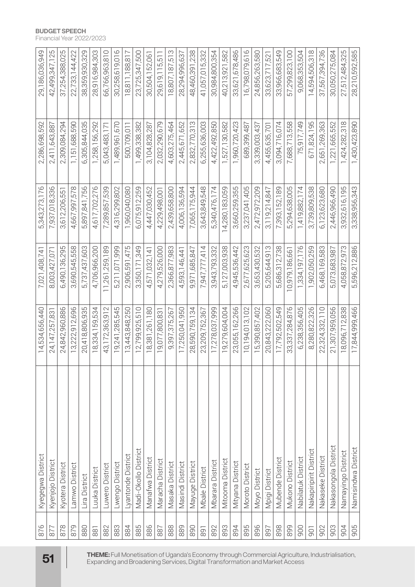|                                                                                                 | 876       | Kyegegwa District      | 14,534,656,440    | 7,021,408,741      | 5,343,273,176 | 2,286,698,592 | 29,186,036,949    |
|-------------------------------------------------------------------------------------------------|-----------|------------------------|-------------------|--------------------|---------------|---------------|-------------------|
| 51                                                                                              | 877       | Kyenjojo District      | 24, 147, 257, 831 | 8,003,427,071      | 7,937,018,336 | 2,411,643,88  | 42,499,347,125    |
|                                                                                                 | 878       | Kyotera District       | 24,842,960,886    | 6,490,136,295      | 3,612,206,551 | 2,309,084,294 | 37,254,388,025    |
|                                                                                                 | 879       | Lamwo District         | 13,222,912,696    | 3,690,545,558      | 4,667,997,578 | 1,151,688,590 | 22, 733, 144, 422 |
|                                                                                                 | 880       | Lira District          | 20,418,806,935    | 5,737,437,603      | 5,897,841,756 | 6,305,844,035 | 38,359,930,329    |
|                                                                                                 | 881       | Luuka District         | 8,334,159,534     | 4,706,966,200      | 4,617,702,276 | 1,258,156,292 | 28,916,984,303    |
| THEME: Full Monetisation of Uganda's Economy through Commercial Agriculture, Industrialisation, | 882       | Luwero District        | 43, 172, 363, 912 | 11,261,259,189     | 7,289,857,539 | 5,043,483,171 | 66,766,963,810    |
|                                                                                                 | 883       | Lwengo District        | 9,241,285,545     | 5,211,071,999      | 4,316,299,802 | ,489,961,670  | 30,258,619,016    |
|                                                                                                 | 884       | Lyantonde District     | 13,443,848,250    | 2,906,591,475      | 1,960,040,080 | 500,709,011   | 18,811,188,817    |
|                                                                                                 | 885       | Madi-Okollo District   | 2,799,925,510     | 3,350,171,349      | 6,075,912,259 | ,499,338,382  | 23,725,347,500    |
|                                                                                                 | 886       | Manafwa District       | 18,381,261,180    | 4,571,032,141      | 4,447,030,452 | 3,104,828,287 | 30,504,152,061    |
|                                                                                                 | 887       | Maracha District       | 9,077,800,831     | 4,279,526,000      | 4,229,498,001 | 2,032,290,679 | 29,619,115,511    |
|                                                                                                 | 888       | Masaka District        | 9,397,375,267     | 2,366,877,983      | 2,439,658,800 | 4,603,275,464 | 18,807,187,513    |
|                                                                                                 | 889       | Masindi District       | 17,250,041,950    | 4,593,146,441      | 4,006,136,594 | 2,445,671,652 | 28,294,996,637    |
|                                                                                                 | 890       | Mayuge District        | 28,590,759,134    | 9,971,685,847      | 7,065,175,944 | 2,832,770,313 | 48,460,391,238    |
|                                                                                                 | 891       | <b>Mbale District</b>  | 23,209,752,367    | 7,947,777,414      | 3,643,849,548 | 6,255,636,003 | 41,057,015,332    |
|                                                                                                 | 892       | Mbarara District       | 17,278,037,999    | 3,943,793,332      | 5,340,476,174 | 4,422,492,850 | 30,984,800,354    |
|                                                                                                 | 893       | Mitooma District       | 9,279,604,004     | 5,127,003,938      | 4,280,183,059 | 527,130,582   | 40,213,921,582    |
|                                                                                                 | 894       | Mityana District       | 23,055,162,266    | 4,945,536,442      | 3,660,259,355 | 1,960,720,423 | 33,621,678,486    |
| Expanding and Broadening Services, Digital Transformation and Market Access                     | 895       | Moroto District        | 10,194,013,102    | 2,677,625,623      | 3,237,041,405 | 689,399,487   | 16,798,079,616    |
|                                                                                                 | 896       | Moyo District          | 5,390,857,402     | 3,653,430,532      | 2,472,972,209 | 3,339,003,437 | 24,856,263,580    |
|                                                                                                 | 897       | Mpigi District         | 20,843,222,060    | ,205,644,913<br>ம் | 3,119,214,847 | 4,455,635,701 | 33,623,717,521    |
|                                                                                                 | 898       | Mubende District       | 17,792,502,549    | 5,686,312,738      | 7,393,152,189 | 3,094,716,074 | 33,966,683,549    |
|                                                                                                 | 899       | Mukono District        | 33,337,284,876    | 0,979,186,661      | 5,294,638,005 | 7,688,713,558 | 57,299,823,100    |
|                                                                                                 | 900       | Nabilatuk District     | 6,238,356,405     | 1,334,197,176      | ,419,882,174  | 75,917,749    | 9,068,353,504     |
|                                                                                                 | <b>DG</b> | Nakapiripirit District | 8,280,822,326     | 1,902,050,259      | 3,739,809,538 | 671,824,195   | 14,594,506,318    |
|                                                                                                 | 902       | Nakaseke District      | 22,324,332,110    | 6,468,169,583      | 6,123,623,680 | 2,651,269,363 | 37,567,394,736    |
|                                                                                                 | 903       | Nakasongola District   | 21,307,959,056    | 5,073,683,987      | 2,446,966,490 | ,221,665,552  | 30,050,275,084    |
|                                                                                                 | 904       | Namayingo District     | 18,096,712,838    | 4,058,872,973      | 3,932,616,195 | ,424,282,318  | 27,512,484,325    |
|                                                                                                 | 905       | Namisindwa District    | 17,844,999,466    | 5,596,212,886      | 3,338,956,343 | ,430,423,890  | 28,210,592,585    |

#### **BUDGET SPEECH**

Financial Year 2022/2023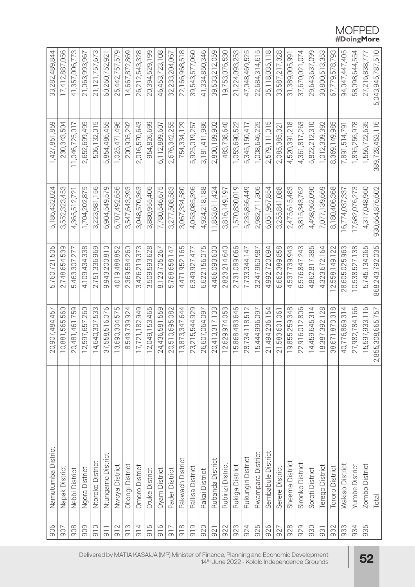| 906            | Namutumba District | 20,907,484,457    | 5,760,721,505   | 5,186,432,024             | 1,427,851,859         | 33,282,489,844    |
|----------------|--------------------|-------------------|-----------------|---------------------------|-----------------------|-------------------|
| 907            | Napak District     | 10.881.565.560    | 2,748,654,539   | 3,552,323,453             | 230,343,504           | 17,412,887,056    |
| 908            | Nebbi District     | 20,481,461,759    | 5,463,307,277   | 4,365,512,721             | 11,046,725,017        | 41,357,006,773    |
| 909            | Ngora District     | 12,597,657,260    | 4,109,434,338   | 1,704,202,875             | 2,652,699,495         | 21,063,993,967    |
| 910            | Ntoroko District   | 533<br>4,640,307  | 2,751,336,969   | 3,223,981,156             | 506,132,015           | 21, 121, 757, 673 |
| $-10$          | Ntungamo District  | 37,558,516,076    | 9,943,200,810   | 6,904,549,579             | 854,486,455<br>.<br>C | 60,260,752,921    |
| 912            | Nwoya District     | 3,690,304,575     | 4,019,488,852   | 6,707,492,656             | ,025,471,496          | 25,442,757,579    |
| 913            | Obongi District    | 8,549,739,924     | 2,369,584,260   | 3,547,643,393             | 200,905,292           | 14,667,872,869    |
| 914            | Omoro District     | 17,721,182,949    | 3,426,219,373   | 3,048,570,363             | 2,016,570,643         | 26,212,543,328    |
| 915            | Otuke District     | 12,049,153,465    | 3,509,593,628   | 3,880,955,406             | 954,826,699           | 20,394,529,199    |
| 916            | Oyam District      | 24,436,581,559    | 8,123,705,267   | 7,780,546,675             | 6,112,889,607         | 46,453,723,108    |
| <b>215</b>     | Pader District     | 20,510,695,082    | 5,768,658,147   | 3,277,508,583             | 2,676,342,255         | 32,233,204,067    |
| $\frac{8}{10}$ | Pakwach District   | 13,873,347,644    | 4,471,952,165   | 3,067,334,580             | 754,334,129           | 22,166,968,518    |
| 919            | Pallisa District   | 23,215,544,929    | 6,349,927,477   | 4,053,085,396             | ,925,019,257          | 39,543,577,060    |
| 920            | Rakai District     | 26,607,064,097    | 6,622,156,075   | 4,924,218,188             | 3,181,411,986         | 41,334,850,346    |
| 921            | Rubanda District   | 20,413,317,133    | 4,466,093,600   | 11,853,611,424            | 2,800,189,902         | 39,533,212,059    |
| 922            | Rubirizi District  | 2,629,974,053     | 2,823,214,640   | 816, 149, 197<br>$\infty$ | 483,738,640           | 19,753,076,530    |
| 923            | Rukiga District    | 15,868,483,646    | 2,731,089,066   | 1,570,830,019             | 1,053,690,522         | 21,224,093,253    |
| 924            | Rukungiri District | 28,734,118,51     | 7,733,344,147   | 5,235,856,449             | 5,345,150,417         | 47,048,469,525    |
| 925            | Rwampara District  | 5,444,996,097     | 3,247,960,987   | 2,982,711,306             | 1,008,646,225         | 22,684,314,615    |
| 926            | Sembabule District | 21,494,236,154    | 4,992,720,094   | 6,051,967,854             | 2,579,111,015         | 35, 118, 035, 118 |
| 927            | Serere District    | 21,583,601,061    | 6,662,389,858   | 3,255,841,088             | 2,085,385,321         | 33,587,217,328    |
| 928            | Sheema District    | 19,855,259,348    | 4,537,739,943   | 2,475,615,483             | 4,520,391,218         | 31,389,005,991    |
| 929            | Sironko District   | 22,916,012,806    | 6,576,847,243   | 3,815,343,762             | 4,361,817,263         | 37,670,021,074    |
| 930            | Soroti District    | 14,459,645,314    | 4,862,817,385   | 4,498,962,090             | 5,822,212,310         | 29,643,637,099    |
| 931            | Terego District    | 8,387,392,128     | 4,323,672,164   | 7,077,139,669             | 1,012,309,392         | 30,800,513,353    |
| 932            | Tororo District    | 38,671,873,318    | 2,558,149,122   | 8,180,406,368             | 8,369,149,985         | 67,779,578,793    |
| 933            | Wakiso District    | 40,776,869,314    | 28,605,025,963  | 6,774,037,337             | 7,891,514,791         | 94,047,447,405    |
| 934            | Yumbe District     | 27,982,784,166    | 10,538,527,138  | 17,682,076,273            | ,895,256,978          | 58,098,644,554    |
| 935            | Zombo District     | 15,597,933,116    | 5,745,134,065   | 4,317,048,960             | 1,556,722,635         | 27,216,838,777    |
|                | Total              | 2,855,308,665,757 | 868,243,792,035 | 930,664,876,602           | 389,728,453,116       | 5,043,945,787,510 |